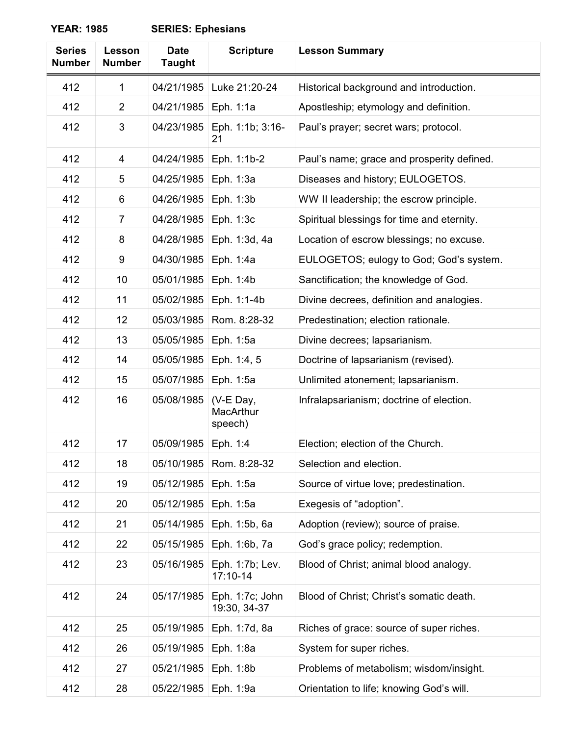| <b>Series</b><br><b>Number</b> | Lesson<br><b>Number</b> | <b>Date</b><br><b>Taught</b> | <b>Scripture</b>                  | <b>Lesson Summary</b>                      |
|--------------------------------|-------------------------|------------------------------|-----------------------------------|--------------------------------------------|
| 412                            | 1                       | 04/21/1985                   | Luke 21:20-24                     | Historical background and introduction.    |
| 412                            | 2                       | 04/21/1985                   | Eph. 1:1a                         | Apostleship; etymology and definition.     |
| 412                            | 3                       | 04/23/1985                   | Eph. 1:1b; 3:16-<br>21            | Paul's prayer; secret wars; protocol.      |
| 412                            | 4                       | 04/24/1985                   | Eph. 1:1b-2                       | Paul's name; grace and prosperity defined. |
| 412                            | 5                       | 04/25/1985                   | Eph. 1:3a                         | Diseases and history; EULOGETOS.           |
| 412                            | 6                       | 04/26/1985                   | Eph. 1:3b                         | WW II leadership; the escrow principle.    |
| 412                            | $\overline{7}$          | 04/28/1985                   | Eph. 1:3c                         | Spiritual blessings for time and eternity. |
| 412                            | 8                       | 04/28/1985                   | Eph. 1:3d, 4a                     | Location of escrow blessings; no excuse.   |
| 412                            | 9                       | 04/30/1985                   | Eph. 1:4a                         | EULOGETOS; eulogy to God; God's system.    |
| 412                            | 10                      | 05/01/1985                   | Eph. 1:4b                         | Sanctification; the knowledge of God.      |
| 412                            | 11                      | 05/02/1985                   | Eph. 1:1-4b                       | Divine decrees, definition and analogies.  |
| 412                            | 12                      | 05/03/1985                   | Rom. 8:28-32                      | Predestination; election rationale.        |
| 412                            | 13                      | 05/05/1985                   | Eph. 1:5a                         | Divine decrees; lapsarianism.              |
| 412                            | 14                      | 05/05/1985                   | Eph. 1:4, 5                       | Doctrine of lapsarianism (revised).        |
| 412                            | 15                      | 05/07/1985                   | Eph. 1:5a                         | Unlimited atonement; lapsarianism.         |
| 412                            | 16                      | 05/08/1985                   | (V-E Day,<br>MacArthur<br>speech) | Infralapsarianism; doctrine of election.   |
| 412                            | 17                      | 05/09/1985                   | Eph. 1:4                          | Election; election of the Church.          |
| 412                            | 18                      | 05/10/1985                   | Rom. 8:28-32                      | Selection and election.                    |
| 412                            | 19                      | 05/12/1985                   | Eph. 1:5a                         | Source of virtue love; predestination.     |
| 412                            | 20                      | 05/12/1985                   | Eph. 1:5a                         | Exegesis of "adoption".                    |
| 412                            | 21                      | 05/14/1985                   | Eph. 1:5b, 6a                     | Adoption (review); source of praise.       |
| 412                            | 22                      | 05/15/1985                   | Eph. 1:6b, 7a                     | God's grace policy; redemption.            |
| 412                            | 23                      | 05/16/1985                   | Eph. 1:7b; Lev.<br>$17:10-14$     | Blood of Christ; animal blood analogy.     |
| 412                            | 24                      | 05/17/1985                   | Eph. 1:7c; John<br>19:30, 34-37   | Blood of Christ; Christ's somatic death.   |
| 412                            | 25                      | 05/19/1985                   | Eph. 1:7d, 8a                     | Riches of grace: source of super riches.   |
| 412                            | 26                      | 05/19/1985                   | Eph. 1:8a                         | System for super riches.                   |
| 412                            | 27                      | 05/21/1985                   | Eph. 1:8b                         | Problems of metabolism; wisdom/insight.    |
| 412                            | 28                      | 05/22/1985                   | Eph. 1:9a                         | Orientation to life; knowing God's will.   |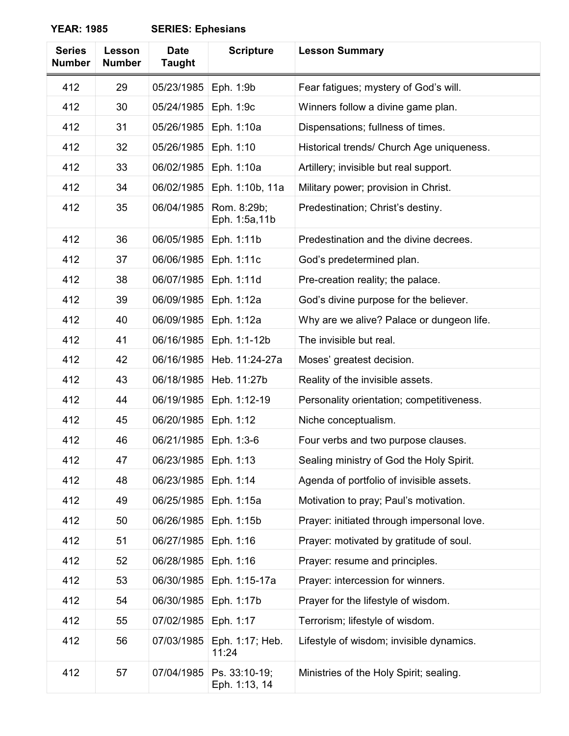| <b>Series</b><br><b>Number</b> | <b>Lesson</b><br><b>Number</b> | <b>Date</b><br><b>Taught</b> | <b>Scripture</b>               | <b>Lesson Summary</b>                      |
|--------------------------------|--------------------------------|------------------------------|--------------------------------|--------------------------------------------|
| 412                            | 29                             | 05/23/1985                   | Eph. 1:9b                      | Fear fatigues; mystery of God's will.      |
| 412                            | 30                             | 05/24/1985                   | Eph. 1:9c                      | Winners follow a divine game plan.         |
| 412                            | 31                             | 05/26/1985                   | Eph. 1:10a                     | Dispensations; fullness of times.          |
| 412                            | 32                             | 05/26/1985                   | Eph. 1:10                      | Historical trends/ Church Age uniqueness.  |
| 412                            | 33                             | 06/02/1985                   | Eph. 1:10a                     | Artillery; invisible but real support.     |
| 412                            | 34                             | 06/02/1985                   | Eph. 1:10b, 11a                | Military power; provision in Christ.       |
| 412                            | 35                             | 06/04/1985                   | Rom. 8:29b;<br>Eph. 1:5a,11b   | Predestination; Christ's destiny.          |
| 412                            | 36                             | 06/05/1985                   | Eph. 1:11b                     | Predestination and the divine decrees.     |
| 412                            | 37                             | 06/06/1985                   | Eph. 1:11c                     | God's predetermined plan.                  |
| 412                            | 38                             | 06/07/1985                   | Eph. 1:11d                     | Pre-creation reality; the palace.          |
| 412                            | 39                             | 06/09/1985                   | Eph. 1:12a                     | God's divine purpose for the believer.     |
| 412                            | 40                             | 06/09/1985                   | Eph. 1:12a                     | Why are we alive? Palace or dungeon life.  |
| 412                            | 41                             | 06/16/1985                   | Eph. 1:1-12b                   | The invisible but real.                    |
| 412                            | 42                             | 06/16/1985                   | Heb. 11:24-27a                 | Moses' greatest decision.                  |
| 412                            | 43                             | 06/18/1985                   | Heb. 11:27b                    | Reality of the invisible assets.           |
| 412                            | 44                             | 06/19/1985                   | Eph. 1:12-19                   | Personality orientation; competitiveness.  |
| 412                            | 45                             | 06/20/1985                   | Eph. 1:12                      | Niche conceptualism.                       |
| 412                            | 46                             | 06/21/1985                   | Eph. 1:3-6                     | Four verbs and two purpose clauses.        |
| 412                            | 47                             | 06/23/1985                   | Eph. 1:13                      | Sealing ministry of God the Holy Spirit.   |
| 412                            | 48                             | 06/23/1985                   | Eph. 1:14                      | Agenda of portfolio of invisible assets.   |
| 412                            | 49                             | 06/25/1985                   | Eph. 1:15a                     | Motivation to pray; Paul's motivation.     |
| 412                            | 50                             | 06/26/1985                   | Eph. 1:15b                     | Prayer: initiated through impersonal love. |
| 412                            | 51                             | 06/27/1985                   | Eph. 1:16                      | Prayer: motivated by gratitude of soul.    |
| 412                            | 52                             | 06/28/1985                   | Eph. 1:16                      | Prayer: resume and principles.             |
| 412                            | 53                             | 06/30/1985                   | Eph. 1:15-17a                  | Prayer: intercession for winners.          |
| 412                            | 54                             | 06/30/1985                   | Eph. 1:17b                     | Prayer for the lifestyle of wisdom.        |
| 412                            | 55                             | 07/02/1985                   | Eph. 1:17                      | Terrorism; lifestyle of wisdom.            |
| 412                            | 56                             | 07/03/1985                   | Eph. 1:17; Heb.<br>11:24       | Lifestyle of wisdom; invisible dynamics.   |
| 412                            | 57                             | 07/04/1985                   | Ps. 33:10-19;<br>Eph. 1:13, 14 | Ministries of the Holy Spirit; sealing.    |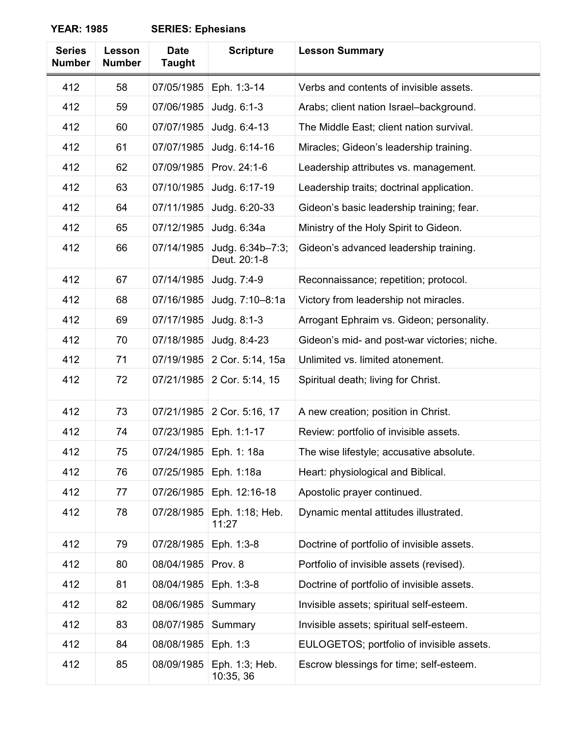| <b>Series</b><br><b>Number</b> | Lesson<br><b>Number</b> | <b>Date</b><br><b>Taught</b> | <b>Scripture</b>                 | <b>Lesson Summary</b>                        |
|--------------------------------|-------------------------|------------------------------|----------------------------------|----------------------------------------------|
| 412                            | 58                      | 07/05/1985                   | Eph. 1:3-14                      | Verbs and contents of invisible assets.      |
| 412                            | 59                      | 07/06/1985                   | Judg. 6:1-3                      | Arabs; client nation Israel-background.      |
| 412                            | 60                      | 07/07/1985                   | Judg. 6:4-13                     | The Middle East; client nation survival.     |
| 412                            | 61                      | 07/07/1985                   | Judg. 6:14-16                    | Miracles; Gideon's leadership training.      |
| 412                            | 62                      | 07/09/1985                   | Prov. 24:1-6                     | Leadership attributes vs. management.        |
| 412                            | 63                      | 07/10/1985                   | Judg. 6:17-19                    | Leadership traits; doctrinal application.    |
| 412                            | 64                      | 07/11/1985                   | Judg. 6:20-33                    | Gideon's basic leadership training; fear.    |
| 412                            | 65                      | 07/12/1985                   | Judg. 6:34a                      | Ministry of the Holy Spirit to Gideon.       |
| 412                            | 66                      | 07/14/1985                   | Judg. 6:34b-7:3;<br>Deut. 20:1-8 | Gideon's advanced leadership training.       |
| 412                            | 67                      | 07/14/1985                   | Judg. 7:4-9                      | Reconnaissance; repetition; protocol.        |
| 412                            | 68                      | 07/16/1985                   | Judg. 7:10-8:1a                  | Victory from leadership not miracles.        |
| 412                            | 69                      | 07/17/1985                   | Judg. 8:1-3                      | Arrogant Ephraim vs. Gideon; personality.    |
| 412                            | 70                      | 07/18/1985                   | Judg. 8:4-23                     | Gideon's mid- and post-war victories; niche. |
| 412                            | 71                      | 07/19/1985                   | 2 Cor. 5:14, 15a                 | Unlimited vs. limited atonement.             |
| 412                            | 72                      | 07/21/1985                   | 2 Cor. 5:14, 15                  | Spiritual death; living for Christ.          |
| 412                            | 73                      | 07/21/1985                   | 2 Cor. 5:16, 17                  | A new creation; position in Christ.          |
| 412                            | 74                      | 07/23/1985                   | Eph. 1:1-17                      | Review: portfolio of invisible assets.       |
| 412                            | 75                      |                              | 07/24/1985   Eph. 1: 18a         | The wise lifestyle; accusative absolute.     |
| 412                            | 76                      | 07/25/1985                   | Eph. 1:18a                       | Heart: physiological and Biblical.           |
| 412                            | 77                      | 07/26/1985                   | Eph. 12:16-18                    | Apostolic prayer continued.                  |
| 412                            | 78                      | 07/28/1985                   | Eph. 1:18; Heb.<br>11:27         | Dynamic mental attitudes illustrated.        |
| 412                            | 79                      | 07/28/1985                   | Eph. 1:3-8                       | Doctrine of portfolio of invisible assets.   |
| 412                            | 80                      | 08/04/1985                   | Prov. 8                          | Portfolio of invisible assets (revised).     |
| 412                            | 81                      | 08/04/1985                   | Eph. 1:3-8                       | Doctrine of portfolio of invisible assets.   |
| 412                            | 82                      | 08/06/1985                   | Summary                          | Invisible assets; spiritual self-esteem.     |
| 412                            | 83                      | 08/07/1985                   | Summary                          | Invisible assets; spiritual self-esteem.     |
| 412                            | 84                      | 08/08/1985                   | Eph. 1:3                         | EULOGETOS; portfolio of invisible assets.    |
| 412                            | 85                      | 08/09/1985                   | Eph. 1:3; Heb.<br>10:35, 36      | Escrow blessings for time; self-esteem.      |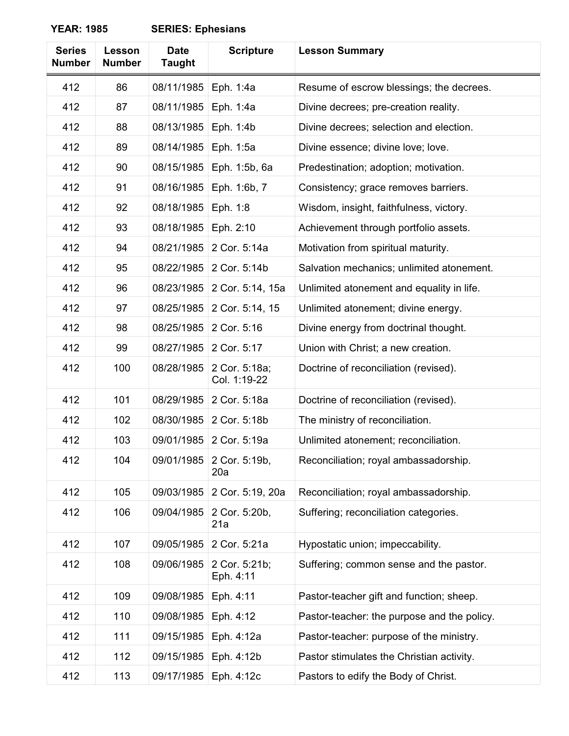| <b>Series</b><br><b>Number</b> | Lesson<br><b>Number</b> | <b>Date</b><br><b>Taught</b> | <b>Scripture</b>              | <b>Lesson Summary</b>                       |
|--------------------------------|-------------------------|------------------------------|-------------------------------|---------------------------------------------|
| 412                            | 86                      | 08/11/1985                   | Eph. 1:4a                     | Resume of escrow blessings; the decrees.    |
| 412                            | 87                      | 08/11/1985                   | Eph. 1:4a                     | Divine decrees; pre-creation reality.       |
| 412                            | 88                      | 08/13/1985                   | Eph. 1:4b                     | Divine decrees; selection and election.     |
| 412                            | 89                      | 08/14/1985                   | Eph. 1:5a                     | Divine essence; divine love; love.          |
| 412                            | 90                      | 08/15/1985                   | Eph. 1:5b, 6a                 | Predestination; adoption; motivation.       |
| 412                            | 91                      | 08/16/1985                   | Eph. 1:6b, 7                  | Consistency; grace removes barriers.        |
| 412                            | 92                      | 08/18/1985                   | Eph. 1:8                      | Wisdom, insight, faithfulness, victory.     |
| 412                            | 93                      | 08/18/1985                   | Eph. 2:10                     | Achievement through portfolio assets.       |
| 412                            | 94                      | 08/21/1985                   | 2 Cor. 5:14a                  | Motivation from spiritual maturity.         |
| 412                            | 95                      | 08/22/1985                   | 2 Cor. 5:14b                  | Salvation mechanics; unlimited atonement.   |
| 412                            | 96                      | 08/23/1985                   | 2 Cor. 5:14, 15a              | Unlimited atonement and equality in life.   |
| 412                            | 97                      | 08/25/1985                   | 2 Cor. 5:14, 15               | Unlimited atonement; divine energy.         |
| 412                            | 98                      | 08/25/1985                   | 2 Cor. 5:16                   | Divine energy from doctrinal thought.       |
| 412                            | 99                      | 08/27/1985                   | 2 Cor. 5:17                   | Union with Christ; a new creation.          |
| 412                            | 100                     | 08/28/1985                   | 2 Cor. 5:18a;<br>Col. 1:19-22 | Doctrine of reconciliation (revised).       |
| 412                            | 101                     | 08/29/1985                   | 2 Cor. 5:18a                  | Doctrine of reconciliation (revised).       |
| 412                            | 102                     | 08/30/1985                   | 2 Cor. 5:18b                  | The ministry of reconciliation.             |
| 412                            | 103                     | 09/01/1985                   | 2 Cor. 5:19a                  | Unlimited atonement; reconciliation.        |
| 412                            | 104                     | 09/01/1985                   | 2 Cor. 5:19b,<br>20a          | Reconciliation; royal ambassadorship.       |
| 412                            | 105                     | 09/03/1985                   | 2 Cor. 5:19, 20a              | Reconciliation; royal ambassadorship.       |
| 412                            | 106                     | 09/04/1985                   | 2 Cor. 5:20b,<br>21a          | Suffering; reconciliation categories.       |
| 412                            | 107                     | 09/05/1985                   | 2 Cor. 5:21a                  | Hypostatic union; impeccability.            |
| 412                            | 108                     | 09/06/1985                   | 2 Cor. 5:21b;<br>Eph. 4:11    | Suffering; common sense and the pastor.     |
| 412                            | 109                     | 09/08/1985                   | Eph. 4:11                     | Pastor-teacher gift and function; sheep.    |
| 412                            | 110                     | 09/08/1985                   | Eph. 4:12                     | Pastor-teacher: the purpose and the policy. |
| 412                            | 111                     | 09/15/1985                   | Eph. 4:12a                    | Pastor-teacher: purpose of the ministry.    |
| 412                            | 112                     | 09/15/1985                   | Eph. 4:12b                    | Pastor stimulates the Christian activity.   |
| 412                            | 113                     | 09/17/1985                   | Eph. 4:12c                    | Pastors to edify the Body of Christ.        |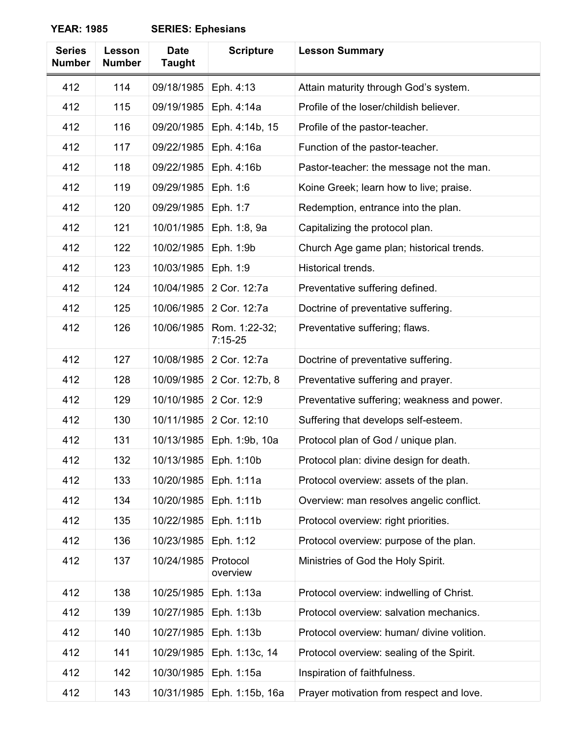| <b>Series</b> | Lesson        | <b>Date</b>   | <b>Scripture</b>           | <b>Lesson Summary</b>                       |
|---------------|---------------|---------------|----------------------------|---------------------------------------------|
| <b>Number</b> | <b>Number</b> | <b>Taught</b> |                            |                                             |
| 412           | 114           | 09/18/1985    | Eph. 4:13                  | Attain maturity through God's system.       |
| 412           | 115           | 09/19/1985    | Eph. 4:14a                 | Profile of the loser/childish believer.     |
| 412           | 116           | 09/20/1985    | Eph. 4:14b, 15             | Profile of the pastor-teacher.              |
| 412           | 117           | 09/22/1985    | Eph. 4:16a                 | Function of the pastor-teacher.             |
| 412           | 118           | 09/22/1985    | Eph. 4:16b                 | Pastor-teacher: the message not the man.    |
| 412           | 119           | 09/29/1985    | Eph. 1:6                   | Koine Greek; learn how to live; praise.     |
| 412           | 120           | 09/29/1985    | Eph. 1:7                   | Redemption, entrance into the plan.         |
| 412           | 121           | 10/01/1985    | Eph. 1:8, 9a               | Capitalizing the protocol plan.             |
| 412           | 122           | 10/02/1985    | Eph. 1:9b                  | Church Age game plan; historical trends.    |
| 412           | 123           | 10/03/1985    | Eph. 1:9                   | Historical trends.                          |
| 412           | 124           | 10/04/1985    | 2 Cor. 12:7a               | Preventative suffering defined.             |
| 412           | 125           | 10/06/1985    | 2 Cor. 12:7a               | Doctrine of preventative suffering.         |
| 412           | 126           | 10/06/1985    | Rom. 1:22-32;<br>$7:15-25$ | Preventative suffering; flaws.              |
| 412           | 127           | 10/08/1985    | 2 Cor. 12:7a               | Doctrine of preventative suffering.         |
| 412           | 128           | 10/09/1985    | 2 Cor. 12:7b, 8            | Preventative suffering and prayer.          |
| 412           | 129           | 10/10/1985    | 2 Cor. 12:9                | Preventative suffering; weakness and power. |
| 412           | 130           | 10/11/1985    | 2 Cor. 12:10               | Suffering that develops self-esteem.        |
| 412           | 131           | 10/13/1985    | Eph. 1:9b, 10a             | Protocol plan of God / unique plan.         |
| 412           | 132           | 10/13/1985    | Eph. 1:10b                 | Protocol plan: divine design for death.     |
| 412           | 133           | 10/20/1985    | Eph. 1:11a                 | Protocol overview: assets of the plan.      |
| 412           | 134           | 10/20/1985    | Eph. 1:11b                 | Overview: man resolves angelic conflict.    |
| 412           | 135           | 10/22/1985    | Eph. 1:11b                 | Protocol overview: right priorities.        |
| 412           | 136           | 10/23/1985    | Eph. 1:12                  | Protocol overview: purpose of the plan.     |
| 412           | 137           | 10/24/1985    | Protocol<br>overview       | Ministries of God the Holy Spirit.          |
| 412           | 138           | 10/25/1985    | Eph. 1:13a                 | Protocol overview: indwelling of Christ.    |
| 412           | 139           | 10/27/1985    | Eph. 1:13b                 | Protocol overview: salvation mechanics.     |
| 412           | 140           | 10/27/1985    | Eph. 1:13b                 | Protocol overview: human/ divine volition.  |
| 412           | 141           | 10/29/1985    | Eph. 1:13c, 14             | Protocol overview: sealing of the Spirit.   |
| 412           | 142           | 10/30/1985    | Eph. 1:15a                 | Inspiration of faithfulness.                |
| 412           | 143           | 10/31/1985    | Eph. 1:15b, 16a            | Prayer motivation from respect and love.    |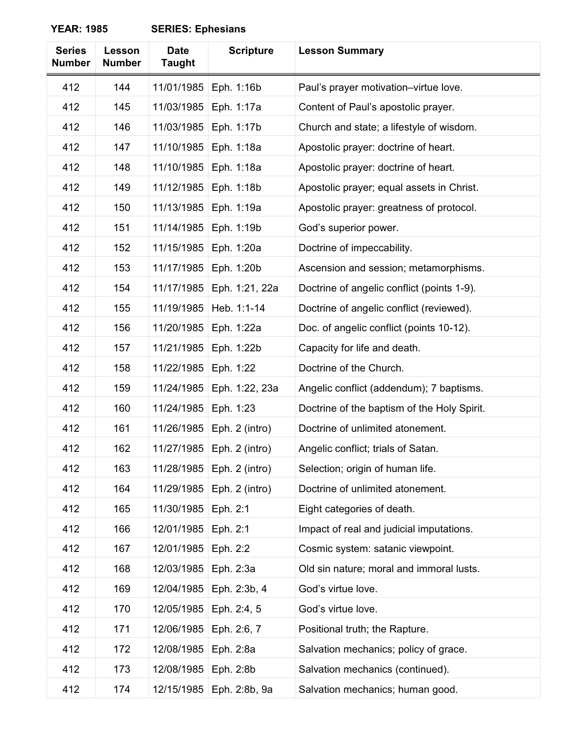| <b>Series</b><br><b>Number</b> | Lesson<br><b>Number</b> | <b>Date</b><br><b>Taught</b> | <b>Scripture</b> | <b>Lesson Summary</b>                       |
|--------------------------------|-------------------------|------------------------------|------------------|---------------------------------------------|
| 412                            | 144                     | 11/01/1985                   | Eph. 1:16b       | Paul's prayer motivation-virtue love.       |
| 412                            | 145                     | 11/03/1985                   | Eph. 1:17a       | Content of Paul's apostolic prayer.         |
| 412                            | 146                     | 11/03/1985                   | Eph. 1:17b       | Church and state; a lifestyle of wisdom.    |
| 412                            | 147                     | 11/10/1985                   | Eph. 1:18a       | Apostolic prayer: doctrine of heart.        |
| 412                            | 148                     | 11/10/1985                   | Eph. 1:18a       | Apostolic prayer: doctrine of heart.        |
| 412                            | 149                     | 11/12/1985                   | Eph. 1:18b       | Apostolic prayer; equal assets in Christ.   |
| 412                            | 150                     | 11/13/1985                   | Eph. 1:19a       | Apostolic prayer: greatness of protocol.    |
| 412                            | 151                     | 11/14/1985                   | Eph. 1:19b       | God's superior power.                       |
| 412                            | 152                     | 11/15/1985                   | Eph. 1:20a       | Doctrine of impeccability.                  |
| 412                            | 153                     | 11/17/1985                   | Eph. 1:20b       | Ascension and session; metamorphisms.       |
| 412                            | 154                     | 11/17/1985                   | Eph. 1:21, 22a   | Doctrine of angelic conflict (points 1-9).  |
| 412                            | 155                     | 11/19/1985                   | Heb. 1:1-14      | Doctrine of angelic conflict (reviewed).    |
| 412                            | 156                     | 11/20/1985                   | Eph. 1:22a       | Doc. of angelic conflict (points 10-12).    |
| 412                            | 157                     | 11/21/1985                   | Eph. 1:22b       | Capacity for life and death.                |
| 412                            | 158                     | 11/22/1985                   | Eph. 1:22        | Doctrine of the Church.                     |
| 412                            | 159                     | 11/24/1985                   | Eph. 1:22, 23a   | Angelic conflict (addendum); 7 baptisms.    |
| 412                            | 160                     | 11/24/1985                   | Eph. 1:23        | Doctrine of the baptism of the Holy Spirit. |
| 412                            | 161                     | 11/26/1985                   | Eph. 2 (intro)   | Doctrine of unlimited atonement.            |
| 412                            | 162                     | 11/27/1985                   | Eph. 2 (intro)   | Angelic conflict; trials of Satan.          |
| 412                            | 163                     | 11/28/1985                   | Eph. 2 (intro)   | Selection; origin of human life.            |
| 412                            | 164                     | 11/29/1985                   | Eph. 2 (intro)   | Doctrine of unlimited atonement.            |
| 412                            | 165                     | 11/30/1985                   | Eph. 2:1         | Eight categories of death.                  |
| 412                            | 166                     | 12/01/1985                   | Eph. 2:1         | Impact of real and judicial imputations.    |
| 412                            | 167                     | 12/01/1985                   | Eph. 2:2         | Cosmic system: satanic viewpoint.           |
| 412                            | 168                     | 12/03/1985                   | Eph. 2:3a        | Old sin nature; moral and immoral lusts.    |
| 412                            | 169                     | 12/04/1985                   | Eph. 2:3b, 4     | God's virtue love.                          |
| 412                            | 170                     | 12/05/1985                   | Eph. 2:4, 5      | God's virtue love.                          |
| 412                            | 171                     | 12/06/1985                   | Eph. 2:6, 7      | Positional truth; the Rapture.              |
| 412                            | 172                     | 12/08/1985                   | Eph. 2:8a        | Salvation mechanics; policy of grace.       |
| 412                            | 173                     | 12/08/1985                   | Eph. 2:8b        | Salvation mechanics (continued).            |
| 412                            | 174                     | 12/15/1985                   | Eph. 2:8b, 9a    | Salvation mechanics; human good.            |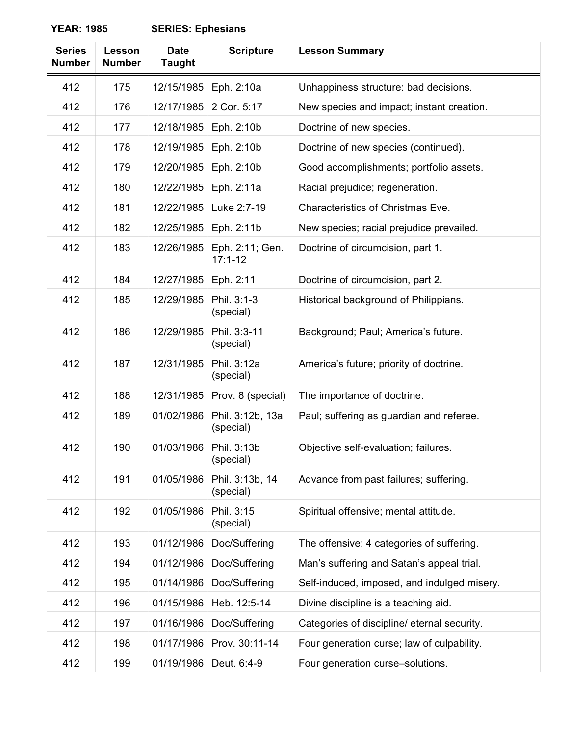| <b>Series</b><br><b>Number</b> | Lesson<br><b>Number</b> | <b>Date</b><br><b>Taught</b> | <b>Scripture</b>               | <b>Lesson Summary</b>                       |
|--------------------------------|-------------------------|------------------------------|--------------------------------|---------------------------------------------|
| 412                            | 175                     | 12/15/1985                   | Eph. 2:10a                     | Unhappiness structure: bad decisions.       |
| 412                            | 176                     | 12/17/1985                   | 2 Cor. 5:17                    | New species and impact; instant creation.   |
| 412                            | 177                     | 12/18/1985                   | Eph. 2:10b                     | Doctrine of new species.                    |
| 412                            | 178                     | 12/19/1985                   | Eph. 2:10b                     | Doctrine of new species (continued).        |
| 412                            | 179                     | 12/20/1985                   | Eph. 2:10b                     | Good accomplishments; portfolio assets.     |
| 412                            | 180                     | 12/22/1985                   | Eph. 2:11a                     | Racial prejudice; regeneration.             |
| 412                            | 181                     | 12/22/1985                   | Luke 2:7-19                    | Characteristics of Christmas Eve.           |
| 412                            | 182                     | 12/25/1985                   | Eph. 2:11b                     | New species; racial prejudice prevailed.    |
| 412                            | 183                     | 12/26/1985                   | Eph. 2:11; Gen.<br>$17:1 - 12$ | Doctrine of circumcision, part 1.           |
| 412                            | 184                     | 12/27/1985                   | Eph. 2:11                      | Doctrine of circumcision, part 2.           |
| 412                            | 185                     | 12/29/1985                   | Phil. 3:1-3<br>(special)       | Historical background of Philippians.       |
| 412                            | 186                     | 12/29/1985                   | Phil. 3:3-11<br>(special)      | Background; Paul; America's future.         |
| 412                            | 187                     | 12/31/1985                   | Phil. 3:12a<br>(special)       | America's future; priority of doctrine.     |
| 412                            | 188                     | 12/31/1985                   | Prov. 8 (special)              | The importance of doctrine.                 |
| 412                            | 189                     | 01/02/1986                   | Phil. 3:12b, 13a<br>(special)  | Paul; suffering as guardian and referee.    |
| 412                            | 190                     | 01/03/1986                   | Phil. 3:13b<br>(special)       | Objective self-evaluation; failures.        |
| 412                            | 191                     | 01/05/1986                   | Phil. 3:13b, 14<br>(special)   | Advance from past failures; suffering.      |
| 412                            | 192                     | 01/05/1986                   | Phil. 3:15<br>(special)        | Spiritual offensive; mental attitude.       |
| 412                            | 193                     | 01/12/1986                   | Doc/Suffering                  | The offensive: 4 categories of suffering.   |
| 412                            | 194                     | 01/12/1986                   | Doc/Suffering                  | Man's suffering and Satan's appeal trial.   |
| 412                            | 195                     | 01/14/1986                   | Doc/Suffering                  | Self-induced, imposed, and indulged misery. |
| 412                            | 196                     | 01/15/1986                   | Heb. 12:5-14                   | Divine discipline is a teaching aid.        |
| 412                            | 197                     | 01/16/1986                   | Doc/Suffering                  | Categories of discipline/ eternal security. |
| 412                            | 198                     | 01/17/1986                   | Prov. 30:11-14                 | Four generation curse; law of culpability.  |
| 412                            | 199                     | 01/19/1986                   | Deut. 6:4-9                    | Four generation curse-solutions.            |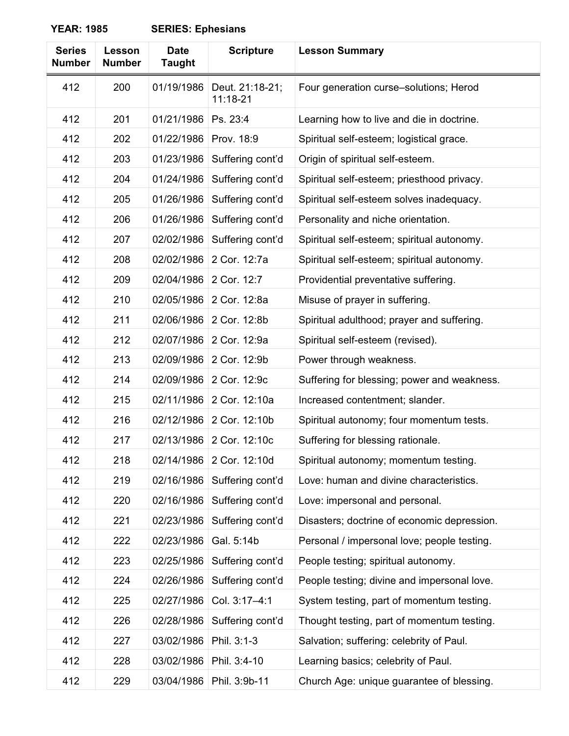| <b>Series</b><br><b>Number</b> | <b>Lesson</b><br><b>Number</b> | <b>Date</b><br><b>Taught</b> | <b>Scripture</b>            | <b>Lesson Summary</b>                       |
|--------------------------------|--------------------------------|------------------------------|-----------------------------|---------------------------------------------|
| 412                            | 200                            | 01/19/1986                   | Deut. 21:18-21;<br>11:18-21 | Four generation curse-solutions; Herod      |
| 412                            | 201                            | 01/21/1986                   | Ps. 23:4                    | Learning how to live and die in doctrine.   |
| 412                            | 202                            | 01/22/1986                   | Prov. 18:9                  | Spiritual self-esteem; logistical grace.    |
| 412                            | 203                            | 01/23/1986                   | Suffering cont'd            | Origin of spiritual self-esteem.            |
| 412                            | 204                            | 01/24/1986                   | Suffering cont'd            | Spiritual self-esteem; priesthood privacy.  |
| 412                            | 205                            | 01/26/1986                   | Suffering cont'd            | Spiritual self-esteem solves inadequacy.    |
| 412                            | 206                            | 01/26/1986                   | Suffering cont'd            | Personality and niche orientation.          |
| 412                            | 207                            | 02/02/1986                   | Suffering cont'd            | Spiritual self-esteem; spiritual autonomy.  |
| 412                            | 208                            | 02/02/1986                   | 2 Cor. 12:7a                | Spiritual self-esteem; spiritual autonomy.  |
| 412                            | 209                            | 02/04/1986                   | 2 Cor. 12:7                 | Providential preventative suffering.        |
| 412                            | 210                            | 02/05/1986                   | 2 Cor. 12:8a                | Misuse of prayer in suffering.              |
| 412                            | 211                            | 02/06/1986                   | 2 Cor. 12:8b                | Spiritual adulthood; prayer and suffering.  |
| 412                            | 212                            | 02/07/1986                   | 2 Cor. 12:9a                | Spiritual self-esteem (revised).            |
| 412                            | 213                            | 02/09/1986                   | 2 Cor. 12:9b                | Power through weakness.                     |
| 412                            | 214                            | 02/09/1986                   | 2 Cor. 12:9c                | Suffering for blessing; power and weakness. |
| 412                            | 215                            | 02/11/1986                   | 2 Cor. 12:10a               | Increased contentment; slander.             |
| 412                            | 216                            | 02/12/1986                   | 2 Cor. 12:10b               | Spiritual autonomy; four momentum tests.    |
| 412                            | 217                            | 02/13/1986                   | 2 Cor. 12:10c               | Suffering for blessing rationale.           |
| 412                            | 218                            | 02/14/1986                   | 2 Cor. 12:10d               | Spiritual autonomy; momentum testing.       |
| 412                            | 219                            | 02/16/1986                   | Suffering cont'd            | Love: human and divine characteristics.     |
| 412                            | 220                            | 02/16/1986                   | Suffering cont'd            | Love: impersonal and personal.              |
| 412                            | 221                            | 02/23/1986                   | Suffering cont'd            | Disasters; doctrine of economic depression. |
| 412                            | 222                            | 02/23/1986                   | Gal. 5:14b                  | Personal / impersonal love; people testing. |
| 412                            | 223                            | 02/25/1986                   | Suffering cont'd            | People testing; spiritual autonomy.         |
| 412                            | 224                            | 02/26/1986                   | Suffering cont'd            | People testing; divine and impersonal love. |
| 412                            | 225                            | 02/27/1986                   | Col. 3:17-4:1               | System testing, part of momentum testing.   |
| 412                            | 226                            | 02/28/1986                   | Suffering cont'd            | Thought testing, part of momentum testing.  |
| 412                            | 227                            | 03/02/1986                   | Phil. 3:1-3                 | Salvation; suffering: celebrity of Paul.    |
| 412                            | 228                            | 03/02/1986                   | Phil. 3:4-10                | Learning basics; celebrity of Paul.         |
| 412                            | 229                            | 03/04/1986                   | Phil. 3:9b-11               | Church Age: unique guarantee of blessing.   |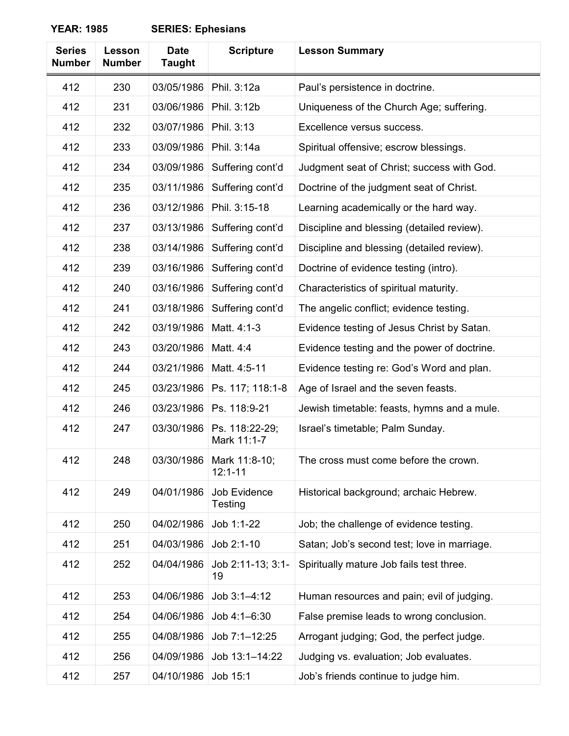| <b>Series</b><br><b>Number</b> | <b>Lesson</b><br><b>Number</b> | <b>Date</b><br><b>Taught</b> | <b>Scripture</b>              | <b>Lesson Summary</b>                       |
|--------------------------------|--------------------------------|------------------------------|-------------------------------|---------------------------------------------|
| 412                            | 230                            | 03/05/1986                   | Phil. 3:12a                   | Paul's persistence in doctrine.             |
| 412                            | 231                            | 03/06/1986                   | Phil. 3:12b                   | Uniqueness of the Church Age; suffering.    |
| 412                            | 232                            | 03/07/1986                   | Phil. 3:13                    | Excellence versus success.                  |
| 412                            | 233                            | 03/09/1986                   | Phil. 3:14a                   | Spiritual offensive; escrow blessings.      |
| 412                            | 234                            | 03/09/1986                   | Suffering cont'd              | Judgment seat of Christ; success with God.  |
| 412                            | 235                            | 03/11/1986                   | Suffering cont'd              | Doctrine of the judgment seat of Christ.    |
| 412                            | 236                            | 03/12/1986                   | Phil. 3:15-18                 | Learning academically or the hard way.      |
| 412                            | 237                            | 03/13/1986                   | Suffering cont'd              | Discipline and blessing (detailed review).  |
| 412                            | 238                            | 03/14/1986                   | Suffering cont'd              | Discipline and blessing (detailed review).  |
| 412                            | 239                            | 03/16/1986                   | Suffering cont'd              | Doctrine of evidence testing (intro).       |
| 412                            | 240                            | 03/16/1986                   | Suffering cont'd              | Characteristics of spiritual maturity.      |
| 412                            | 241                            | 03/18/1986                   | Suffering cont'd              | The angelic conflict; evidence testing.     |
| 412                            | 242                            | 03/19/1986                   | Matt. 4:1-3                   | Evidence testing of Jesus Christ by Satan.  |
| 412                            | 243                            | 03/20/1986                   | Matt. 4:4                     | Evidence testing and the power of doctrine. |
| 412                            | 244                            | 03/21/1986                   | Matt. 4:5-11                  | Evidence testing re: God's Word and plan.   |
| 412                            | 245                            | 03/23/1986                   | Ps. 117; 118:1-8              | Age of Israel and the seven feasts.         |
| 412                            | 246                            | 03/23/1986                   | Ps. 118:9-21                  | Jewish timetable: feasts, hymns and a mule. |
| 412                            | 247                            | 03/30/1986                   | Ps. 118:22-29;<br>Mark 11:1-7 | Israel's timetable; Palm Sunday.            |
| 412                            | 248                            | 03/30/1986                   | Mark 11:8-10;<br>$12:1 - 11$  | The cross must come before the crown.       |
| 412                            | 249                            | 04/01/1986                   | Job Evidence<br>Testing       | Historical background; archaic Hebrew.      |
| 412                            | 250                            | 04/02/1986                   | Job 1:1-22                    | Job; the challenge of evidence testing.     |
| 412                            | 251                            | 04/03/1986                   | Job 2:1-10                    | Satan; Job's second test; love in marriage. |
| 412                            | 252                            | 04/04/1986                   | Job 2:11-13; 3:1-<br>19       | Spiritually mature Job fails test three.    |
| 412                            | 253                            | 04/06/1986                   | Job 3:1-4:12                  | Human resources and pain; evil of judging.  |
| 412                            | 254                            | 04/06/1986                   | Job 4:1-6:30                  | False premise leads to wrong conclusion.    |
| 412                            | 255                            | 04/08/1986                   | Job 7:1-12:25                 | Arrogant judging; God, the perfect judge.   |
| 412                            | 256                            | 04/09/1986                   | Job 13:1-14:22                | Judging vs. evaluation; Job evaluates.      |
| 412                            | 257                            | 04/10/1986                   | Job 15:1                      | Job's friends continue to judge him.        |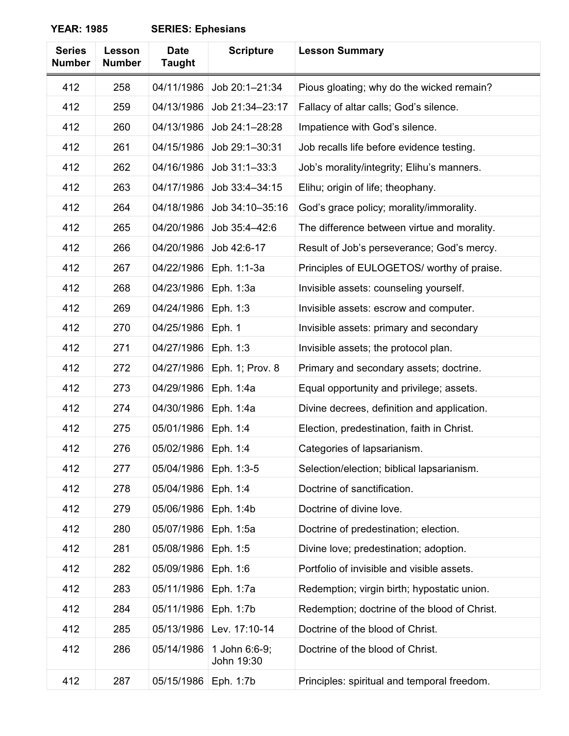| <b>Series</b><br><b>Number</b> | Lesson<br><b>Number</b> | <b>Date</b><br><b>Taught</b> | <b>Scripture</b>            | <b>Lesson Summary</b>                        |
|--------------------------------|-------------------------|------------------------------|-----------------------------|----------------------------------------------|
| 412                            | 258                     | 04/11/1986                   | Job 20:1-21:34              | Pious gloating; why do the wicked remain?    |
| 412                            | 259                     | 04/13/1986                   | Job 21:34-23:17             | Fallacy of altar calls; God's silence.       |
| 412                            | 260                     | 04/13/1986                   | Job 24:1-28:28              | Impatience with God's silence.               |
| 412                            | 261                     | 04/15/1986                   | Job 29:1-30:31              | Job recalls life before evidence testing.    |
| 412                            | 262                     | 04/16/1986                   | Job 31:1-33:3               | Job's morality/integrity; Elihu's manners.   |
| 412                            | 263                     | 04/17/1986                   | Job 33:4-34:15              | Elihu; origin of life; theophany.            |
| 412                            | 264                     | 04/18/1986                   | Job 34:10-35:16             | God's grace policy; morality/immorality.     |
| 412                            | 265                     | 04/20/1986                   | Job 35:4-42:6               | The difference between virtue and morality.  |
| 412                            | 266                     | 04/20/1986                   | Job 42:6-17                 | Result of Job's perseverance; God's mercy.   |
| 412                            | 267                     | 04/22/1986                   | Eph. 1:1-3a                 | Principles of EULOGETOS/ worthy of praise.   |
| 412                            | 268                     | 04/23/1986                   | Eph. 1:3a                   | Invisible assets: counseling yourself.       |
| 412                            | 269                     | 04/24/1986                   | Eph. 1:3                    | Invisible assets: escrow and computer.       |
| 412                            | 270                     | 04/25/1986                   | Eph. 1                      | Invisible assets: primary and secondary      |
| 412                            | 271                     | 04/27/1986                   | Eph. 1:3                    | Invisible assets; the protocol plan.         |
| 412                            | 272                     | 04/27/1986                   | Eph. 1; Prov. 8             | Primary and secondary assets; doctrine.      |
| 412                            | 273                     | 04/29/1986                   | Eph. 1:4a                   | Equal opportunity and privilege; assets.     |
| 412                            | 274                     | 04/30/1986                   | Eph. 1:4a                   | Divine decrees, definition and application.  |
| 412                            | 275                     | 05/01/1986                   | Eph. 1:4                    | Election, predestination, faith in Christ.   |
| 412                            | 276                     | 05/02/1986                   | Eph. 1:4                    | Categories of lapsarianism.                  |
| 412                            | 277                     | 05/04/1986                   | Eph. 1:3-5                  | Selection/election; biblical lapsarianism.   |
| 412                            | 278                     | 05/04/1986                   | Eph. 1:4                    | Doctrine of sanctification.                  |
| 412                            | 279                     | 05/06/1986                   | Eph. 1:4b                   | Doctrine of divine love.                     |
| 412                            | 280                     | 05/07/1986                   | Eph. 1:5a                   | Doctrine of predestination; election.        |
| 412                            | 281                     | 05/08/1986                   | Eph. 1:5                    | Divine love; predestination; adoption.       |
| 412                            | 282                     | 05/09/1986                   | Eph. 1:6                    | Portfolio of invisible and visible assets.   |
| 412                            | 283                     | 05/11/1986                   | Eph. 1:7a                   | Redemption; virgin birth; hypostatic union.  |
| 412                            | 284                     | 05/11/1986                   | Eph. 1:7b                   | Redemption; doctrine of the blood of Christ. |
| 412                            | 285                     | 05/13/1986                   | Lev. 17:10-14               | Doctrine of the blood of Christ.             |
| 412                            | 286                     | 05/14/1986                   | 1 John 6:6-9;<br>John 19:30 | Doctrine of the blood of Christ.             |
| 412                            | 287                     | 05/15/1986                   | Eph. 1:7b                   | Principles: spiritual and temporal freedom.  |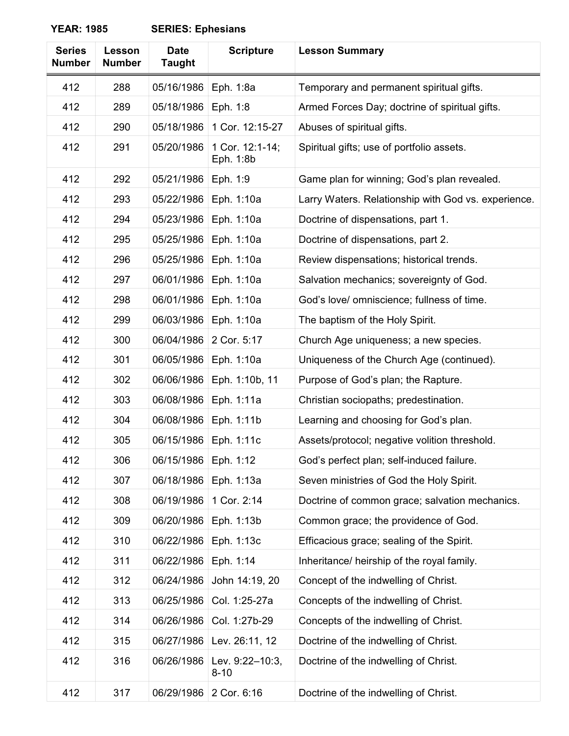| <b>Series</b><br><b>Number</b> | Lesson<br><b>Number</b> | <b>Date</b><br><b>Taught</b> | <b>Scripture</b>             | <b>Lesson Summary</b>                               |
|--------------------------------|-------------------------|------------------------------|------------------------------|-----------------------------------------------------|
| 412                            | 288                     | 05/16/1986                   | Eph. 1:8a                    | Temporary and permanent spiritual gifts.            |
| 412                            | 289                     | 05/18/1986                   | Eph. 1:8                     | Armed Forces Day; doctrine of spiritual gifts.      |
| 412                            | 290                     | 05/18/1986                   | 1 Cor. 12:15-27              | Abuses of spiritual gifts.                          |
| 412                            | 291                     | 05/20/1986                   | 1 Cor. 12:1-14;<br>Eph. 1:8b | Spiritual gifts; use of portfolio assets.           |
| 412                            | 292                     | 05/21/1986                   | Eph. 1:9                     | Game plan for winning; God's plan revealed.         |
| 412                            | 293                     | 05/22/1986                   | Eph. 1:10a                   | Larry Waters. Relationship with God vs. experience. |
| 412                            | 294                     | 05/23/1986                   | Eph. 1:10a                   | Doctrine of dispensations, part 1.                  |
| 412                            | 295                     | 05/25/1986                   | Eph. 1:10a                   | Doctrine of dispensations, part 2.                  |
| 412                            | 296                     | 05/25/1986                   | Eph. 1:10a                   | Review dispensations; historical trends.            |
| 412                            | 297                     | 06/01/1986                   | Eph. 1:10a                   | Salvation mechanics; sovereignty of God.            |
| 412                            | 298                     | 06/01/1986                   | Eph. 1:10a                   | God's love/ omniscience; fullness of time.          |
| 412                            | 299                     | 06/03/1986                   | Eph. 1:10a                   | The baptism of the Holy Spirit.                     |
| 412                            | 300                     | 06/04/1986                   | 2 Cor. 5:17                  | Church Age uniqueness; a new species.               |
| 412                            | 301                     | 06/05/1986                   | Eph. 1:10a                   | Uniqueness of the Church Age (continued).           |
| 412                            | 302                     | 06/06/1986                   | Eph. 1:10b, 11               | Purpose of God's plan; the Rapture.                 |
| 412                            | 303                     | 06/08/1986                   | Eph. 1:11a                   | Christian sociopaths; predestination.               |
| 412                            | 304                     | 06/08/1986                   | Eph. 1:11b                   | Learning and choosing for God's plan.               |
| 412                            | 305                     | 06/15/1986                   | Eph. 1:11c                   | Assets/protocol; negative volition threshold.       |
| 412                            | 306                     | 06/15/1986                   | Eph. 1:12                    | God's perfect plan; self-induced failure.           |
| 412                            | 307                     | 06/18/1986                   | Eph. 1:13a                   | Seven ministries of God the Holy Spirit.            |
| 412                            | 308                     | 06/19/1986                   | 1 Cor. 2:14                  | Doctrine of common grace; salvation mechanics.      |
| 412                            | 309                     | 06/20/1986                   | Eph. 1:13b                   | Common grace; the providence of God.                |
| 412                            | 310                     | 06/22/1986                   | Eph. 1:13c                   | Efficacious grace; sealing of the Spirit.           |
| 412                            | 311                     | 06/22/1986                   | Eph. 1:14                    | Inheritance/ heirship of the royal family.          |
| 412                            | 312                     | 06/24/1986                   | John 14:19, 20               | Concept of the indwelling of Christ.                |
| 412                            | 313                     | 06/25/1986                   | Col. 1:25-27a                | Concepts of the indwelling of Christ.               |
| 412                            | 314                     | 06/26/1986                   | Col. 1:27b-29                | Concepts of the indwelling of Christ.               |
| 412                            | 315                     | 06/27/1986                   | Lev. 26:11, 12               | Doctrine of the indwelling of Christ.               |
| 412                            | 316                     | 06/26/1986                   | Lev. 9:22-10:3,<br>$8 - 10$  | Doctrine of the indwelling of Christ.               |
| 412                            | 317                     | 06/29/1986                   | 2 Cor. 6:16                  | Doctrine of the indwelling of Christ.               |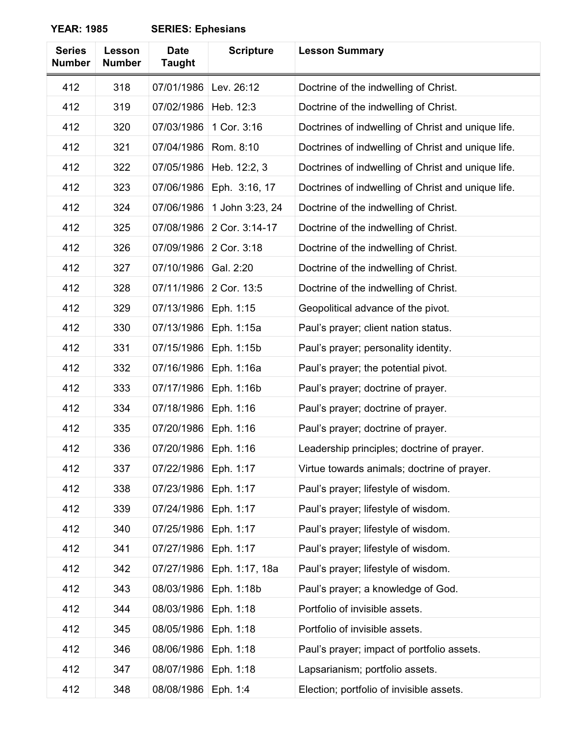| <b>Series</b><br><b>Number</b> | Lesson<br><b>Number</b> | <b>Date</b><br><b>Taught</b> | <b>Scripture</b> | <b>Lesson Summary</b>                              |
|--------------------------------|-------------------------|------------------------------|------------------|----------------------------------------------------|
| 412                            | 318                     | 07/01/1986                   | Lev. 26:12       | Doctrine of the indwelling of Christ.              |
| 412                            | 319                     | 07/02/1986                   | Heb. 12:3        | Doctrine of the indwelling of Christ.              |
| 412                            | 320                     | 07/03/1986                   | 1 Cor. 3:16      | Doctrines of indwelling of Christ and unique life. |
| 412                            | 321                     | 07/04/1986                   | Rom. 8:10        | Doctrines of indwelling of Christ and unique life. |
| 412                            | 322                     | 07/05/1986                   | Heb. 12:2, 3     | Doctrines of indwelling of Christ and unique life. |
| 412                            | 323                     | 07/06/1986                   | Eph. 3:16, 17    | Doctrines of indwelling of Christ and unique life. |
| 412                            | 324                     | 07/06/1986                   | 1 John 3:23, 24  | Doctrine of the indwelling of Christ.              |
| 412                            | 325                     | 07/08/1986                   | 2 Cor. 3:14-17   | Doctrine of the indwelling of Christ.              |
| 412                            | 326                     | 07/09/1986                   | 2 Cor. 3:18      | Doctrine of the indwelling of Christ.              |
| 412                            | 327                     | 07/10/1986                   | Gal. 2:20        | Doctrine of the indwelling of Christ.              |
| 412                            | 328                     | 07/11/1986                   | 2 Cor. 13:5      | Doctrine of the indwelling of Christ.              |
| 412                            | 329                     | 07/13/1986                   | Eph. 1:15        | Geopolitical advance of the pivot.                 |
| 412                            | 330                     | 07/13/1986                   | Eph. 1:15a       | Paul's prayer; client nation status.               |
| 412                            | 331                     | 07/15/1986                   | Eph. 1:15b       | Paul's prayer; personality identity.               |
| 412                            | 332                     | 07/16/1986                   | Eph. 1:16a       | Paul's prayer; the potential pivot.                |
| 412                            | 333                     | 07/17/1986                   | Eph. 1:16b       | Paul's prayer; doctrine of prayer.                 |
| 412                            | 334                     | 07/18/1986                   | Eph. 1:16        | Paul's prayer; doctrine of prayer.                 |
| 412                            | 335                     | 07/20/1986                   | Eph. 1:16        | Paul's prayer; doctrine of prayer.                 |
| 412                            | 336                     | 07/20/1986                   | Eph. 1:16        | Leadership principles; doctrine of prayer.         |
| 412                            | 337                     | 07/22/1986                   | Eph. 1:17        | Virtue towards animals; doctrine of prayer.        |
| 412                            | 338                     | 07/23/1986                   | Eph. 1:17        | Paul's prayer; lifestyle of wisdom.                |
| 412                            | 339                     | 07/24/1986                   | Eph. 1:17        | Paul's prayer; lifestyle of wisdom.                |
| 412                            | 340                     | 07/25/1986                   | Eph. 1:17        | Paul's prayer; lifestyle of wisdom.                |
| 412                            | 341                     | 07/27/1986                   | Eph. 1:17        | Paul's prayer; lifestyle of wisdom.                |
| 412                            | 342                     | 07/27/1986                   | Eph. 1:17, 18a   | Paul's prayer; lifestyle of wisdom.                |
| 412                            | 343                     | 08/03/1986                   | Eph. 1:18b       | Paul's prayer; a knowledge of God.                 |
| 412                            | 344                     | 08/03/1986                   | Eph. 1:18        | Portfolio of invisible assets.                     |
| 412                            | 345                     | 08/05/1986                   | Eph. 1:18        | Portfolio of invisible assets.                     |
| 412                            | 346                     | 08/06/1986                   | Eph. 1:18        | Paul's prayer; impact of portfolio assets.         |
| 412                            | 347                     | 08/07/1986                   | Eph. 1:18        | Lapsarianism; portfolio assets.                    |
| 412                            | 348                     | 08/08/1986                   | Eph. 1:4         | Election; portfolio of invisible assets.           |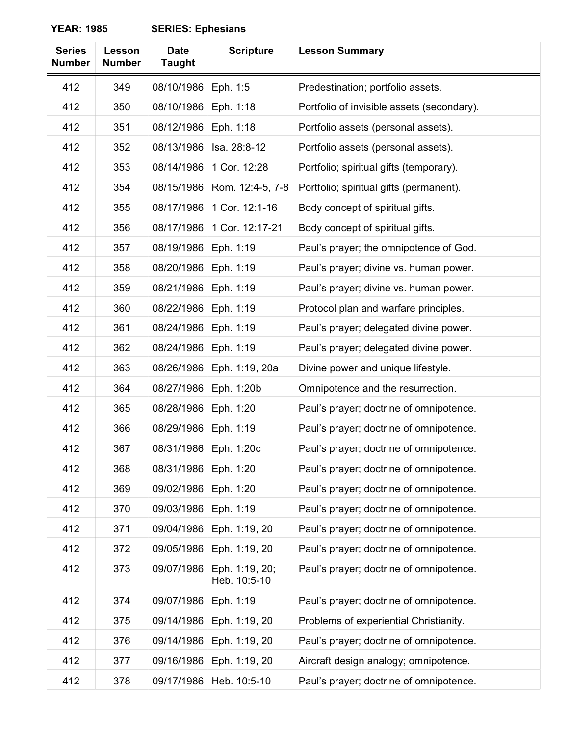| <b>Series</b><br><b>Number</b> | Lesson<br><b>Number</b> | <b>Date</b><br><b>Taught</b> | <b>Scripture</b>               | <b>Lesson Summary</b>                      |
|--------------------------------|-------------------------|------------------------------|--------------------------------|--------------------------------------------|
| 412                            | 349                     | 08/10/1986                   | Eph. 1:5                       | Predestination; portfolio assets.          |
| 412                            | 350                     | 08/10/1986                   | Eph. 1:18                      | Portfolio of invisible assets (secondary). |
| 412                            | 351                     | 08/12/1986                   | Eph. 1:18                      | Portfolio assets (personal assets).        |
| 412                            | 352                     | 08/13/1986                   | Isa. 28:8-12                   | Portfolio assets (personal assets).        |
| 412                            | 353                     | 08/14/1986                   | 1 Cor. 12:28                   | Portfolio; spiritual gifts (temporary).    |
| 412                            | 354                     | 08/15/1986                   | Rom. 12:4-5, 7-8               | Portfolio; spiritual gifts (permanent).    |
| 412                            | 355                     | 08/17/1986                   | 1 Cor. 12:1-16                 | Body concept of spiritual gifts.           |
| 412                            | 356                     | 08/17/1986                   | 1 Cor. 12:17-21                | Body concept of spiritual gifts.           |
| 412                            | 357                     | 08/19/1986                   | Eph. 1:19                      | Paul's prayer; the omnipotence of God.     |
| 412                            | 358                     | 08/20/1986                   | Eph. 1:19                      | Paul's prayer; divine vs. human power.     |
| 412                            | 359                     | 08/21/1986                   | Eph. 1:19                      | Paul's prayer; divine vs. human power.     |
| 412                            | 360                     | 08/22/1986                   | Eph. 1:19                      | Protocol plan and warfare principles.      |
| 412                            | 361                     | 08/24/1986                   | Eph. 1:19                      | Paul's prayer; delegated divine power.     |
| 412                            | 362                     | 08/24/1986                   | Eph. 1:19                      | Paul's prayer; delegated divine power.     |
| 412                            | 363                     | 08/26/1986                   | Eph. 1:19, 20a                 | Divine power and unique lifestyle.         |
| 412                            | 364                     | 08/27/1986                   | Eph. 1:20b                     | Omnipotence and the resurrection.          |
| 412                            | 365                     | 08/28/1986                   | Eph. 1:20                      | Paul's prayer; doctrine of omnipotence.    |
| 412                            | 366                     | 08/29/1986                   | Eph. 1:19                      | Paul's prayer; doctrine of omnipotence.    |
| 412                            | 367                     | 08/31/1986                   | Eph. 1:20c                     | Paul's prayer; doctrine of omnipotence.    |
| 412                            | 368                     | 08/31/1986                   | Eph. 1:20                      | Paul's prayer; doctrine of omnipotence.    |
| 412                            | 369                     | 09/02/1986                   | Eph. 1:20                      | Paul's prayer; doctrine of omnipotence.    |
| 412                            | 370                     | 09/03/1986                   | Eph. 1:19                      | Paul's prayer; doctrine of omnipotence.    |
| 412                            | 371                     | 09/04/1986                   | Eph. 1:19, 20                  | Paul's prayer; doctrine of omnipotence.    |
| 412                            | 372                     | 09/05/1986                   | Eph. 1:19, 20                  | Paul's prayer; doctrine of omnipotence.    |
| 412                            | 373                     | 09/07/1986                   | Eph. 1:19, 20;<br>Heb. 10:5-10 | Paul's prayer; doctrine of omnipotence.    |
| 412                            | 374                     | 09/07/1986                   | Eph. 1:19                      | Paul's prayer; doctrine of omnipotence.    |
| 412                            | 375                     | 09/14/1986                   | Eph. 1:19, 20                  | Problems of experiential Christianity.     |
| 412                            | 376                     | 09/14/1986                   | Eph. 1:19, 20                  | Paul's prayer; doctrine of omnipotence.    |
| 412                            | 377                     | 09/16/1986                   | Eph. 1:19, 20                  | Aircraft design analogy; omnipotence.      |
| 412                            | 378                     | 09/17/1986                   | Heb. 10:5-10                   | Paul's prayer; doctrine of omnipotence.    |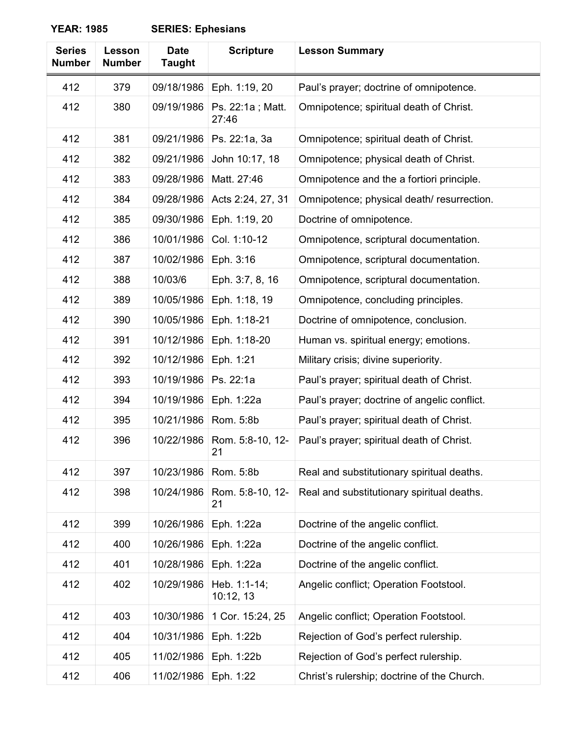| <b>Series</b><br><b>Number</b> | Lesson<br><b>Number</b> | <b>Date</b><br><b>Taught</b> | <b>Scripture</b>          | <b>Lesson Summary</b>                        |
|--------------------------------|-------------------------|------------------------------|---------------------------|----------------------------------------------|
| 412                            | 379                     | 09/18/1986                   | Eph. 1:19, 20             | Paul's prayer; doctrine of omnipotence.      |
| 412                            | 380                     | 09/19/1986                   | Ps. 22:1a; Matt.<br>27:46 | Omnipotence; spiritual death of Christ.      |
| 412                            | 381                     | 09/21/1986                   | Ps. 22:1a, 3a             | Omnipotence; spiritual death of Christ.      |
| 412                            | 382                     | 09/21/1986                   | John 10:17, 18            | Omnipotence; physical death of Christ.       |
| 412                            | 383                     | 09/28/1986                   | Matt. 27:46               | Omnipotence and the a fortiori principle.    |
| 412                            | 384                     | 09/28/1986                   | Acts 2:24, 27, 31         | Omnipotence; physical death/resurrection.    |
| 412                            | 385                     | 09/30/1986                   | Eph. 1:19, 20             | Doctrine of omnipotence.                     |
| 412                            | 386                     | 10/01/1986                   | Col. 1:10-12              | Omnipotence, scriptural documentation.       |
| 412                            | 387                     | 10/02/1986                   | Eph. 3:16                 | Omnipotence, scriptural documentation.       |
| 412                            | 388                     | 10/03/6                      | Eph. 3:7, 8, 16           | Omnipotence, scriptural documentation.       |
| 412                            | 389                     | 10/05/1986                   | Eph. 1:18, 19             | Omnipotence, concluding principles.          |
| 412                            | 390                     | 10/05/1986                   | Eph. 1:18-21              | Doctrine of omnipotence, conclusion.         |
| 412                            | 391                     | 10/12/1986                   | Eph. 1:18-20              | Human vs. spiritual energy; emotions.        |
| 412                            | 392                     | 10/12/1986                   | Eph. 1:21                 | Military crisis; divine superiority.         |
| 412                            | 393                     | 10/19/1986                   | Ps. 22:1a                 | Paul's prayer; spiritual death of Christ.    |
| 412                            | 394                     | 10/19/1986                   | Eph. 1:22a                | Paul's prayer; doctrine of angelic conflict. |
| 412                            | 395                     | 10/21/1986                   | Rom. 5:8b                 | Paul's prayer; spiritual death of Christ.    |
| 412                            | 396                     | 10/22/1986                   | Rom. 5:8-10, 12-<br>21    | Paul's prayer; spiritual death of Christ.    |
| 412                            | 397                     | 10/23/1986                   | Rom. 5:8b                 | Real and substitutionary spiritual deaths.   |
| 412                            | 398                     | 10/24/1986                   | Rom. 5:8-10, 12-<br>21    | Real and substitutionary spiritual deaths.   |
| 412                            | 399                     | 10/26/1986                   | Eph. 1:22a                | Doctrine of the angelic conflict.            |
| 412                            | 400                     | 10/26/1986                   | Eph. 1:22a                | Doctrine of the angelic conflict.            |
| 412                            | 401                     | 10/28/1986                   | Eph. 1:22a                | Doctrine of the angelic conflict.            |
| 412                            | 402                     | 10/29/1986                   | Heb. 1:1-14;<br>10:12, 13 | Angelic conflict; Operation Footstool.       |
| 412                            | 403                     | 10/30/1986                   | 1 Cor. 15:24, 25          | Angelic conflict; Operation Footstool.       |
| 412                            | 404                     | 10/31/1986                   | Eph. 1:22b                | Rejection of God's perfect rulership.        |
| 412                            | 405                     | 11/02/1986                   | Eph. 1:22b                | Rejection of God's perfect rulership.        |
| 412                            | 406                     | 11/02/1986                   | Eph. 1:22                 | Christ's rulership; doctrine of the Church.  |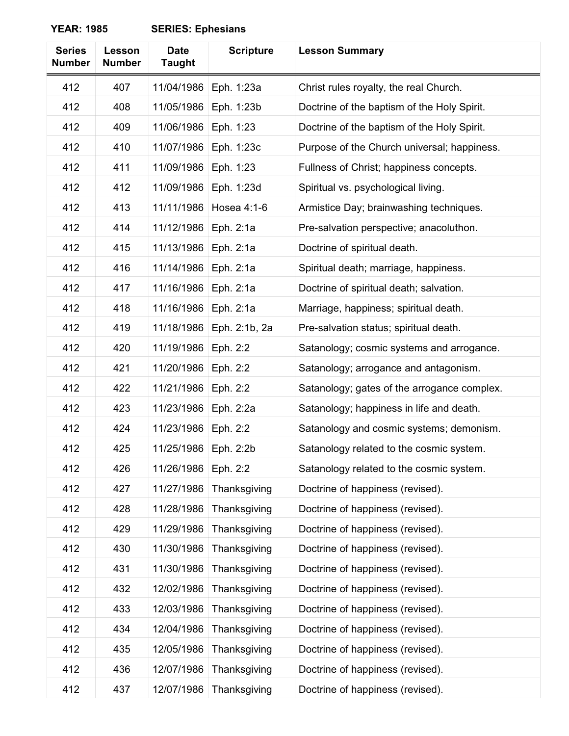| <b>Series</b><br><b>Number</b> | Lesson<br><b>Number</b> | <b>Date</b><br><b>Taught</b> | <b>Scripture</b> | <b>Lesson Summary</b>                       |
|--------------------------------|-------------------------|------------------------------|------------------|---------------------------------------------|
| 412                            | 407                     | 11/04/1986                   | Eph. 1:23a       | Christ rules royalty, the real Church.      |
| 412                            | 408                     | 11/05/1986                   | Eph. 1:23b       | Doctrine of the baptism of the Holy Spirit. |
| 412                            | 409                     | 11/06/1986                   | Eph. 1:23        | Doctrine of the baptism of the Holy Spirit. |
| 412                            | 410                     | 11/07/1986                   | Eph. 1:23c       | Purpose of the Church universal; happiness. |
| 412                            | 411                     | 11/09/1986                   | Eph. 1:23        | Fullness of Christ; happiness concepts.     |
| 412                            | 412                     | 11/09/1986                   | Eph. 1:23d       | Spiritual vs. psychological living.         |
| 412                            | 413                     | 11/11/1986                   | Hosea 4:1-6      | Armistice Day; brainwashing techniques.     |
| 412                            | 414                     | 11/12/1986                   | Eph. 2:1a        | Pre-salvation perspective; anacoluthon.     |
| 412                            | 415                     | 11/13/1986                   | Eph. 2:1a        | Doctrine of spiritual death.                |
| 412                            | 416                     | 11/14/1986                   | Eph. 2:1a        | Spiritual death; marriage, happiness.       |
| 412                            | 417                     | 11/16/1986                   | Eph. 2:1a        | Doctrine of spiritual death; salvation.     |
| 412                            | 418                     | 11/16/1986                   | Eph. 2:1a        | Marriage, happiness; spiritual death.       |
| 412                            | 419                     | 11/18/1986                   | Eph. 2:1b, 2a    | Pre-salvation status; spiritual death.      |
| 412                            | 420                     | 11/19/1986                   | Eph. 2:2         | Satanology; cosmic systems and arrogance.   |
| 412                            | 421                     | 11/20/1986                   | Eph. 2:2         | Satanology; arrogance and antagonism.       |
| 412                            | 422                     | 11/21/1986                   | Eph. 2:2         | Satanology; gates of the arrogance complex. |
| 412                            | 423                     | 11/23/1986                   | Eph. 2:2a        | Satanology; happiness in life and death.    |
| 412                            | 424                     | 11/23/1986                   | Eph. 2:2         | Satanology and cosmic systems; demonism.    |
| 412                            | 425                     | 11/25/1986                   | Eph. 2:2b        | Satanology related to the cosmic system.    |
| 412                            | 426                     | 11/26/1986                   | Eph. 2:2         | Satanology related to the cosmic system.    |
| 412                            | 427                     | 11/27/1986                   | Thanksgiving     | Doctrine of happiness (revised).            |
| 412                            | 428                     | 11/28/1986                   | Thanksgiving     | Doctrine of happiness (revised).            |
| 412                            | 429                     | 11/29/1986                   | Thanksgiving     | Doctrine of happiness (revised).            |
| 412                            | 430                     | 11/30/1986                   | Thanksgiving     | Doctrine of happiness (revised).            |
| 412                            | 431                     | 11/30/1986                   | Thanksgiving     | Doctrine of happiness (revised).            |
| 412                            | 432                     | 12/02/1986                   | Thanksgiving     | Doctrine of happiness (revised).            |
| 412                            | 433                     | 12/03/1986                   | Thanksgiving     | Doctrine of happiness (revised).            |
| 412                            | 434                     | 12/04/1986                   | Thanksgiving     | Doctrine of happiness (revised).            |
| 412                            | 435                     | 12/05/1986                   | Thanksgiving     | Doctrine of happiness (revised).            |
| 412                            | 436                     | 12/07/1986                   | Thanksgiving     | Doctrine of happiness (revised).            |
| 412                            | 437                     | 12/07/1986                   | Thanksgiving     | Doctrine of happiness (revised).            |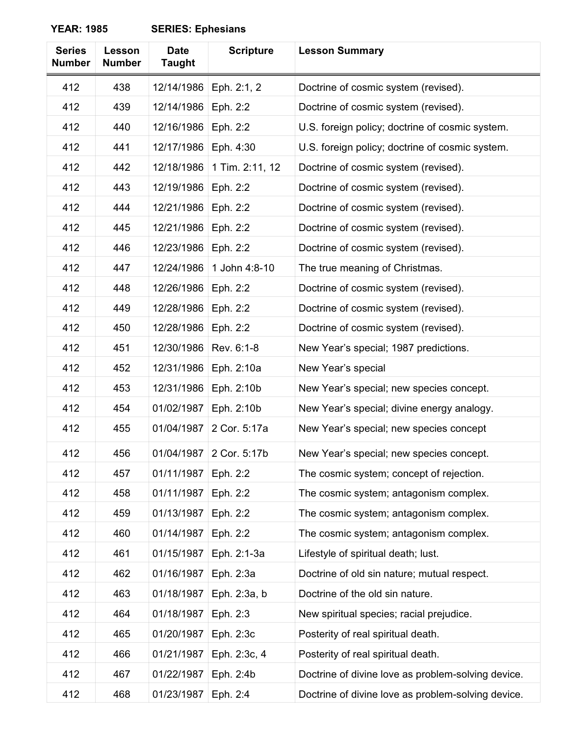| <b>Series</b><br><b>Number</b> | Lesson<br><b>Number</b> | <b>Date</b><br><b>Taught</b> | <b>Scripture</b>          | <b>Lesson Summary</b>                              |
|--------------------------------|-------------------------|------------------------------|---------------------------|----------------------------------------------------|
| 412                            | 438                     | 12/14/1986                   | Eph. 2:1, 2               | Doctrine of cosmic system (revised).               |
| 412                            | 439                     | 12/14/1986                   | Eph. 2:2                  | Doctrine of cosmic system (revised).               |
| 412                            | 440                     | 12/16/1986                   | Eph. 2:2                  | U.S. foreign policy; doctrine of cosmic system.    |
| 412                            | 441                     | 12/17/1986                   | Eph. 4:30                 | U.S. foreign policy; doctrine of cosmic system.    |
| 412                            | 442                     | 12/18/1986                   | 1 Tim. 2:11, 12           | Doctrine of cosmic system (revised).               |
| 412                            | 443                     | 12/19/1986                   | Eph. 2:2                  | Doctrine of cosmic system (revised).               |
| 412                            | 444                     | 12/21/1986                   | Eph. 2:2                  | Doctrine of cosmic system (revised).               |
| 412                            | 445                     | 12/21/1986                   | Eph. 2:2                  | Doctrine of cosmic system (revised).               |
| 412                            | 446                     | 12/23/1986                   | Eph. 2:2                  | Doctrine of cosmic system (revised).               |
| 412                            | 447                     | 12/24/1986                   | 1 John 4:8-10             | The true meaning of Christmas.                     |
| 412                            | 448                     | 12/26/1986                   | Eph. 2:2                  | Doctrine of cosmic system (revised).               |
| 412                            | 449                     | 12/28/1986                   | Eph. 2:2                  | Doctrine of cosmic system (revised).               |
| 412                            | 450                     | 12/28/1986                   | Eph. 2:2                  | Doctrine of cosmic system (revised).               |
| 412                            | 451                     | 12/30/1986                   | Rev. 6:1-8                | New Year's special; 1987 predictions.              |
| 412                            | 452                     | 12/31/1986                   | Eph. 2:10a                | New Year's special                                 |
| 412                            | 453                     | 12/31/1986                   | Eph. 2:10b                | New Year's special; new species concept.           |
| 412                            | 454                     | 01/02/1987                   | Eph. 2:10b                | New Year's special; divine energy analogy.         |
| 412                            | 455                     | 01/04/1987                   | 2 Cor. 5:17a              | New Year's special; new species concept            |
| 412                            | 456                     |                              | 01/04/1987   2 Cor. 5:17b | New Year's special; new species concept.           |
| 412                            | 457                     | 01/11/1987                   | Eph. 2:2                  | The cosmic system; concept of rejection.           |
| 412                            | 458                     | 01/11/1987                   | Eph. 2:2                  | The cosmic system; antagonism complex.             |
| 412                            | 459                     | 01/13/1987                   | Eph. 2:2                  | The cosmic system; antagonism complex.             |
| 412                            | 460                     | 01/14/1987                   | Eph. 2:2                  | The cosmic system; antagonism complex.             |
| 412                            | 461                     | 01/15/1987                   | Eph. 2:1-3a               | Lifestyle of spiritual death; lust.                |
| 412                            | 462                     | 01/16/1987                   | Eph. 2:3a                 | Doctrine of old sin nature; mutual respect.        |
| 412                            | 463                     | 01/18/1987                   | Eph. 2:3a, b              | Doctrine of the old sin nature.                    |
| 412                            | 464                     | 01/18/1987                   | Eph. 2:3                  | New spiritual species; racial prejudice.           |
| 412                            | 465                     | 01/20/1987                   | Eph. 2:3c                 | Posterity of real spiritual death.                 |
| 412                            | 466                     | 01/21/1987                   | Eph. 2:3c, 4              | Posterity of real spiritual death.                 |
| 412                            | 467                     | 01/22/1987                   | Eph. 2:4b                 | Doctrine of divine love as problem-solving device. |
| 412                            | 468                     | 01/23/1987                   | Eph. 2:4                  | Doctrine of divine love as problem-solving device. |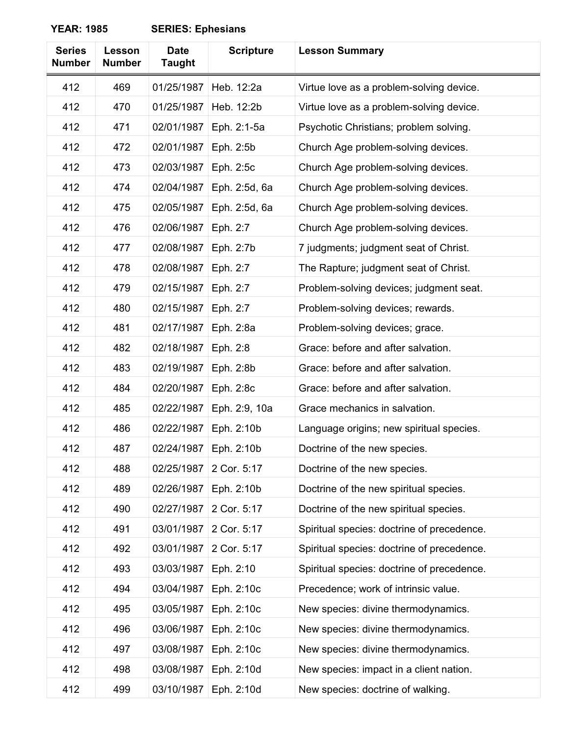| <b>Series</b><br><b>Number</b> | Lesson<br><b>Number</b> | <b>Date</b><br><b>Taught</b> | <b>Scripture</b> | <b>Lesson Summary</b>                      |
|--------------------------------|-------------------------|------------------------------|------------------|--------------------------------------------|
| 412                            | 469                     | 01/25/1987                   | Heb. 12:2a       | Virtue love as a problem-solving device.   |
| 412                            | 470                     | 01/25/1987                   | Heb. 12:2b       | Virtue love as a problem-solving device.   |
| 412                            | 471                     | 02/01/1987                   | Eph. 2:1-5a      | Psychotic Christians; problem solving.     |
| 412                            | 472                     | 02/01/1987                   | Eph. 2:5b        | Church Age problem-solving devices.        |
| 412                            | 473                     | 02/03/1987                   | Eph. 2:5c        | Church Age problem-solving devices.        |
| 412                            | 474                     | 02/04/1987                   | Eph. 2:5d, 6a    | Church Age problem-solving devices.        |
| 412                            | 475                     | 02/05/1987                   | Eph. 2:5d, 6a    | Church Age problem-solving devices.        |
| 412                            | 476                     | 02/06/1987                   | Eph. 2:7         | Church Age problem-solving devices.        |
| 412                            | 477                     | 02/08/1987                   | Eph. 2:7b        | 7 judgments; judgment seat of Christ.      |
| 412                            | 478                     | 02/08/1987                   | Eph. 2:7         | The Rapture; judgment seat of Christ.      |
| 412                            | 479                     | 02/15/1987                   | Eph. 2:7         | Problem-solving devices; judgment seat.    |
| 412                            | 480                     | 02/15/1987                   | Eph. 2:7         | Problem-solving devices; rewards.          |
| 412                            | 481                     | 02/17/1987                   | Eph. 2:8a        | Problem-solving devices; grace.            |
| 412                            | 482                     | 02/18/1987                   | Eph. 2:8         | Grace: before and after salvation.         |
| 412                            | 483                     | 02/19/1987                   | Eph. 2:8b        | Grace: before and after salvation.         |
| 412                            | 484                     | 02/20/1987                   | Eph. 2:8c        | Grace: before and after salvation.         |
| 412                            | 485                     | 02/22/1987                   | Eph. 2:9, 10a    | Grace mechanics in salvation.              |
| 412                            | 486                     | 02/22/1987                   | Eph. 2:10b       | Language origins; new spiritual species.   |
| 412                            | 487                     | 02/24/1987                   | Eph. 2:10b       | Doctrine of the new species.               |
| 412                            | 488                     | 02/25/1987                   | 2 Cor. 5:17      | Doctrine of the new species.               |
| 412                            | 489                     | 02/26/1987                   | Eph. 2:10b       | Doctrine of the new spiritual species.     |
| 412                            | 490                     | 02/27/1987                   | 2 Cor. 5:17      | Doctrine of the new spiritual species.     |
| 412                            | 491                     | 03/01/1987                   | 2 Cor. 5:17      | Spiritual species: doctrine of precedence. |
| 412                            | 492                     | 03/01/1987                   | 2 Cor. 5:17      | Spiritual species: doctrine of precedence. |
| 412                            | 493                     | 03/03/1987                   | Eph. 2:10        | Spiritual species: doctrine of precedence. |
| 412                            | 494                     | 03/04/1987                   | Eph. 2:10c       | Precedence; work of intrinsic value.       |
| 412                            | 495                     | 03/05/1987                   | Eph. 2:10c       | New species: divine thermodynamics.        |
| 412                            | 496                     | 03/06/1987                   | Eph. 2:10c       | New species: divine thermodynamics.        |
| 412                            | 497                     | 03/08/1987                   | Eph. 2:10c       | New species: divine thermodynamics.        |
| 412                            | 498                     | 03/08/1987                   | Eph. 2:10d       | New species: impact in a client nation.    |
| 412                            | 499                     | 03/10/1987                   | Eph. 2:10d       | New species: doctrine of walking.          |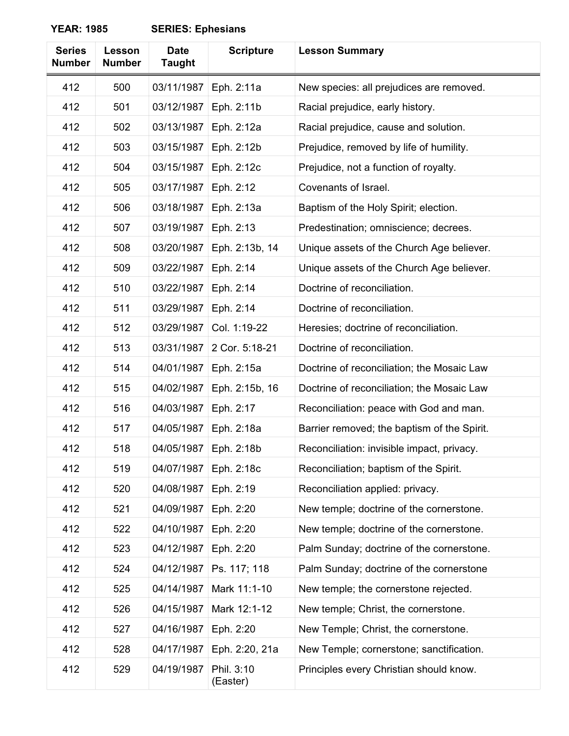| <b>Series</b><br><b>Number</b> | Lesson<br><b>Number</b> | <b>Date</b><br><b>Taught</b> | <b>Scripture</b>       | <b>Lesson Summary</b>                       |
|--------------------------------|-------------------------|------------------------------|------------------------|---------------------------------------------|
| 412                            | 500                     | 03/11/1987                   | Eph. 2:11a             | New species: all prejudices are removed.    |
| 412                            | 501                     | 03/12/1987                   | Eph. 2:11b             | Racial prejudice, early history.            |
| 412                            | 502                     | 03/13/1987                   | Eph. 2:12a             | Racial prejudice, cause and solution.       |
| 412                            | 503                     | 03/15/1987                   | Eph. 2:12b             | Prejudice, removed by life of humility.     |
| 412                            | 504                     | 03/15/1987                   | Eph. 2:12c             | Prejudice, not a function of royalty.       |
| 412                            | 505                     | 03/17/1987                   | Eph. 2:12              | Covenants of Israel.                        |
| 412                            | 506                     | 03/18/1987                   | Eph. 2:13a             | Baptism of the Holy Spirit; election.       |
| 412                            | 507                     | 03/19/1987                   | Eph. 2:13              | Predestination; omniscience; decrees.       |
| 412                            | 508                     | 03/20/1987                   | Eph. 2:13b, 14         | Unique assets of the Church Age believer.   |
| 412                            | 509                     | 03/22/1987                   | Eph. 2:14              | Unique assets of the Church Age believer.   |
| 412                            | 510                     | 03/22/1987                   | Eph. 2:14              | Doctrine of reconciliation.                 |
| 412                            | 511                     | 03/29/1987                   | Eph. 2:14              | Doctrine of reconciliation.                 |
| 412                            | 512                     | 03/29/1987                   | Col. 1:19-22           | Heresies; doctrine of reconciliation.       |
| 412                            | 513                     | 03/31/1987                   | 2 Cor. 5:18-21         | Doctrine of reconciliation.                 |
| 412                            | 514                     | 04/01/1987                   | Eph. 2:15a             | Doctrine of reconciliation; the Mosaic Law  |
| 412                            | 515                     | 04/02/1987                   | Eph. 2:15b, 16         | Doctrine of reconciliation; the Mosaic Law  |
| 412                            | 516                     | 04/03/1987                   | Eph. 2:17              | Reconciliation: peace with God and man.     |
| 412                            | 517                     | 04/05/1987                   | Eph. 2:18a             | Barrier removed; the baptism of the Spirit. |
| 412                            | 518                     | 04/05/1987                   | Eph. 2:18b             | Reconciliation: invisible impact, privacy.  |
| 412                            | 519                     | 04/07/1987                   | Eph. 2:18c             | Reconciliation; baptism of the Spirit.      |
| 412                            | 520                     | 04/08/1987                   | Eph. 2:19              | Reconciliation applied: privacy.            |
| 412                            | 521                     | 04/09/1987                   | Eph. 2:20              | New temple; doctrine of the cornerstone.    |
| 412                            | 522                     | 04/10/1987                   | Eph. 2:20              | New temple; doctrine of the cornerstone.    |
| 412                            | 523                     | 04/12/1987                   | Eph. 2:20              | Palm Sunday; doctrine of the cornerstone.   |
| 412                            | 524                     | 04/12/1987                   | Ps. 117; 118           | Palm Sunday; doctrine of the cornerstone    |
| 412                            | 525                     | 04/14/1987                   | Mark 11:1-10           | New temple; the cornerstone rejected.       |
| 412                            | 526                     | 04/15/1987                   | Mark 12:1-12           | New temple; Christ, the cornerstone.        |
| 412                            | 527                     | 04/16/1987                   | Eph. 2:20              | New Temple; Christ, the cornerstone.        |
| 412                            | 528                     | 04/17/1987                   | Eph. 2:20, 21a         | New Temple; cornerstone; sanctification.    |
| 412                            | 529                     | 04/19/1987                   | Phil. 3:10<br>(Easter) | Principles every Christian should know.     |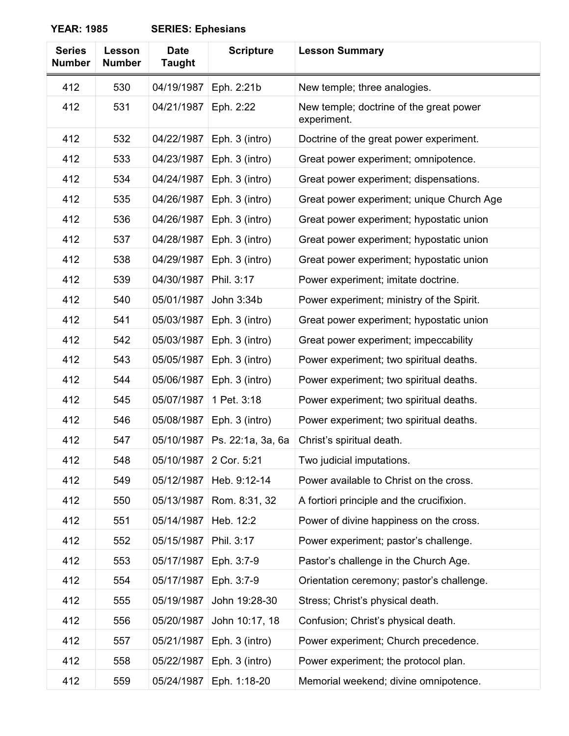| <b>Series</b><br><b>Number</b> | Lesson<br><b>Number</b> | <b>Date</b><br><b>Taught</b> | <b>Scripture</b>  | <b>Lesson Summary</b>                                  |
|--------------------------------|-------------------------|------------------------------|-------------------|--------------------------------------------------------|
| 412                            | 530                     | 04/19/1987                   | Eph. 2:21b        | New temple; three analogies.                           |
| 412                            | 531                     | 04/21/1987                   | Eph. 2:22         | New temple; doctrine of the great power<br>experiment. |
| 412                            | 532                     | 04/22/1987                   | Eph. 3 (intro)    | Doctrine of the great power experiment.                |
| 412                            | 533                     | 04/23/1987                   | Eph. 3 (intro)    | Great power experiment; omnipotence.                   |
| 412                            | 534                     | 04/24/1987                   | Eph. 3 (intro)    | Great power experiment; dispensations.                 |
| 412                            | 535                     | 04/26/1987                   | Eph. 3 (intro)    | Great power experiment; unique Church Age              |
| 412                            | 536                     | 04/26/1987                   | Eph. 3 (intro)    | Great power experiment; hypostatic union               |
| 412                            | 537                     | 04/28/1987                   | Eph. 3 (intro)    | Great power experiment; hypostatic union               |
| 412                            | 538                     | 04/29/1987                   | Eph. 3 (intro)    | Great power experiment; hypostatic union               |
| 412                            | 539                     | 04/30/1987                   | Phil. 3:17        | Power experiment; imitate doctrine.                    |
| 412                            | 540                     | 05/01/1987                   | John 3:34b        | Power experiment; ministry of the Spirit.              |
| 412                            | 541                     | 05/03/1987                   | Eph. 3 (intro)    | Great power experiment; hypostatic union               |
| 412                            | 542                     | 05/03/1987                   | Eph. 3 (intro)    | Great power experiment; impeccability                  |
| 412                            | 543                     | 05/05/1987                   | Eph. 3 (intro)    | Power experiment; two spiritual deaths.                |
| 412                            | 544                     | 05/06/1987                   | Eph. 3 (intro)    | Power experiment; two spiritual deaths.                |
| 412                            | 545                     | 05/07/1987                   | 1 Pet. 3:18       | Power experiment; two spiritual deaths.                |
| 412                            | 546                     | 05/08/1987                   | Eph. 3 (intro)    | Power experiment; two spiritual deaths.                |
| 412                            | 547                     | 05/10/1987                   | Ps. 22:1a, 3a, 6a | Christ's spiritual death.                              |
| 412                            | 548                     | 05/10/1987                   | 2 Cor. 5:21       | Two judicial imputations.                              |
| 412                            | 549                     | 05/12/1987                   | Heb. 9:12-14      | Power available to Christ on the cross.                |
| 412                            | 550                     | 05/13/1987                   | Rom. 8:31, 32     | A fortiori principle and the crucifixion.              |
| 412                            | 551                     | 05/14/1987                   | Heb. 12:2         | Power of divine happiness on the cross.                |
| 412                            | 552                     | 05/15/1987                   | Phil. 3:17        | Power experiment; pastor's challenge.                  |
| 412                            | 553                     | 05/17/1987                   | Eph. 3:7-9        | Pastor's challenge in the Church Age.                  |
| 412                            | 554                     | 05/17/1987                   | Eph. 3:7-9        | Orientation ceremony; pastor's challenge.              |
| 412                            | 555                     | 05/19/1987                   | John 19:28-30     | Stress; Christ's physical death.                       |
| 412                            | 556                     | 05/20/1987                   | John 10:17, 18    | Confusion; Christ's physical death.                    |
| 412                            | 557                     | 05/21/1987                   | Eph. 3 (intro)    | Power experiment; Church precedence.                   |
| 412                            | 558                     | 05/22/1987                   | Eph. 3 (intro)    | Power experiment; the protocol plan.                   |
| 412                            | 559                     | 05/24/1987                   | Eph. 1:18-20      | Memorial weekend; divine omnipotence.                  |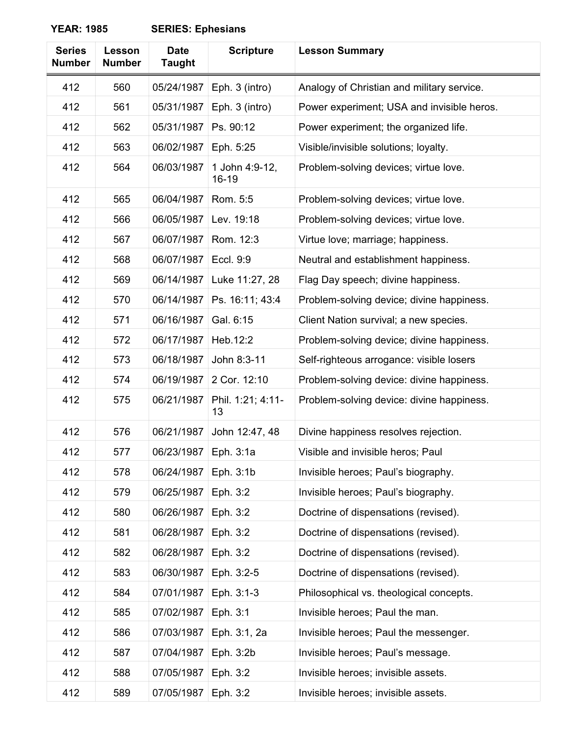| <b>Series</b><br><b>Number</b> | Lesson<br><b>Number</b> | <b>Date</b><br><b>Taught</b> | <b>Scripture</b>        | <b>Lesson Summary</b>                      |
|--------------------------------|-------------------------|------------------------------|-------------------------|--------------------------------------------|
| 412                            | 560                     | 05/24/1987                   | Eph. 3 (intro)          | Analogy of Christian and military service. |
| 412                            | 561                     | 05/31/1987                   | Eph. 3 (intro)          | Power experiment; USA and invisible heros. |
| 412                            | 562                     | 05/31/1987                   | Ps. 90:12               | Power experiment; the organized life.      |
| 412                            | 563                     | 06/02/1987                   | Eph. 5:25               | Visible/invisible solutions; loyalty.      |
| 412                            | 564                     | 06/03/1987                   | 1 John 4:9-12,<br>16-19 | Problem-solving devices; virtue love.      |
| 412                            | 565                     | 06/04/1987                   | Rom. 5:5                | Problem-solving devices; virtue love.      |
| 412                            | 566                     | 06/05/1987                   | Lev. 19:18              | Problem-solving devices; virtue love.      |
| 412                            | 567                     | 06/07/1987                   | Rom. 12:3               | Virtue love; marriage; happiness.          |
| 412                            | 568                     | 06/07/1987                   | Eccl. 9:9               | Neutral and establishment happiness.       |
| 412                            | 569                     | 06/14/1987                   | Luke 11:27, 28          | Flag Day speech; divine happiness.         |
| 412                            | 570                     | 06/14/1987                   | Ps. 16:11; 43:4         | Problem-solving device; divine happiness.  |
| 412                            | 571                     | 06/16/1987                   | Gal. 6:15               | Client Nation survival; a new species.     |
| 412                            | 572                     | 06/17/1987                   | Heb.12:2                | Problem-solving device; divine happiness.  |
| 412                            | 573                     | 06/18/1987                   | John 8:3-11             | Self-righteous arrogance: visible losers   |
| 412                            | 574                     | 06/19/1987                   | 2 Cor. 12:10            | Problem-solving device: divine happiness.  |
| 412                            | 575                     | 06/21/1987                   | Phil. 1:21; 4:11-<br>13 | Problem-solving device: divine happiness.  |
| 412                            | 576                     | 06/21/1987                   | John 12:47, 48          | Divine happiness resolves rejection.       |
| 412                            | 577                     | 06/23/1987                   | Eph. 3:1a               | Visible and invisible heros; Paul          |
| 412                            | 578                     | 06/24/1987                   | Eph. 3:1b               | Invisible heroes; Paul's biography.        |
| 412                            | 579                     | 06/25/1987                   | Eph. 3:2                | Invisible heroes; Paul's biography.        |
| 412                            | 580                     | 06/26/1987                   | Eph. 3:2                | Doctrine of dispensations (revised).       |
| 412                            | 581                     | 06/28/1987                   | Eph. 3:2                | Doctrine of dispensations (revised).       |
| 412                            | 582                     | 06/28/1987                   | Eph. 3:2                | Doctrine of dispensations (revised).       |
| 412                            | 583                     | 06/30/1987                   | Eph. 3:2-5              | Doctrine of dispensations (revised).       |
| 412                            | 584                     | 07/01/1987                   | Eph. 3:1-3              | Philosophical vs. theological concepts.    |
| 412                            | 585                     | 07/02/1987                   | Eph. 3:1                | Invisible heroes; Paul the man.            |
| 412                            | 586                     | 07/03/1987                   | Eph. 3:1, 2a            | Invisible heroes; Paul the messenger.      |
| 412                            | 587                     | 07/04/1987                   | Eph. 3:2b               | Invisible heroes; Paul's message.          |
| 412                            | 588                     | 07/05/1987                   | Eph. 3:2                | Invisible heroes; invisible assets.        |
| 412                            | 589                     | 07/05/1987                   | Eph. 3:2                | Invisible heroes; invisible assets.        |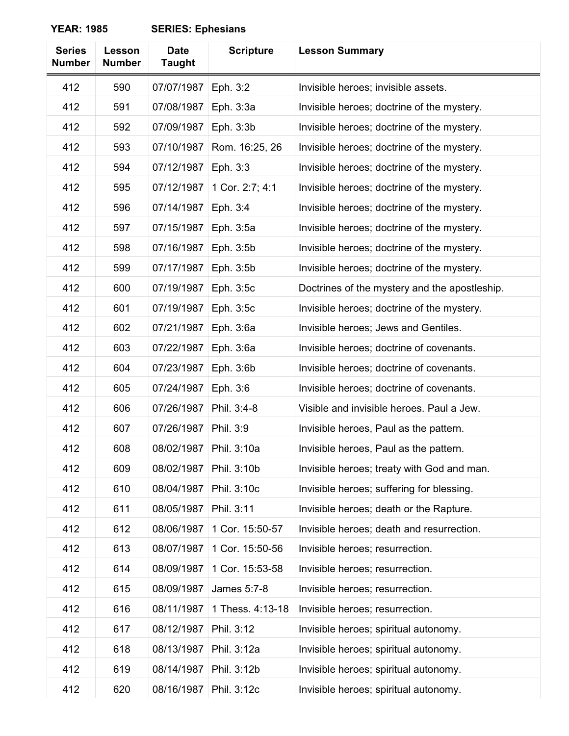| <b>Series</b><br><b>Number</b> | Lesson<br><b>Number</b> | <b>Date</b><br><b>Taught</b> | <b>Scripture</b> | <b>Lesson Summary</b>                         |
|--------------------------------|-------------------------|------------------------------|------------------|-----------------------------------------------|
| 412                            | 590                     | 07/07/1987                   | Eph. 3:2         | Invisible heroes; invisible assets.           |
| 412                            | 591                     | 07/08/1987                   | Eph. 3:3a        | Invisible heroes; doctrine of the mystery.    |
| 412                            | 592                     | 07/09/1987                   | Eph. 3:3b        | Invisible heroes; doctrine of the mystery.    |
| 412                            | 593                     | 07/10/1987                   | Rom. 16:25, 26   | Invisible heroes; doctrine of the mystery.    |
| 412                            | 594                     | 07/12/1987                   | Eph. 3:3         | Invisible heroes; doctrine of the mystery.    |
| 412                            | 595                     | 07/12/1987                   | 1 Cor. 2:7; 4:1  | Invisible heroes; doctrine of the mystery.    |
| 412                            | 596                     | 07/14/1987                   | Eph. 3:4         | Invisible heroes; doctrine of the mystery.    |
| 412                            | 597                     | 07/15/1987                   | Eph. 3:5a        | Invisible heroes; doctrine of the mystery.    |
| 412                            | 598                     | 07/16/1987                   | Eph. 3:5b        | Invisible heroes; doctrine of the mystery.    |
| 412                            | 599                     | 07/17/1987                   | Eph. 3:5b        | Invisible heroes; doctrine of the mystery.    |
| 412                            | 600                     | 07/19/1987                   | Eph. 3:5c        | Doctrines of the mystery and the apostleship. |
| 412                            | 601                     | 07/19/1987                   | Eph. 3:5c        | Invisible heroes; doctrine of the mystery.    |
| 412                            | 602                     | 07/21/1987                   | Eph. 3:6a        | Invisible heroes; Jews and Gentiles.          |
| 412                            | 603                     | 07/22/1987                   | Eph. 3:6a        | Invisible heroes; doctrine of covenants.      |
| 412                            | 604                     | 07/23/1987                   | Eph. 3:6b        | Invisible heroes; doctrine of covenants.      |
| 412                            | 605                     | 07/24/1987                   | Eph. 3:6         | Invisible heroes; doctrine of covenants.      |
| 412                            | 606                     | 07/26/1987                   | Phil. 3:4-8      | Visible and invisible heroes. Paul a Jew.     |
| 412                            | 607                     | 07/26/1987                   | Phil. 3:9        | Invisible heroes, Paul as the pattern.        |
| 412                            | 608                     | 08/02/1987                   | Phil. 3:10a      | Invisible heroes, Paul as the pattern.        |
| 412                            | 609                     | 08/02/1987                   | Phil. 3:10b      | Invisible heroes; treaty with God and man.    |
| 412                            | 610                     | 08/04/1987                   | Phil. 3:10c      | Invisible heroes; suffering for blessing.     |
| 412                            | 611                     | 08/05/1987                   | Phil. 3:11       | Invisible heroes; death or the Rapture.       |
| 412                            | 612                     | 08/06/1987                   | 1 Cor. 15:50-57  | Invisible heroes; death and resurrection.     |
| 412                            | 613                     | 08/07/1987                   | 1 Cor. 15:50-56  | Invisible heroes; resurrection.               |
| 412                            | 614                     | 08/09/1987                   | 1 Cor. 15:53-58  | Invisible heroes; resurrection.               |
| 412                            | 615                     | 08/09/1987                   | James 5:7-8      | Invisible heroes; resurrection.               |
| 412                            | 616                     | 08/11/1987                   | 1 Thess. 4:13-18 | Invisible heroes; resurrection.               |
| 412                            | 617                     | 08/12/1987                   | Phil. 3:12       | Invisible heroes; spiritual autonomy.         |
| 412                            | 618                     | 08/13/1987                   | Phil. 3:12a      | Invisible heroes; spiritual autonomy.         |
| 412                            | 619                     | 08/14/1987                   | Phil. 3:12b      | Invisible heroes; spiritual autonomy.         |
| 412                            | 620                     | 08/16/1987                   | Phil. 3:12c      | Invisible heroes; spiritual autonomy.         |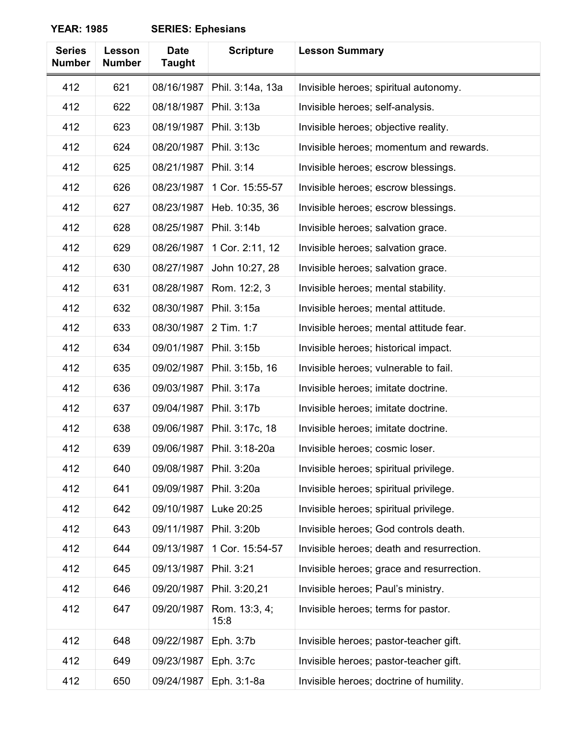| <b>Series</b><br><b>Number</b> | Lesson<br><b>Number</b> | <b>Date</b><br><b>Taught</b> | <b>Scripture</b>      | <b>Lesson Summary</b>                     |
|--------------------------------|-------------------------|------------------------------|-----------------------|-------------------------------------------|
| 412                            | 621                     | 08/16/1987                   | Phil. 3:14a, 13a      | Invisible heroes; spiritual autonomy.     |
| 412                            | 622                     | 08/18/1987                   | Phil. 3:13a           | Invisible heroes; self-analysis.          |
| 412                            | 623                     | 08/19/1987                   | Phil. 3:13b           | Invisible heroes; objective reality.      |
| 412                            | 624                     | 08/20/1987                   | Phil. 3:13c           | Invisible heroes; momentum and rewards.   |
| 412                            | 625                     | 08/21/1987                   | Phil. 3:14            | Invisible heroes; escrow blessings.       |
| 412                            | 626                     | 08/23/1987                   | 1 Cor. 15:55-57       | Invisible heroes; escrow blessings.       |
| 412                            | 627                     | 08/23/1987                   | Heb. 10:35, 36        | Invisible heroes; escrow blessings.       |
| 412                            | 628                     | 08/25/1987                   | Phil. 3:14b           | Invisible heroes; salvation grace.        |
| 412                            | 629                     | 08/26/1987                   | 1 Cor. 2:11, 12       | Invisible heroes; salvation grace.        |
| 412                            | 630                     | 08/27/1987                   | John 10:27, 28        | Invisible heroes; salvation grace.        |
| 412                            | 631                     | 08/28/1987                   | Rom. 12:2, 3          | Invisible heroes; mental stability.       |
| 412                            | 632                     | 08/30/1987                   | Phil. 3:15a           | Invisible heroes; mental attitude.        |
| 412                            | 633                     | 08/30/1987                   | 2 Tim. 1:7            | Invisible heroes; mental attitude fear.   |
| 412                            | 634                     | 09/01/1987                   | Phil. 3:15b           | Invisible heroes; historical impact.      |
| 412                            | 635                     | 09/02/1987                   | Phil. 3:15b, 16       | Invisible heroes; vulnerable to fail.     |
| 412                            | 636                     | 09/03/1987                   | Phil. 3:17a           | Invisible heroes; imitate doctrine.       |
| 412                            | 637                     | 09/04/1987                   | Phil. 3:17b           | Invisible heroes; imitate doctrine.       |
| 412                            | 638                     | 09/06/1987                   | Phil. 3:17c, 18       | Invisible heroes; imitate doctrine.       |
| 412                            | 639                     | 09/06/1987                   | Phil. 3:18-20a        | Invisible heroes; cosmic loser.           |
| 412                            | 640                     | 09/08/1987                   | Phil. 3:20a           | Invisible heroes; spiritual privilege.    |
| 412                            | 641                     | 09/09/1987                   | Phil. 3:20a           | Invisible heroes; spiritual privilege.    |
| 412                            | 642                     | 09/10/1987                   | Luke 20:25            | Invisible heroes; spiritual privilege.    |
| 412                            | 643                     | 09/11/1987                   | Phil. 3:20b           | Invisible heroes; God controls death.     |
| 412                            | 644                     | 09/13/1987                   | 1 Cor. 15:54-57       | Invisible heroes; death and resurrection. |
| 412                            | 645                     | 09/13/1987                   | Phil. 3:21            | Invisible heroes; grace and resurrection. |
| 412                            | 646                     | 09/20/1987                   | Phil. 3:20,21         | Invisible heroes; Paul's ministry.        |
| 412                            | 647                     | 09/20/1987                   | Rom. 13:3, 4;<br>15:8 | Invisible heroes; terms for pastor.       |
| 412                            | 648                     | 09/22/1987                   | Eph. 3:7b             | Invisible heroes; pastor-teacher gift.    |
| 412                            | 649                     | 09/23/1987                   | Eph. 3:7c             | Invisible heroes; pastor-teacher gift.    |
| 412                            | 650                     | 09/24/1987                   | Eph. 3:1-8a           | Invisible heroes; doctrine of humility.   |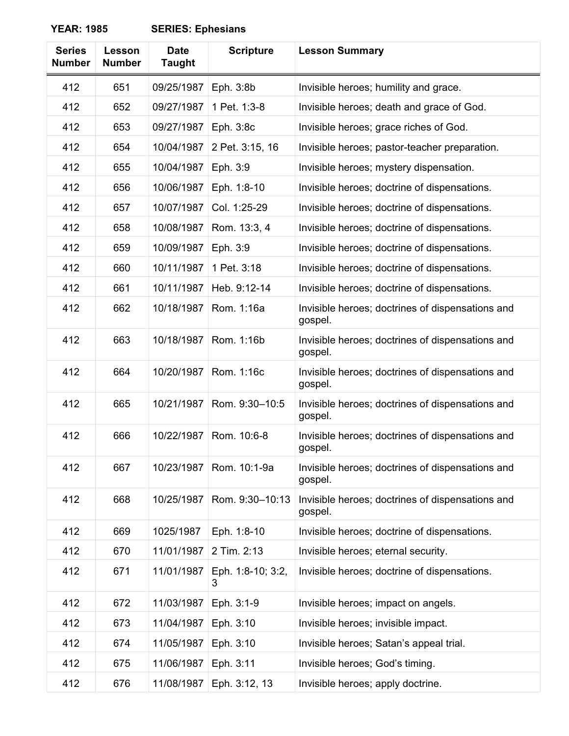| <b>Series</b><br><b>Number</b> | Lesson<br><b>Number</b> | <b>Date</b><br><b>Taught</b> | <b>Scripture</b>       | <b>Lesson Summary</b>                                       |
|--------------------------------|-------------------------|------------------------------|------------------------|-------------------------------------------------------------|
| 412                            | 651                     | 09/25/1987                   | Eph. 3:8b              | Invisible heroes; humility and grace.                       |
| 412                            | 652                     | 09/27/1987                   | 1 Pet. 1:3-8           | Invisible heroes; death and grace of God.                   |
| 412                            | 653                     | 09/27/1987                   | Eph. 3:8c              | Invisible heroes; grace riches of God.                      |
| 412                            | 654                     | 10/04/1987                   | 2 Pet. 3:15, 16        | Invisible heroes; pastor-teacher preparation.               |
| 412                            | 655                     | 10/04/1987                   | Eph. 3:9               | Invisible heroes; mystery dispensation.                     |
| 412                            | 656                     | 10/06/1987                   | Eph. 1:8-10            | Invisible heroes; doctrine of dispensations.                |
| 412                            | 657                     | 10/07/1987                   | Col. 1:25-29           | Invisible heroes; doctrine of dispensations.                |
| 412                            | 658                     | 10/08/1987                   | Rom. 13:3, 4           | Invisible heroes; doctrine of dispensations.                |
| 412                            | 659                     | 10/09/1987                   | Eph. 3:9               | Invisible heroes; doctrine of dispensations.                |
| 412                            | 660                     | 10/11/1987                   | 1 Pet. 3:18            | Invisible heroes; doctrine of dispensations.                |
| 412                            | 661                     | 10/11/1987                   | Heb. 9:12-14           | Invisible heroes; doctrine of dispensations.                |
| 412                            | 662                     | 10/18/1987                   | Rom. 1:16a             | Invisible heroes; doctrines of dispensations and<br>gospel. |
| 412                            | 663                     | 10/18/1987                   | Rom. 1:16b             | Invisible heroes; doctrines of dispensations and<br>gospel. |
| 412                            | 664                     | 10/20/1987                   | Rom. 1:16c             | Invisible heroes; doctrines of dispensations and<br>gospel. |
| 412                            | 665                     | 10/21/1987                   | Rom. 9:30-10:5         | Invisible heroes; doctrines of dispensations and<br>gospel. |
| 412                            | 666                     | 10/22/1987                   | Rom. 10:6-8            | Invisible heroes; doctrines of dispensations and<br>gospel. |
| 412                            | 667                     | 10/23/1987                   | Rom. 10:1-9a           | Invisible heroes; doctrines of dispensations and<br>gospel. |
| 412                            | 668                     | 10/25/1987                   | Rom. 9:30-10:13        | Invisible heroes; doctrines of dispensations and<br>gospel. |
| 412                            | 669                     | 1025/1987                    | Eph. 1:8-10            | Invisible heroes; doctrine of dispensations.                |
| 412                            | 670                     | 11/01/1987                   | 2 Tim. 2:13            | Invisible heroes; eternal security.                         |
| 412                            | 671                     | 11/01/1987                   | Eph. 1:8-10; 3:2,<br>3 | Invisible heroes; doctrine of dispensations.                |
| 412                            | 672                     | 11/03/1987                   | Eph. 3:1-9             | Invisible heroes; impact on angels.                         |
| 412                            | 673                     | 11/04/1987                   | Eph. 3:10              | Invisible heroes; invisible impact.                         |
| 412                            | 674                     | 11/05/1987                   | Eph. 3:10              | Invisible heroes; Satan's appeal trial.                     |
| 412                            | 675                     | 11/06/1987                   | Eph. 3:11              | Invisible heroes; God's timing.                             |
| 412                            | 676                     | 11/08/1987                   | Eph. 3:12, 13          | Invisible heroes; apply doctrine.                           |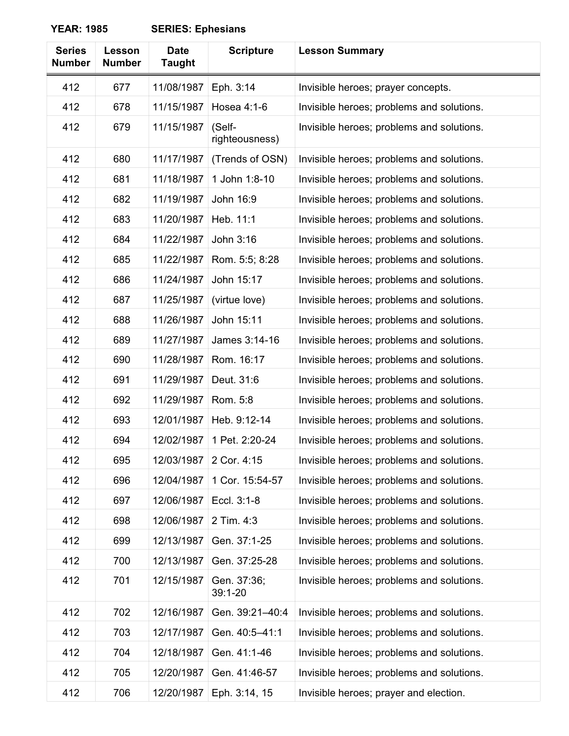| <b>Series</b><br><b>Number</b> | Lesson<br><b>Number</b> | <b>Date</b><br><b>Taught</b> | <b>Scripture</b>           | <b>Lesson Summary</b>                     |
|--------------------------------|-------------------------|------------------------------|----------------------------|-------------------------------------------|
| 412                            | 677                     | 11/08/1987                   | Eph. 3:14                  | Invisible heroes; prayer concepts.        |
| 412                            | 678                     | 11/15/1987                   | Hosea 4:1-6                | Invisible heroes; problems and solutions. |
| 412                            | 679                     | 11/15/1987                   | (Self-<br>righteousness)   | Invisible heroes; problems and solutions. |
| 412                            | 680                     | 11/17/1987                   | (Trends of OSN)            | Invisible heroes; problems and solutions. |
| 412                            | 681                     | 11/18/1987                   | 1 John 1:8-10              | Invisible heroes; problems and solutions. |
| 412                            | 682                     | 11/19/1987                   | John 16:9                  | Invisible heroes; problems and solutions. |
| 412                            | 683                     | 11/20/1987                   | Heb. 11:1                  | Invisible heroes; problems and solutions. |
| 412                            | 684                     | 11/22/1987                   | John 3:16                  | Invisible heroes; problems and solutions. |
| 412                            | 685                     | 11/22/1987                   | Rom. 5:5; 8:28             | Invisible heroes; problems and solutions. |
| 412                            | 686                     | 11/24/1987                   | John 15:17                 | Invisible heroes; problems and solutions. |
| 412                            | 687                     | 11/25/1987                   | (virtue love)              | Invisible heroes; problems and solutions. |
| 412                            | 688                     | 11/26/1987                   | John 15:11                 | Invisible heroes; problems and solutions. |
| 412                            | 689                     | 11/27/1987                   | James 3:14-16              | Invisible heroes; problems and solutions. |
| 412                            | 690                     | 11/28/1987                   | Rom. 16:17                 | Invisible heroes; problems and solutions. |
| 412                            | 691                     | 11/29/1987                   | Deut. 31:6                 | Invisible heroes; problems and solutions. |
| 412                            | 692                     | 11/29/1987                   | Rom. 5:8                   | Invisible heroes; problems and solutions. |
| 412                            | 693                     | 12/01/1987                   | Heb. 9:12-14               | Invisible heroes; problems and solutions. |
| 412                            | 694                     | 12/02/1987                   | 1 Pet. 2:20-24             | Invisible heroes; problems and solutions. |
| 412                            | 695                     | 12/03/1987                   | 2 Cor. 4:15                | Invisible heroes; problems and solutions. |
| 412                            | 696                     | 12/04/1987                   | 1 Cor. 15:54-57            | Invisible heroes; problems and solutions. |
| 412                            | 697                     | 12/06/1987                   | Eccl. 3:1-8                | Invisible heroes; problems and solutions. |
| 412                            | 698                     | 12/06/1987                   | 2 Tim. 4:3                 | Invisible heroes; problems and solutions. |
| 412                            | 699                     | 12/13/1987                   | Gen. 37:1-25               | Invisible heroes; problems and solutions. |
| 412                            | 700                     | 12/13/1987                   | Gen. 37:25-28              | Invisible heroes; problems and solutions. |
| 412                            | 701                     | 12/15/1987                   | Gen. 37:36;<br>$39:1 - 20$ | Invisible heroes; problems and solutions. |
| 412                            | 702                     | 12/16/1987                   | Gen. 39:21-40:4            | Invisible heroes; problems and solutions. |
| 412                            | 703                     | 12/17/1987                   | Gen. 40:5-41:1             | Invisible heroes; problems and solutions. |
| 412                            | 704                     | 12/18/1987                   | Gen. 41:1-46               | Invisible heroes; problems and solutions. |
| 412                            | 705                     | 12/20/1987                   | Gen. 41:46-57              | Invisible heroes; problems and solutions. |
| 412                            | 706                     | 12/20/1987                   | Eph. 3:14, 15              | Invisible heroes; prayer and election.    |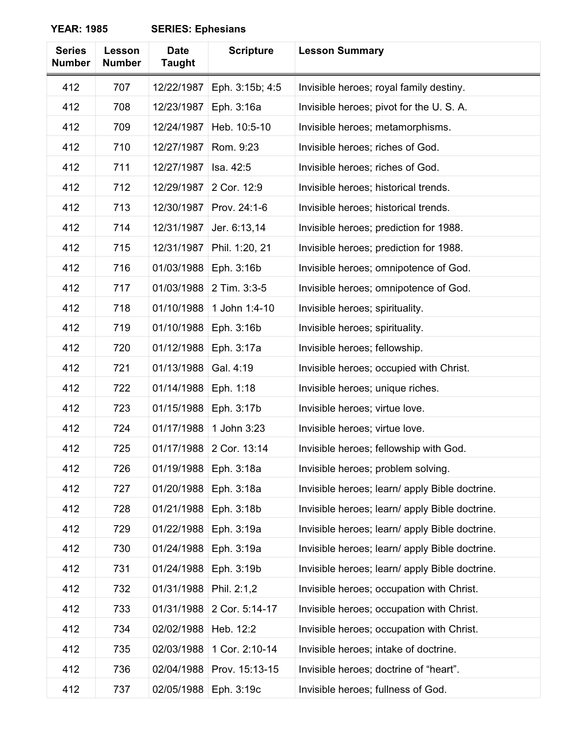| <b>Series</b><br><b>Number</b> | Lesson<br><b>Number</b> | <b>Date</b><br><b>Taught</b> | <b>Scripture</b> | <b>Lesson Summary</b>                          |
|--------------------------------|-------------------------|------------------------------|------------------|------------------------------------------------|
| 412                            | 707                     | 12/22/1987                   | Eph. 3:15b; 4:5  | Invisible heroes; royal family destiny.        |
| 412                            | 708                     | 12/23/1987                   | Eph. 3:16a       | Invisible heroes; pivot for the U.S.A.         |
| 412                            | 709                     | 12/24/1987                   | Heb. 10:5-10     | Invisible heroes; metamorphisms.               |
| 412                            | 710                     | 12/27/1987                   | Rom. 9:23        | Invisible heroes; riches of God.               |
| 412                            | 711                     | 12/27/1987                   | Isa. 42:5        | Invisible heroes; riches of God.               |
| 412                            | 712                     | 12/29/1987                   | 2 Cor. 12:9      | Invisible heroes; historical trends.           |
| 412                            | 713                     | 12/30/1987                   | Prov. 24:1-6     | Invisible heroes; historical trends.           |
| 412                            | 714                     | 12/31/1987                   | Jer. 6:13,14     | Invisible heroes; prediction for 1988.         |
| 412                            | 715                     | 12/31/1987                   | Phil. 1:20, 21   | Invisible heroes; prediction for 1988.         |
| 412                            | 716                     | 01/03/1988                   | Eph. 3:16b       | Invisible heroes; omnipotence of God.          |
| 412                            | 717                     | 01/03/1988                   | 2 Tim. 3:3-5     | Invisible heroes; omnipotence of God.          |
| 412                            | 718                     | 01/10/1988                   | 1 John 1:4-10    | Invisible heroes; spirituality.                |
| 412                            | 719                     | 01/10/1988                   | Eph. 3:16b       | Invisible heroes; spirituality.                |
| 412                            | 720                     | 01/12/1988                   | Eph. 3:17a       | Invisible heroes; fellowship.                  |
| 412                            | 721                     | 01/13/1988                   | Gal. 4:19        | Invisible heroes; occupied with Christ.        |
| 412                            | 722                     | 01/14/1988                   | Eph. 1:18        | Invisible heroes; unique riches.               |
| 412                            | 723                     | 01/15/1988                   | Eph. 3:17b       | Invisible heroes; virtue love.                 |
| 412                            | 724                     | 01/17/1988                   | 1 John 3:23      | Invisible heroes; virtue love.                 |
| 412                            | 725                     | 01/17/1988                   | 2 Cor. 13:14     | Invisible heroes; fellowship with God.         |
| 412                            | 726                     | 01/19/1988                   | Eph. 3:18a       | Invisible heroes; problem solving.             |
| 412                            | 727                     | 01/20/1988                   | Eph. 3:18a       | Invisible heroes; learn/ apply Bible doctrine. |
| 412                            | 728                     | 01/21/1988                   | Eph. 3:18b       | Invisible heroes; learn/ apply Bible doctrine. |
| 412                            | 729                     | 01/22/1988                   | Eph. 3:19a       | Invisible heroes; learn/ apply Bible doctrine. |
| 412                            | 730                     | 01/24/1988                   | Eph. 3:19a       | Invisible heroes; learn/ apply Bible doctrine. |
| 412                            | 731                     | 01/24/1988                   | Eph. 3:19b       | Invisible heroes; learn/ apply Bible doctrine. |
| 412                            | 732                     | 01/31/1988                   | Phil. 2:1,2      | Invisible heroes; occupation with Christ.      |
| 412                            | 733                     | 01/31/1988                   | 2 Cor. 5:14-17   | Invisible heroes; occupation with Christ.      |
| 412                            | 734                     | 02/02/1988                   | Heb. 12:2        | Invisible heroes; occupation with Christ.      |
| 412                            | 735                     | 02/03/1988                   | 1 Cor. 2:10-14   | Invisible heroes; intake of doctrine.          |
| 412                            | 736                     | 02/04/1988                   | Prov. 15:13-15   | Invisible heroes; doctrine of "heart".         |
| 412                            | 737                     | 02/05/1988                   | Eph. 3:19c       | Invisible heroes; fullness of God.             |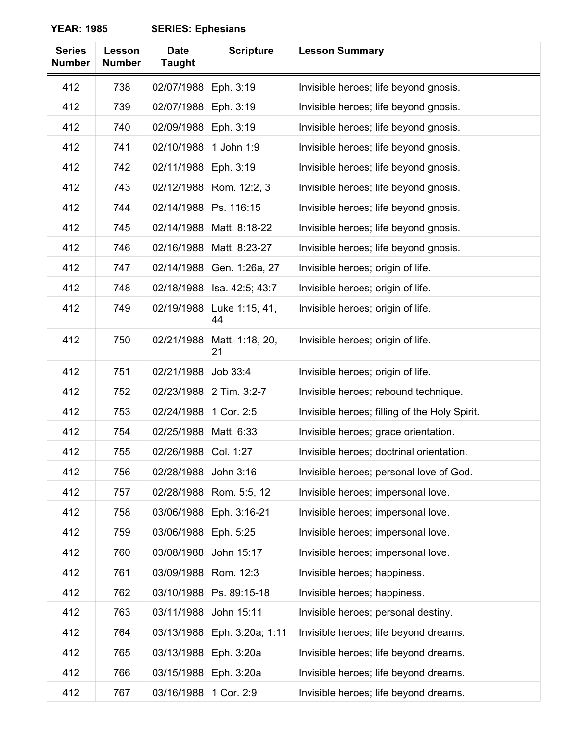| <b>Series</b><br><b>Number</b> | Lesson<br><b>Number</b> | <b>Date</b><br><b>Taught</b> | <b>Scripture</b>      | <b>Lesson Summary</b>                         |
|--------------------------------|-------------------------|------------------------------|-----------------------|-----------------------------------------------|
| 412                            | 738                     | 02/07/1988                   | Eph. 3:19             | Invisible heroes; life beyond gnosis.         |
| 412                            | 739                     | 02/07/1988                   | Eph. 3:19             | Invisible heroes; life beyond gnosis.         |
| 412                            | 740                     | 02/09/1988                   | Eph. 3:19             | Invisible heroes; life beyond gnosis.         |
| 412                            | 741                     | 02/10/1988                   | 1 John 1:9            | Invisible heroes; life beyond gnosis.         |
| 412                            | 742                     | 02/11/1988                   | Eph. 3:19             | Invisible heroes; life beyond gnosis.         |
| 412                            | 743                     | 02/12/1988                   | Rom. 12:2, 3          | Invisible heroes; life beyond gnosis.         |
| 412                            | 744                     | 02/14/1988                   | Ps. 116:15            | Invisible heroes; life beyond gnosis.         |
| 412                            | 745                     | 02/14/1988                   | Matt. 8:18-22         | Invisible heroes; life beyond gnosis.         |
| 412                            | 746                     | 02/16/1988                   | Matt. 8:23-27         | Invisible heroes; life beyond gnosis.         |
| 412                            | 747                     | 02/14/1988                   | Gen. 1:26a, 27        | Invisible heroes; origin of life.             |
| 412                            | 748                     | 02/18/1988                   | Isa. 42:5; 43:7       | Invisible heroes; origin of life.             |
| 412                            | 749                     | 02/19/1988                   | Luke 1:15, 41,<br>44  | Invisible heroes; origin of life.             |
| 412                            | 750                     | 02/21/1988                   | Matt. 1:18, 20,<br>21 | Invisible heroes; origin of life.             |
| 412                            | 751                     | 02/21/1988                   | Job 33:4              | Invisible heroes; origin of life.             |
| 412                            | 752                     | 02/23/1988                   | 2 Tim. 3:2-7          | Invisible heroes; rebound technique.          |
| 412                            | 753                     | 02/24/1988                   | 1 Cor. 2:5            | Invisible heroes; filling of the Holy Spirit. |
| 412                            | 754                     | 02/25/1988                   | Matt. 6:33            | Invisible heroes; grace orientation.          |
| 412                            | 755                     | 02/26/1988                   | Col. 1:27             | Invisible heroes; doctrinal orientation.      |
| 412                            | 756                     | 02/28/1988                   | John 3:16             | Invisible heroes; personal love of God.       |
| 412                            | 757                     | 02/28/1988                   | Rom. 5:5, 12          | Invisible heroes; impersonal love.            |
| 412                            | 758                     | 03/06/1988                   | Eph. 3:16-21          | Invisible heroes; impersonal love.            |
| 412                            | 759                     | 03/06/1988                   | Eph. 5:25             | Invisible heroes; impersonal love.            |
| 412                            | 760                     | 03/08/1988                   | John 15:17            | Invisible heroes; impersonal love.            |
| 412                            | 761                     | 03/09/1988                   | Rom. 12:3             | Invisible heroes; happiness.                  |
| 412                            | 762                     | 03/10/1988                   | Ps. 89:15-18          | Invisible heroes; happiness.                  |
| 412                            | 763                     | 03/11/1988                   | John 15:11            | Invisible heroes; personal destiny.           |
| 412                            | 764                     | 03/13/1988                   | Eph. 3:20a; 1:11      | Invisible heroes; life beyond dreams.         |
| 412                            | 765                     | 03/13/1988                   | Eph. 3:20a            | Invisible heroes; life beyond dreams.         |
| 412                            | 766                     | 03/15/1988                   | Eph. 3:20a            | Invisible heroes; life beyond dreams.         |
| 412                            | 767                     | 03/16/1988                   | 1 Cor. 2:9            | Invisible heroes; life beyond dreams.         |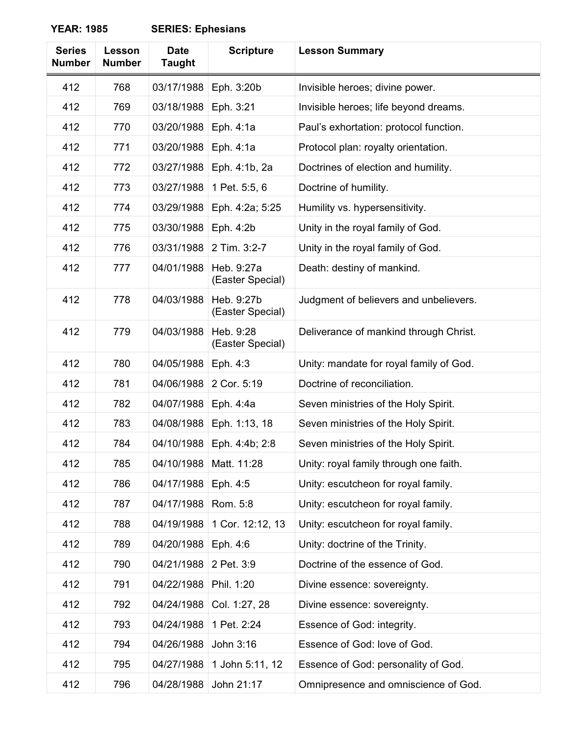| <b>Series</b><br><b>Number</b> | Lesson<br><b>Number</b> | <b>Date</b><br><b>Taught</b> | <b>Scripture</b>               | <b>Lesson Summary</b>                   |
|--------------------------------|-------------------------|------------------------------|--------------------------------|-----------------------------------------|
| 412                            | 768                     | 03/17/1988                   | Eph. 3:20b                     | Invisible heroes; divine power.         |
| 412                            | 769                     | 03/18/1988                   | Eph. 3:21                      | Invisible heroes; life beyond dreams.   |
| 412                            | 770                     | 03/20/1988                   | Eph. 4:1a                      | Paul's exhortation: protocol function.  |
| 412                            | 771                     | 03/20/1988                   | Eph. 4:1a                      | Protocol plan: royalty orientation.     |
| 412                            | 772                     | 03/27/1988                   | Eph. 4:1b, 2a                  | Doctrines of election and humility.     |
| 412                            | 773                     | 03/27/1988                   | 1 Pet. 5:5, 6                  | Doctrine of humility.                   |
| 412                            | 774                     | 03/29/1988                   | Eph. 4:2a; 5:25                | Humility vs. hypersensitivity.          |
| 412                            | 775                     | 03/30/1988                   | Eph. 4:2b                      | Unity in the royal family of God.       |
| 412                            | 776                     | 03/31/1988                   | 2 Tim. 3:2-7                   | Unity in the royal family of God.       |
| 412                            | 777                     | 04/01/1988                   | Heb. 9:27a<br>(Easter Special) | Death: destiny of mankind.              |
| 412                            | 778                     | 04/03/1988                   | Heb. 9:27b<br>(Easter Special) | Judgment of believers and unbelievers.  |
| 412                            | 779                     | 04/03/1988                   | Heb. 9:28<br>(Easter Special)  | Deliverance of mankind through Christ.  |
| 412                            | 780                     | 04/05/1988                   | Eph. 4:3                       | Unity: mandate for royal family of God. |
| 412                            | 781                     | 04/06/1988                   | 2 Cor. 5:19                    | Doctrine of reconciliation.             |
| 412                            | 782                     | 04/07/1988                   | Eph. 4:4a                      | Seven ministries of the Holy Spirit.    |
| 412                            | 783                     | 04/08/1988                   | Eph. 1:13, 18                  | Seven ministries of the Holy Spirit.    |
| 412                            | 784                     | 04/10/1988                   | Eph. 4:4b; 2:8                 | Seven ministries of the Holy Spirit.    |
| 412                            | 785                     | 04/10/1988                   | Matt. 11:28                    | Unity: royal family through one faith.  |
| 412                            | 786                     | 04/17/1988                   | Eph. 4:5                       | Unity: escutcheon for royal family.     |
| 412                            | 787                     | 04/17/1988                   | Rom. 5:8                       | Unity: escutcheon for royal family.     |
| 412                            | 788                     | 04/19/1988                   | 1 Cor. 12:12, 13               | Unity: escutcheon for royal family.     |
| 412                            | 789                     | 04/20/1988                   | Eph. 4:6                       | Unity: doctrine of the Trinity.         |
| 412                            | 790                     | 04/21/1988                   | 2 Pet. 3:9                     | Doctrine of the essence of God.         |
| 412                            | 791                     | 04/22/1988                   | Phil. 1:20                     | Divine essence: sovereignty.            |
| 412                            | 792                     | 04/24/1988                   | Col. 1:27, 28                  | Divine essence: sovereignty.            |
| 412                            | 793                     | 04/24/1988                   | 1 Pet. 2:24                    | Essence of God: integrity.              |
| 412                            | 794                     | 04/26/1988                   | John 3:16                      | Essence of God: love of God.            |
| 412                            | 795                     | 04/27/1988                   | 1 John 5:11, 12                | Essence of God: personality of God.     |
| 412                            | 796                     | 04/28/1988                   | John 21:17                     | Omnipresence and omniscience of God.    |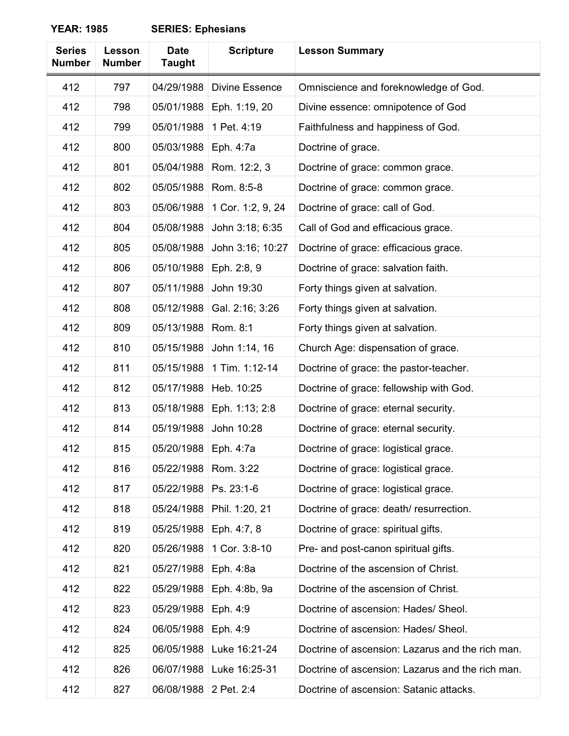| <b>Series</b><br><b>Number</b> | Lesson<br><b>Number</b> | <b>Date</b><br><b>Taught</b> | <b>Scripture</b>      | <b>Lesson Summary</b>                            |
|--------------------------------|-------------------------|------------------------------|-----------------------|--------------------------------------------------|
| 412                            | 797                     | 04/29/1988                   | <b>Divine Essence</b> | Omniscience and foreknowledge of God.            |
| 412                            | 798                     | 05/01/1988                   | Eph. 1:19, 20         | Divine essence: omnipotence of God               |
| 412                            | 799                     | 05/01/1988                   | 1 Pet. 4:19           | Faithfulness and happiness of God.               |
| 412                            | 800                     | 05/03/1988                   | Eph. 4:7a             | Doctrine of grace.                               |
| 412                            | 801                     | 05/04/1988                   | Rom. 12:2, 3          | Doctrine of grace: common grace.                 |
| 412                            | 802                     | 05/05/1988                   | Rom. 8:5-8            | Doctrine of grace: common grace.                 |
| 412                            | 803                     | 05/06/1988                   | 1 Cor. 1:2, 9, 24     | Doctrine of grace: call of God.                  |
| 412                            | 804                     | 05/08/1988                   | John 3:18; 6:35       | Call of God and efficacious grace.               |
| 412                            | 805                     | 05/08/1988                   | John 3:16; 10:27      | Doctrine of grace: efficacious grace.            |
| 412                            | 806                     | 05/10/1988                   | Eph. 2:8, 9           | Doctrine of grace: salvation faith.              |
| 412                            | 807                     | 05/11/1988                   | John 19:30            | Forty things given at salvation.                 |
| 412                            | 808                     | 05/12/1988                   | Gal. 2:16; 3:26       | Forty things given at salvation.                 |
| 412                            | 809                     | 05/13/1988                   | Rom. 8:1              | Forty things given at salvation.                 |
| 412                            | 810                     | 05/15/1988                   | John 1:14, 16         | Church Age: dispensation of grace.               |
| 412                            | 811                     | 05/15/1988                   | 1 Tim. 1:12-14        | Doctrine of grace: the pastor-teacher.           |
| 412                            | 812                     | 05/17/1988                   | Heb. 10:25            | Doctrine of grace: fellowship with God.          |
| 412                            | 813                     | 05/18/1988                   | Eph. 1:13; 2:8        | Doctrine of grace: eternal security.             |
| 412                            | 814                     | 05/19/1988                   | John 10:28            | Doctrine of grace: eternal security.             |
| 412                            | 815                     | 05/20/1988                   | Eph. 4:7a             | Doctrine of grace: logistical grace.             |
| 412                            | 816                     | 05/22/1988                   | Rom. 3:22             | Doctrine of grace: logistical grace.             |
| 412                            | 817                     | 05/22/1988                   | Ps. 23:1-6            | Doctrine of grace: logistical grace.             |
| 412                            | 818                     | 05/24/1988                   | Phil. 1:20, 21        | Doctrine of grace: death/resurrection.           |
| 412                            | 819                     | 05/25/1988                   | Eph. 4:7, 8           | Doctrine of grace: spiritual gifts.              |
| 412                            | 820                     | 05/26/1988                   | 1 Cor. 3:8-10         | Pre- and post-canon spiritual gifts.             |
| 412                            | 821                     | 05/27/1988                   | Eph. 4:8a             | Doctrine of the ascension of Christ.             |
| 412                            | 822                     | 05/29/1988                   | Eph. 4:8b, 9a         | Doctrine of the ascension of Christ.             |
| 412                            | 823                     | 05/29/1988                   | Eph. 4:9              | Doctrine of ascension: Hades/ Sheol.             |
| 412                            | 824                     | 06/05/1988                   | Eph. 4:9              | Doctrine of ascension: Hades/ Sheol.             |
| 412                            | 825                     | 06/05/1988                   | Luke 16:21-24         | Doctrine of ascension: Lazarus and the rich man. |
| 412                            | 826                     | 06/07/1988                   | Luke 16:25-31         | Doctrine of ascension: Lazarus and the rich man. |
| 412                            | 827                     | 06/08/1988                   | 2 Pet. 2:4            | Doctrine of ascension: Satanic attacks.          |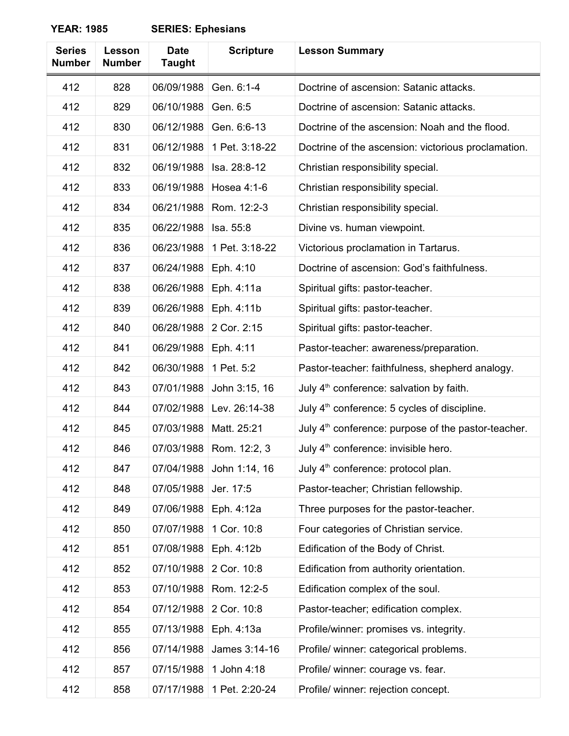| <b>Series</b><br><b>Number</b> | Lesson<br><b>Number</b> | <b>Date</b><br><b>Taught</b> | <b>Scripture</b> | <b>Lesson Summary</b>                                           |
|--------------------------------|-------------------------|------------------------------|------------------|-----------------------------------------------------------------|
| 412                            | 828                     | 06/09/1988                   | Gen. 6:1-4       | Doctrine of ascension: Satanic attacks.                         |
| 412                            | 829                     | 06/10/1988                   | Gen. 6:5         | Doctrine of ascension: Satanic attacks.                         |
| 412                            | 830                     | 06/12/1988                   | Gen. 6:6-13      | Doctrine of the ascension: Noah and the flood.                  |
| 412                            | 831                     | 06/12/1988                   | 1 Pet. 3:18-22   | Doctrine of the ascension: victorious proclamation.             |
| 412                            | 832                     | 06/19/1988                   | Isa. 28:8-12     | Christian responsibility special.                               |
| 412                            | 833                     | 06/19/1988                   | Hosea 4:1-6      | Christian responsibility special.                               |
| 412                            | 834                     | 06/21/1988                   | Rom. 12:2-3      | Christian responsibility special.                               |
| 412                            | 835                     | 06/22/1988                   | Isa. 55:8        | Divine vs. human viewpoint.                                     |
| 412                            | 836                     | 06/23/1988                   | 1 Pet. 3:18-22   | Victorious proclamation in Tartarus.                            |
| 412                            | 837                     | 06/24/1988                   | Eph. 4:10        | Doctrine of ascension: God's faithfulness.                      |
| 412                            | 838                     | 06/26/1988                   | Eph. 4:11a       | Spiritual gifts: pastor-teacher.                                |
| 412                            | 839                     | 06/26/1988                   | Eph. 4:11b       | Spiritual gifts: pastor-teacher.                                |
| 412                            | 840                     | 06/28/1988                   | 2 Cor. 2:15      | Spiritual gifts: pastor-teacher.                                |
| 412                            | 841                     | 06/29/1988                   | Eph. 4:11        | Pastor-teacher: awareness/preparation.                          |
| 412                            | 842                     | 06/30/1988                   | 1 Pet. 5:2       | Pastor-teacher: faithfulness, shepherd analogy.                 |
| 412                            | 843                     | 07/01/1988                   | John 3:15, 16    | July 4 <sup>th</sup> conference: salvation by faith.            |
| 412                            | 844                     | 07/02/1988                   | Lev. 26:14-38    | July 4 <sup>th</sup> conference: 5 cycles of discipline.        |
| 412                            | 845                     | 07/03/1988                   | Matt. 25:21      | July 4 <sup>th</sup> conference: purpose of the pastor-teacher. |
| 412                            | 846                     | 07/03/1988                   | Rom. 12:2, 3     | July 4 <sup>th</sup> conference: invisible hero.                |
| 412                            | 847                     | 07/04/1988                   | John 1:14, 16    | July 4 <sup>th</sup> conference: protocol plan.                 |
| 412                            | 848                     | 07/05/1988                   | Jer. 17:5        | Pastor-teacher; Christian fellowship.                           |
| 412                            | 849                     | 07/06/1988                   | Eph. 4:12a       | Three purposes for the pastor-teacher.                          |
| 412                            | 850                     | 07/07/1988                   | 1 Cor. 10:8      | Four categories of Christian service.                           |
| 412                            | 851                     | 07/08/1988                   | Eph. 4:12b       | Edification of the Body of Christ.                              |
| 412                            | 852                     | 07/10/1988                   | 2 Cor. 10:8      | Edification from authority orientation.                         |
| 412                            | 853                     | 07/10/1988                   | Rom. 12:2-5      | Edification complex of the soul.                                |
| 412                            | 854                     | 07/12/1988                   | 2 Cor. 10:8      | Pastor-teacher; edification complex.                            |
| 412                            | 855                     | 07/13/1988                   | Eph. 4:13a       | Profile/winner: promises vs. integrity.                         |
| 412                            | 856                     | 07/14/1988                   | James 3:14-16    | Profile/ winner: categorical problems.                          |
| 412                            | 857                     | 07/15/1988                   | 1 John 4:18      | Profile/ winner: courage vs. fear.                              |
| 412                            | 858                     | 07/17/1988                   | 1 Pet. 2:20-24   | Profile/ winner: rejection concept.                             |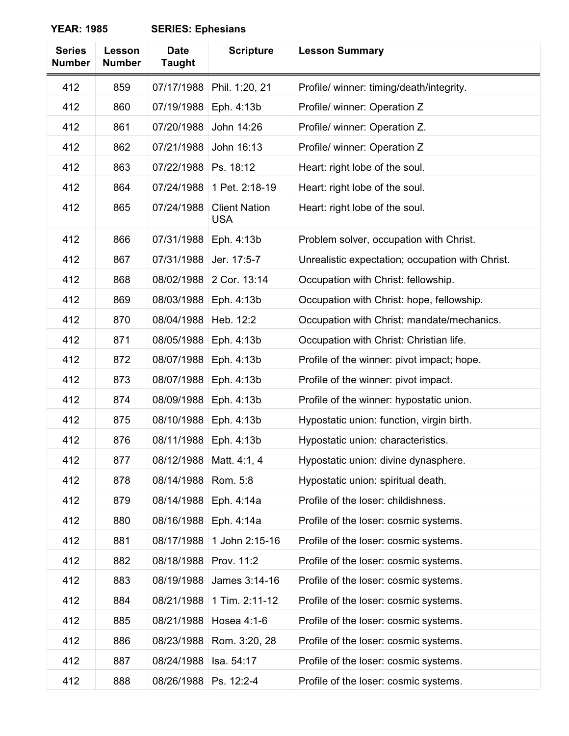| <b>Series</b><br><b>Number</b> | Lesson<br><b>Number</b> | <b>Date</b><br><b>Taught</b> | <b>Scripture</b>                   | <b>Lesson Summary</b>                            |
|--------------------------------|-------------------------|------------------------------|------------------------------------|--------------------------------------------------|
| 412                            | 859                     | 07/17/1988                   | Phil. 1:20, 21                     | Profile/ winner: timing/death/integrity.         |
| 412                            | 860                     | 07/19/1988                   | Eph. 4:13b                         | Profile/ winner: Operation Z                     |
| 412                            | 861                     | 07/20/1988                   | John 14:26                         | Profile/ winner: Operation Z.                    |
| 412                            | 862                     | 07/21/1988                   | John 16:13                         | Profile/ winner: Operation Z                     |
| 412                            | 863                     | 07/22/1988                   | Ps. 18:12                          | Heart: right lobe of the soul.                   |
| 412                            | 864                     | 07/24/1988                   | 1 Pet. 2:18-19                     | Heart: right lobe of the soul.                   |
| 412                            | 865                     | 07/24/1988                   | <b>Client Nation</b><br><b>USA</b> | Heart: right lobe of the soul.                   |
| 412                            | 866                     | 07/31/1988                   | Eph. 4:13b                         | Problem solver, occupation with Christ.          |
| 412                            | 867                     | 07/31/1988                   | Jer. 17:5-7                        | Unrealistic expectation; occupation with Christ. |
| 412                            | 868                     | 08/02/1988                   | 2 Cor. 13:14                       | Occupation with Christ: fellowship.              |
| 412                            | 869                     | 08/03/1988                   | Eph. 4:13b                         | Occupation with Christ: hope, fellowship.        |
| 412                            | 870                     | 08/04/1988                   | Heb. 12:2                          | Occupation with Christ: mandate/mechanics.       |
| 412                            | 871                     | 08/05/1988                   | Eph. 4:13b                         | Occupation with Christ: Christian life.          |
| 412                            | 872                     | 08/07/1988                   | Eph. 4:13b                         | Profile of the winner: pivot impact; hope.       |
| 412                            | 873                     | 08/07/1988                   | Eph. 4:13b                         | Profile of the winner: pivot impact.             |
| 412                            | 874                     | 08/09/1988                   | Eph. 4:13b                         | Profile of the winner: hypostatic union.         |
| 412                            | 875                     | 08/10/1988                   | Eph. 4:13b                         | Hypostatic union: function, virgin birth.        |
| 412                            | 876                     | 08/11/1988                   | Eph. 4:13b                         | Hypostatic union: characteristics.               |
| 412                            | 877                     | 08/12/1988                   | Matt. 4:1, 4                       | Hypostatic union: divine dynasphere.             |
| 412                            | 878                     | 08/14/1988                   | Rom. 5:8                           | Hypostatic union: spiritual death.               |
| 412                            | 879                     | 08/14/1988                   | Eph. 4:14a                         | Profile of the loser: childishness.              |
| 412                            | 880                     | 08/16/1988                   | Eph. 4:14a                         | Profile of the loser: cosmic systems.            |
| 412                            | 881                     | 08/17/1988                   | 1 John 2:15-16                     | Profile of the loser: cosmic systems.            |
| 412                            | 882                     | 08/18/1988                   | Prov. 11:2                         | Profile of the loser: cosmic systems.            |
| 412                            | 883                     | 08/19/1988                   | James 3:14-16                      | Profile of the loser: cosmic systems.            |
| 412                            | 884                     | 08/21/1988                   | 1 Tim. 2:11-12                     | Profile of the loser: cosmic systems.            |
| 412                            | 885                     | 08/21/1988                   | Hosea 4:1-6                        | Profile of the loser: cosmic systems.            |
| 412                            | 886                     | 08/23/1988                   | Rom. 3:20, 28                      | Profile of the loser: cosmic systems.            |
| 412                            | 887                     | 08/24/1988                   | Isa. 54:17                         | Profile of the loser: cosmic systems.            |
| 412                            | 888                     | 08/26/1988                   | Ps. 12:2-4                         | Profile of the loser: cosmic systems.            |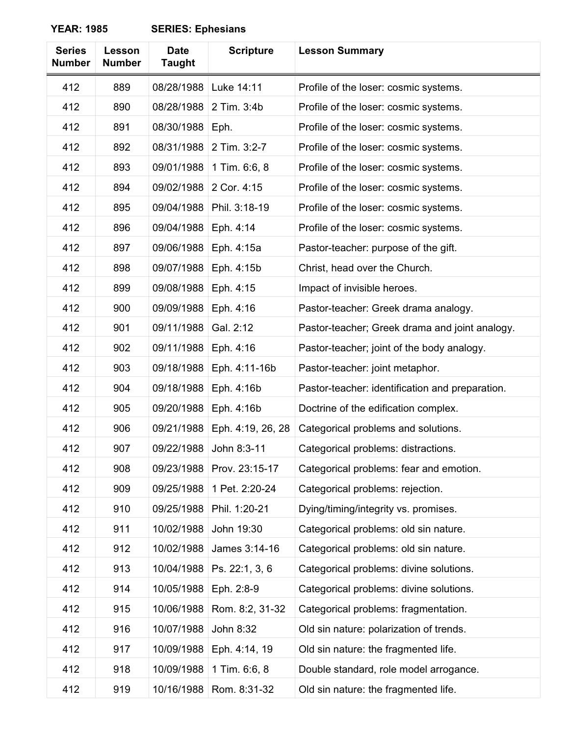| <b>Series</b><br><b>Number</b> | Lesson<br><b>Number</b> | <b>Date</b><br><b>Taught</b> | <b>Scripture</b>  | <b>Lesson Summary</b>                           |
|--------------------------------|-------------------------|------------------------------|-------------------|-------------------------------------------------|
| 412                            | 889                     | 08/28/1988                   | Luke 14:11        | Profile of the loser: cosmic systems.           |
| 412                            | 890                     | 08/28/1988                   | 2 Tim. 3:4b       | Profile of the loser: cosmic systems.           |
| 412                            | 891                     | 08/30/1988                   | Eph.              | Profile of the loser: cosmic systems.           |
| 412                            | 892                     | 08/31/1988                   | 2 Tim. 3:2-7      | Profile of the loser: cosmic systems.           |
| 412                            | 893                     | 09/01/1988                   | 1 Tim. 6:6, 8     | Profile of the loser: cosmic systems.           |
| 412                            | 894                     | 09/02/1988                   | 2 Cor. 4:15       | Profile of the loser: cosmic systems.           |
| 412                            | 895                     | 09/04/1988                   | Phil. 3:18-19     | Profile of the loser: cosmic systems.           |
| 412                            | 896                     | 09/04/1988                   | Eph. 4:14         | Profile of the loser: cosmic systems.           |
| 412                            | 897                     | 09/06/1988                   | Eph. 4:15a        | Pastor-teacher: purpose of the gift.            |
| 412                            | 898                     | 09/07/1988                   | Eph. 4:15b        | Christ, head over the Church.                   |
| 412                            | 899                     | 09/08/1988                   | Eph. 4:15         | Impact of invisible heroes.                     |
| 412                            | 900                     | 09/09/1988                   | Eph. 4:16         | Pastor-teacher: Greek drama analogy.            |
| 412                            | 901                     | 09/11/1988                   | Gal. 2:12         | Pastor-teacher; Greek drama and joint analogy.  |
| 412                            | 902                     | 09/11/1988                   | Eph. 4:16         | Pastor-teacher; joint of the body analogy.      |
| 412                            | 903                     | 09/18/1988                   | Eph. 4:11-16b     | Pastor-teacher: joint metaphor.                 |
| 412                            | 904                     | 09/18/1988                   | Eph. 4:16b        | Pastor-teacher: identification and preparation. |
| 412                            | 905                     | 09/20/1988                   | Eph. 4:16b        | Doctrine of the edification complex.            |
| 412                            | 906                     | 09/21/1988                   | Eph. 4:19, 26, 28 | Categorical problems and solutions.             |
| 412                            | 907                     | 09/22/1988                   | John 8:3-11       | Categorical problems: distractions.             |
| 412                            | 908                     | 09/23/1988                   | Prov. 23:15-17    | Categorical problems: fear and emotion.         |
| 412                            | 909                     | 09/25/1988                   | 1 Pet. 2:20-24    | Categorical problems: rejection.                |
| 412                            | 910                     | 09/25/1988                   | Phil. 1:20-21     | Dying/timing/integrity vs. promises.            |
| 412                            | 911                     | 10/02/1988                   | John 19:30        | Categorical problems: old sin nature.           |
| 412                            | 912                     | 10/02/1988                   | James 3:14-16     | Categorical problems: old sin nature.           |
| 412                            | 913                     | 10/04/1988                   | Ps. 22:1, 3, 6    | Categorical problems: divine solutions.         |
| 412                            | 914                     | 10/05/1988                   | Eph. 2:8-9        | Categorical problems: divine solutions.         |
| 412                            | 915                     | 10/06/1988                   | Rom. 8:2, 31-32   | Categorical problems: fragmentation.            |
| 412                            | 916                     | 10/07/1988                   | John 8:32         | Old sin nature: polarization of trends.         |
| 412                            | 917                     | 10/09/1988                   | Eph. 4:14, 19     | Old sin nature: the fragmented life.            |
| 412                            | 918                     | 10/09/1988                   | 1 Tim. 6:6, 8     | Double standard, role model arrogance.          |
| 412                            | 919                     | 10/16/1988                   | Rom. 8:31-32      | Old sin nature: the fragmented life.            |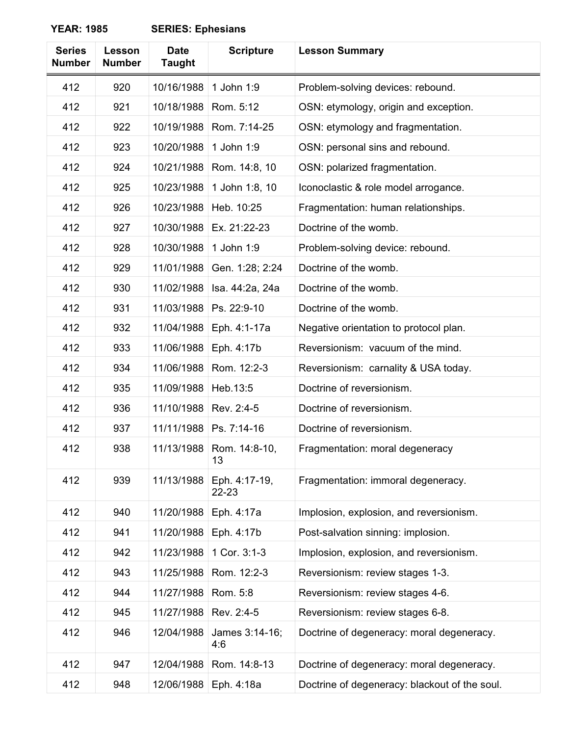| <b>Series</b><br><b>Number</b> | Lesson<br><b>Number</b> | <b>Date</b><br><b>Taught</b> | <b>Scripture</b>       | <b>Lesson Summary</b>                         |
|--------------------------------|-------------------------|------------------------------|------------------------|-----------------------------------------------|
| 412                            | 920                     | 10/16/1988                   | 1 John 1:9             | Problem-solving devices: rebound.             |
| 412                            | 921                     | 10/18/1988                   | Rom. 5:12              | OSN: etymology, origin and exception.         |
| 412                            | 922                     | 10/19/1988                   | Rom. 7:14-25           | OSN: etymology and fragmentation.             |
| 412                            | 923                     | 10/20/1988                   | 1 John 1:9             | OSN: personal sins and rebound.               |
| 412                            | 924                     | 10/21/1988                   | Rom. 14:8, 10          | OSN: polarized fragmentation.                 |
| 412                            | 925                     | 10/23/1988                   | 1 John 1:8, 10         | Iconoclastic & role model arrogance.          |
| 412                            | 926                     | 10/23/1988                   | Heb. 10:25             | Fragmentation: human relationships.           |
| 412                            | 927                     | 10/30/1988                   | Ex. 21:22-23           | Doctrine of the womb.                         |
| 412                            | 928                     | 10/30/1988                   | 1 John 1:9             | Problem-solving device: rebound.              |
| 412                            | 929                     | 11/01/1988                   | Gen. 1:28; 2:24        | Doctrine of the womb.                         |
| 412                            | 930                     | 11/02/1988                   | Isa. 44:2a, 24a        | Doctrine of the womb.                         |
| 412                            | 931                     | 11/03/1988                   | Ps. 22:9-10            | Doctrine of the womb.                         |
| 412                            | 932                     | 11/04/1988                   | Eph. 4:1-17a           | Negative orientation to protocol plan.        |
| 412                            | 933                     | 11/06/1988                   | Eph. 4:17b             | Reversionism: vacuum of the mind.             |
| 412                            | 934                     | 11/06/1988                   | Rom. 12:2-3            | Reversionism: carnality & USA today.          |
| 412                            | 935                     | 11/09/1988                   | Heb.13:5               | Doctrine of reversionism.                     |
| 412                            | 936                     | 11/10/1988                   | Rev. 2:4-5             | Doctrine of reversionism.                     |
| 412                            | 937                     | 11/11/1988                   | Ps. 7:14-16            | Doctrine of reversionism.                     |
| 412                            | 938                     | 11/13/1988                   | Rom. 14:8-10,<br>13    | Fragmentation: moral degeneracy               |
| 412                            | 939                     | 11/13/1988                   | Eph. 4:17-19,<br>22-23 | Fragmentation: immoral degeneracy.            |
| 412                            | 940                     | 11/20/1988                   | Eph. 4:17a             | Implosion, explosion, and reversionism.       |
| 412                            | 941                     | 11/20/1988                   | Eph. 4:17b             | Post-salvation sinning: implosion.            |
| 412                            | 942                     | 11/23/1988                   | 1 Cor. 3:1-3           | Implosion, explosion, and reversionism.       |
| 412                            | 943                     | 11/25/1988                   | Rom. 12:2-3            | Reversionism: review stages 1-3.              |
| 412                            | 944                     | 11/27/1988                   | Rom. 5:8               | Reversionism: review stages 4-6.              |
| 412                            | 945                     | 11/27/1988                   | Rev. 2:4-5             | Reversionism: review stages 6-8.              |
| 412                            | 946                     | 12/04/1988                   | James 3:14-16;<br>4:6  | Doctrine of degeneracy: moral degeneracy.     |
| 412                            | 947                     | 12/04/1988                   | Rom. 14:8-13           | Doctrine of degeneracy: moral degeneracy.     |
| 412                            | 948                     | 12/06/1988                   | Eph. 4:18a             | Doctrine of degeneracy: blackout of the soul. |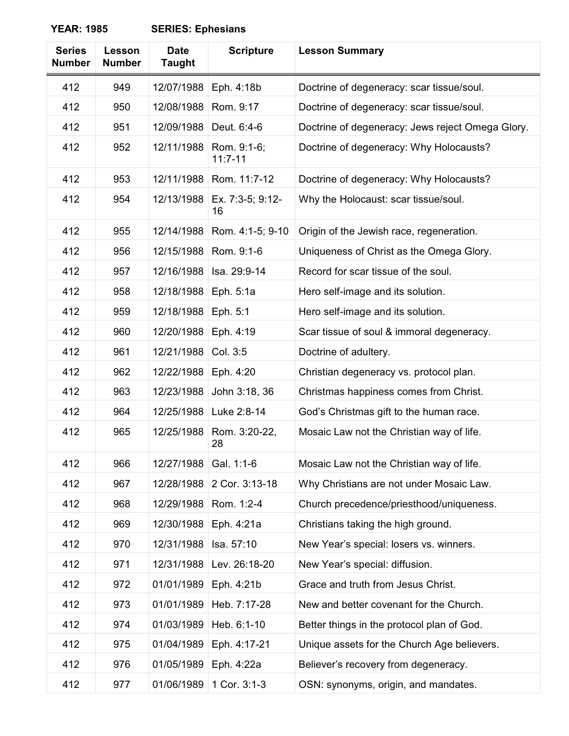| <b>Series</b><br><b>Number</b> | Lesson<br><b>Number</b> | <b>Date</b><br><b>Taught</b> | <b>Scripture</b>           | <b>Lesson Summary</b>                            |
|--------------------------------|-------------------------|------------------------------|----------------------------|--------------------------------------------------|
| 412                            | 949                     | 12/07/1988                   | Eph. 4:18b                 | Doctrine of degeneracy: scar tissue/soul.        |
| 412                            | 950                     | 12/08/1988                   | Rom. 9:17                  | Doctrine of degeneracy: scar tissue/soul.        |
| 412                            | 951                     | 12/09/1988                   | Deut. 6:4-6                | Doctrine of degeneracy: Jews reject Omega Glory. |
| 412                            | 952                     | 12/11/1988                   | Rom. 9:1-6;<br>$11:7 - 11$ | Doctrine of degeneracy: Why Holocausts?          |
| 412                            | 953                     | 12/11/1988                   | Rom. 11:7-12               | Doctrine of degeneracy: Why Holocausts?          |
| 412                            | 954                     | 12/13/1988                   | Ex. 7:3-5; 9:12-<br>16     | Why the Holocaust: scar tissue/soul.             |
| 412                            | 955                     | 12/14/1988                   | Rom. 4:1-5; 9-10           | Origin of the Jewish race, regeneration.         |
| 412                            | 956                     | 12/15/1988                   | Rom. 9:1-6                 | Uniqueness of Christ as the Omega Glory.         |
| 412                            | 957                     | 12/16/1988                   | Isa. 29:9-14               | Record for scar tissue of the soul.              |
| 412                            | 958                     | 12/18/1988                   | Eph. 5:1a                  | Hero self-image and its solution.                |
| 412                            | 959                     | 12/18/1988                   | Eph. 5:1                   | Hero self-image and its solution.                |
| 412                            | 960                     | 12/20/1988                   | Eph. 4:19                  | Scar tissue of soul & immoral degeneracy.        |
| 412                            | 961                     | 12/21/1988                   | Col. 3:5                   | Doctrine of adultery.                            |
| 412                            | 962                     | 12/22/1988                   | Eph. 4:20                  | Christian degeneracy vs. protocol plan.          |
| 412                            | 963                     | 12/23/1988                   | John 3:18, 36              | Christmas happiness comes from Christ.           |
| 412                            | 964                     | 12/25/1988                   | Luke 2:8-14                | God's Christmas gift to the human race.          |
| 412                            | 965                     | 12/25/1988                   | Rom. 3:20-22,<br>28        | Mosaic Law not the Christian way of life.        |
| 412                            | 966                     | 12/27/1988                   | Gal. 1:1-6                 | Mosaic Law not the Christian way of life.        |
| 412                            | 967                     | 12/28/1988                   | 2 Cor. 3:13-18             | Why Christians are not under Mosaic Law.         |
| 412                            | 968                     | 12/29/1988                   | Rom. 1:2-4                 | Church precedence/priesthood/uniqueness.         |
| 412                            | 969                     | 12/30/1988                   | Eph. 4:21a                 | Christians taking the high ground.               |
| 412                            | 970                     | 12/31/1988                   | Isa. 57:10                 | New Year's special: losers vs. winners.          |
| 412                            | 971                     | 12/31/1988                   | Lev. 26:18-20              | New Year's special: diffusion.                   |
| 412                            | 972                     | 01/01/1989                   | Eph. 4:21b                 | Grace and truth from Jesus Christ.               |
| 412                            | 973                     | 01/01/1989                   | Heb. 7:17-28               | New and better covenant for the Church.          |
| 412                            | 974                     | 01/03/1989                   | Heb. 6:1-10                | Better things in the protocol plan of God.       |
| 412                            | 975                     | 01/04/1989                   | Eph. 4:17-21               | Unique assets for the Church Age believers.      |
| 412                            | 976                     | 01/05/1989                   | Eph. 4:22a                 | Believer's recovery from degeneracy.             |
| 412                            | 977                     | 01/06/1989                   | 1 Cor. 3:1-3               | OSN: synonyms, origin, and mandates.             |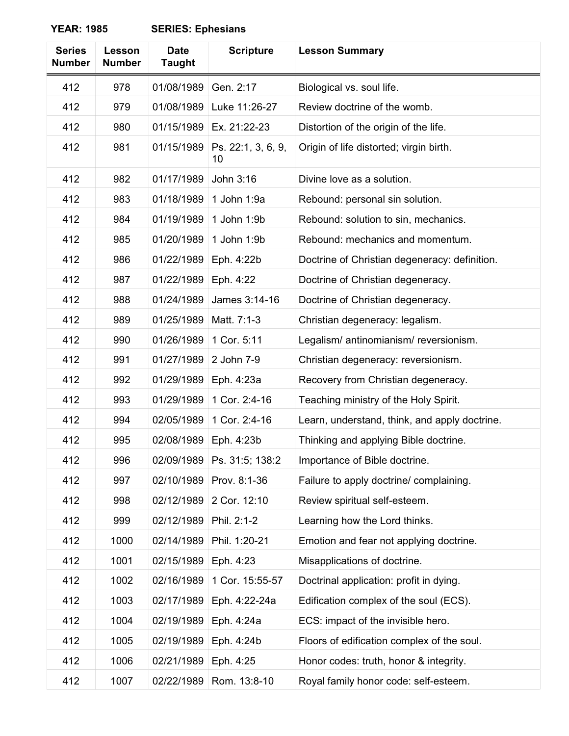| <b>Series</b><br><b>Number</b> | <b>Lesson</b><br><b>Number</b> | <b>Date</b><br><b>Taught</b> | <b>Scripture</b>         | <b>Lesson Summary</b>                         |
|--------------------------------|--------------------------------|------------------------------|--------------------------|-----------------------------------------------|
| 412                            | 978                            | 01/08/1989                   | Gen. 2:17                | Biological vs. soul life.                     |
| 412                            | 979                            | 01/08/1989                   | Luke 11:26-27            | Review doctrine of the womb.                  |
| 412                            | 980                            | 01/15/1989                   | Ex. 21:22-23             | Distortion of the origin of the life.         |
| 412                            | 981                            | 01/15/1989                   | Ps. 22:1, 3, 6, 9,<br>10 | Origin of life distorted; virgin birth.       |
| 412                            | 982                            | 01/17/1989                   | John 3:16                | Divine love as a solution.                    |
| 412                            | 983                            | 01/18/1989                   | 1 John 1:9a              | Rebound: personal sin solution.               |
| 412                            | 984                            | 01/19/1989                   | 1 John 1:9b              | Rebound: solution to sin, mechanics.          |
| 412                            | 985                            | 01/20/1989                   | 1 John 1:9b              | Rebound: mechanics and momentum.              |
| 412                            | 986                            | 01/22/1989                   | Eph. 4:22b               | Doctrine of Christian degeneracy: definition. |
| 412                            | 987                            | 01/22/1989                   | Eph. 4:22                | Doctrine of Christian degeneracy.             |
| 412                            | 988                            | 01/24/1989                   | James 3:14-16            | Doctrine of Christian degeneracy.             |
| 412                            | 989                            | 01/25/1989                   | Matt. 7:1-3              | Christian degeneracy: legalism.               |
| 412                            | 990                            | 01/26/1989                   | 1 Cor. 5:11              | Legalism/ antinomianism/ reversionism.        |
| 412                            | 991                            | 01/27/1989                   | 2 John 7-9               | Christian degeneracy: reversionism.           |
| 412                            | 992                            | 01/29/1989                   | Eph. 4:23a               | Recovery from Christian degeneracy.           |
| 412                            | 993                            | 01/29/1989                   | 1 Cor. 2:4-16            | Teaching ministry of the Holy Spirit.         |
| 412                            | 994                            | 02/05/1989                   | 1 Cor. 2:4-16            | Learn, understand, think, and apply doctrine. |
| 412                            | 995                            | 02/08/1989                   | Eph. 4:23b               | Thinking and applying Bible doctrine.         |
| 412                            | 996                            | 02/09/1989                   | Ps. 31:5; 138:2          | Importance of Bible doctrine.                 |
| 412                            | 997                            | 02/10/1989                   | Prov. 8:1-36             | Failure to apply doctrine/ complaining.       |
| 412                            | 998                            | 02/12/1989                   | 2 Cor. 12:10             | Review spiritual self-esteem.                 |
| 412                            | 999                            | 02/12/1989                   | Phil. 2:1-2              | Learning how the Lord thinks.                 |
| 412                            | 1000                           | 02/14/1989                   | Phil. 1:20-21            | Emotion and fear not applying doctrine.       |
| 412                            | 1001                           | 02/15/1989                   | Eph. 4:23                | Misapplications of doctrine.                  |
| 412                            | 1002                           | 02/16/1989                   | 1 Cor. 15:55-57          | Doctrinal application: profit in dying.       |
| 412                            | 1003                           | 02/17/1989                   | Eph. 4:22-24a            | Edification complex of the soul (ECS).        |
| 412                            | 1004                           | 02/19/1989                   | Eph. 4:24a               | ECS: impact of the invisible hero.            |
| 412                            | 1005                           | 02/19/1989                   | Eph. 4:24b               | Floors of edification complex of the soul.    |
| 412                            | 1006                           | 02/21/1989                   | Eph. 4:25                | Honor codes: truth, honor & integrity.        |
| 412                            | 1007                           | 02/22/1989                   | Rom. 13:8-10             | Royal family honor code: self-esteem.         |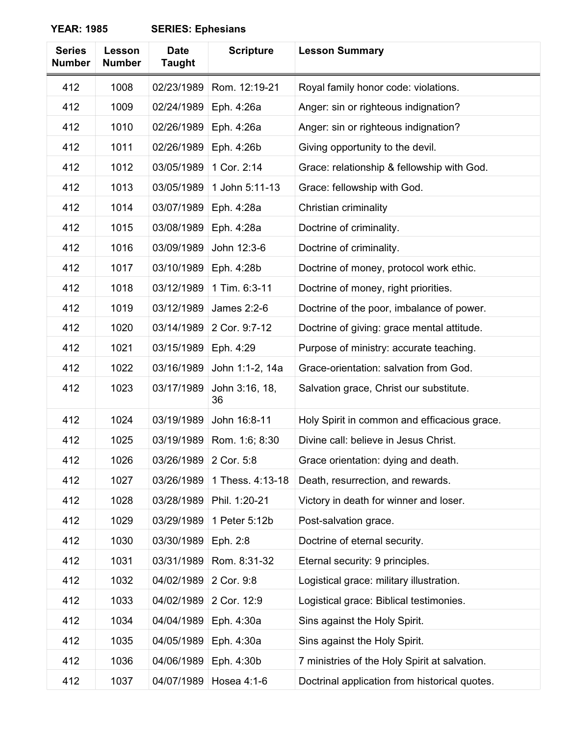| <b>Series</b><br><b>Number</b> | Lesson<br><b>Number</b> | <b>Date</b><br><b>Taught</b> | <b>Scripture</b>     | <b>Lesson Summary</b>                         |
|--------------------------------|-------------------------|------------------------------|----------------------|-----------------------------------------------|
| 412                            | 1008                    | 02/23/1989                   | Rom. 12:19-21        | Royal family honor code: violations.          |
| 412                            | 1009                    | 02/24/1989                   | Eph. 4:26a           | Anger: sin or righteous indignation?          |
| 412                            | 1010                    | 02/26/1989                   | Eph. 4:26a           | Anger: sin or righteous indignation?          |
| 412                            | 1011                    | 02/26/1989                   | Eph. 4:26b           | Giving opportunity to the devil.              |
| 412                            | 1012                    | 03/05/1989                   | 1 Cor. 2:14          | Grace: relationship & fellowship with God.    |
| 412                            | 1013                    | 03/05/1989                   | 1 John 5:11-13       | Grace: fellowship with God.                   |
| 412                            | 1014                    | 03/07/1989                   | Eph. 4:28a           | Christian criminality                         |
| 412                            | 1015                    | 03/08/1989                   | Eph. 4:28a           | Doctrine of criminality.                      |
| 412                            | 1016                    | 03/09/1989                   | John 12:3-6          | Doctrine of criminality.                      |
| 412                            | 1017                    | 03/10/1989                   | Eph. 4:28b           | Doctrine of money, protocol work ethic.       |
| 412                            | 1018                    | 03/12/1989                   | 1 Tim. 6:3-11        | Doctrine of money, right priorities.          |
| 412                            | 1019                    | 03/12/1989                   | James 2:2-6          | Doctrine of the poor, imbalance of power.     |
| 412                            | 1020                    | 03/14/1989                   | 2 Cor. 9:7-12        | Doctrine of giving: grace mental attitude.    |
| 412                            | 1021                    | 03/15/1989                   | Eph. 4:29            | Purpose of ministry: accurate teaching.       |
| 412                            | 1022                    | 03/16/1989                   | John 1:1-2, 14a      | Grace-orientation: salvation from God.        |
| 412                            | 1023                    | 03/17/1989                   | John 3:16, 18,<br>36 | Salvation grace, Christ our substitute.       |
| 412                            | 1024                    | 03/19/1989                   | John 16:8-11         | Holy Spirit in common and efficacious grace.  |
| 412                            | 1025                    | 03/19/1989                   | Rom. 1:6; 8:30       | Divine call: believe in Jesus Christ.         |
| 412                            | 1026                    | 03/26/1989                   | 2 Cor. 5:8           | Grace orientation: dying and death.           |
| 412                            | 1027                    | 03/26/1989                   | 1 Thess. 4:13-18     | Death, resurrection, and rewards.             |
| 412                            | 1028                    | 03/28/1989                   | Phil. 1:20-21        | Victory in death for winner and loser.        |
| 412                            | 1029                    | 03/29/1989                   | 1 Peter 5:12b        | Post-salvation grace.                         |
| 412                            | 1030                    | 03/30/1989                   | Eph. 2:8             | Doctrine of eternal security.                 |
| 412                            | 1031                    | 03/31/1989                   | Rom. 8:31-32         | Eternal security: 9 principles.               |
| 412                            | 1032                    | 04/02/1989                   | 2 Cor. 9:8           | Logistical grace: military illustration.      |
| 412                            | 1033                    | 04/02/1989                   | 2 Cor. 12:9          | Logistical grace: Biblical testimonies.       |
| 412                            | 1034                    | 04/04/1989                   | Eph. 4:30a           | Sins against the Holy Spirit.                 |
| 412                            | 1035                    | 04/05/1989                   | Eph. 4:30a           | Sins against the Holy Spirit.                 |
| 412                            | 1036                    | 04/06/1989                   | Eph. 4:30b           | 7 ministries of the Holy Spirit at salvation. |
| 412                            | 1037                    | 04/07/1989                   | Hosea 4:1-6          | Doctrinal application from historical quotes. |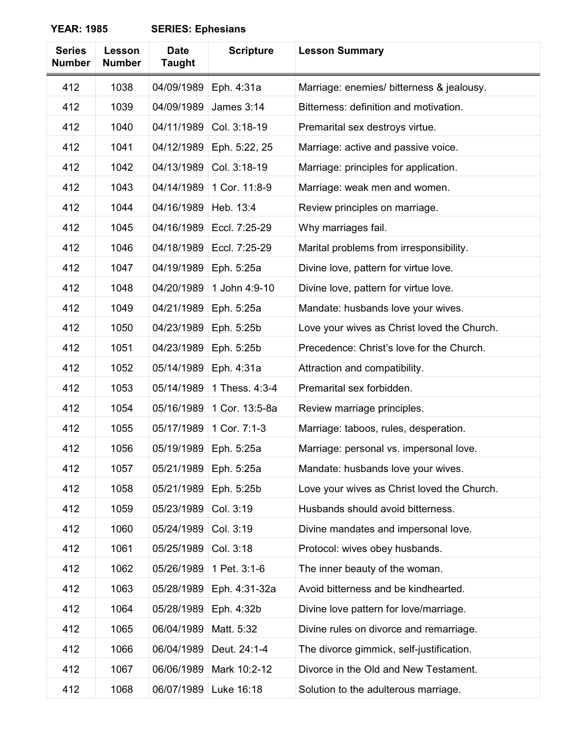| <b>Series</b><br><b>Number</b> | Lesson<br><b>Number</b> | <b>Date</b><br><b>Taught</b> | <b>Scripture</b>  | <b>Lesson Summary</b>                       |
|--------------------------------|-------------------------|------------------------------|-------------------|---------------------------------------------|
| 412                            | 1038                    | 04/09/1989                   | Eph. 4:31a        | Marriage: enemies/ bitterness & jealousy.   |
| 412                            | 1039                    | 04/09/1989                   | <b>James 3:14</b> | Bitterness: definition and motivation.      |
| 412                            | 1040                    | 04/11/1989                   | Col. 3:18-19      | Premarital sex destroys virtue.             |
| 412                            | 1041                    | 04/12/1989                   | Eph. 5:22, 25     | Marriage: active and passive voice.         |
| 412                            | 1042                    | 04/13/1989                   | Col. 3:18-19      | Marriage: principles for application.       |
| 412                            | 1043                    | 04/14/1989                   | 1 Cor. 11:8-9     | Marriage: weak men and women.               |
| 412                            | 1044                    | 04/16/1989                   | Heb. 13:4         | Review principles on marriage.              |
| 412                            | 1045                    | 04/16/1989                   | Eccl. 7:25-29     | Why marriages fail.                         |
| 412                            | 1046                    | 04/18/1989                   | Eccl. 7:25-29     | Marital problems from irresponsibility.     |
| 412                            | 1047                    | 04/19/1989                   | Eph. 5:25a        | Divine love, pattern for virtue love.       |
| 412                            | 1048                    | 04/20/1989                   | 1 John 4:9-10     | Divine love, pattern for virtue love.       |
| 412                            | 1049                    | 04/21/1989                   | Eph. 5:25a        | Mandate: husbands love your wives.          |
| 412                            | 1050                    | 04/23/1989                   | Eph. 5:25b        | Love your wives as Christ loved the Church. |
| 412                            | 1051                    | 04/23/1989                   | Eph. 5:25b        | Precedence: Christ's love for the Church.   |
| 412                            | 1052                    | 05/14/1989                   | Eph. 4:31a        | Attraction and compatibility.               |
| 412                            | 1053                    | 05/14/1989                   | 1 Thess. 4:3-4    | Premarital sex forbidden.                   |
| 412                            | 1054                    | 05/16/1989                   | 1 Cor. 13:5-8a    | Review marriage principles.                 |
| 412                            | 1055                    | 05/17/1989                   | 1 Cor. 7:1-3      | Marriage: taboos, rules, desperation.       |
| 412                            | 1056                    | 05/19/1989                   | Eph. 5:25a        | Marriage: personal vs. impersonal love.     |
| 412                            | 1057                    | 05/21/1989                   | Eph. 5:25a        | Mandate: husbands love your wives.          |
| 412                            | 1058                    | 05/21/1989                   | Eph. 5:25b        | Love your wives as Christ loved the Church. |
| 412                            | 1059                    | 05/23/1989                   | Col. 3:19         | Husbands should avoid bitterness.           |
| 412                            | 1060                    | 05/24/1989                   | Col. 3:19         | Divine mandates and impersonal love.        |
| 412                            | 1061                    | 05/25/1989                   | Col. 3:18         | Protocol: wives obey husbands.              |
| 412                            | 1062                    | 05/26/1989                   | 1 Pet. 3:1-6      | The inner beauty of the woman.              |
| 412                            | 1063                    | 05/28/1989                   | Eph. 4:31-32a     | Avoid bitterness and be kindhearted.        |
| 412                            | 1064                    | 05/28/1989                   | Eph. 4:32b        | Divine love pattern for love/marriage.      |
| 412                            | 1065                    | 06/04/1989                   | Matt. 5:32        | Divine rules on divorce and remarriage.     |
| 412                            | 1066                    | 06/04/1989                   | Deut. 24:1-4      | The divorce gimmick, self-justification.    |
| 412                            | 1067                    | 06/06/1989                   | Mark 10:2-12      | Divorce in the Old and New Testament.       |
| 412                            | 1068                    | 06/07/1989                   | Luke 16:18        | Solution to the adulterous marriage.        |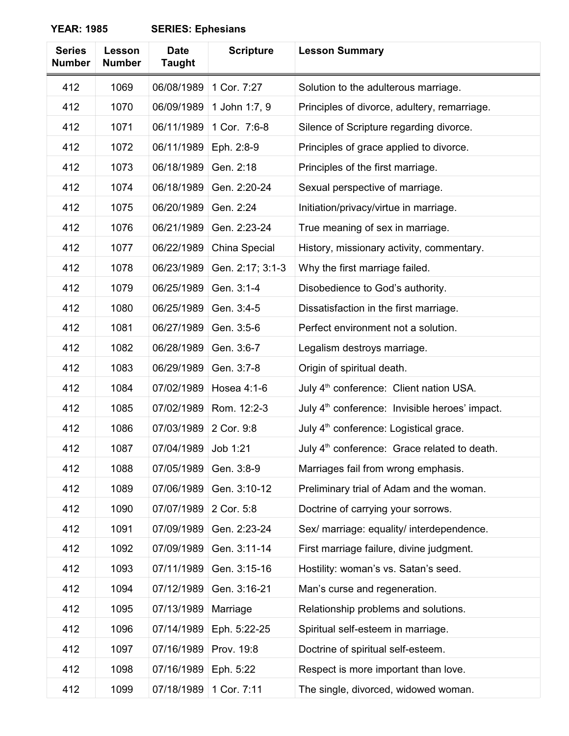| <b>Series</b><br><b>Number</b> | Lesson<br><b>Number</b> | <b>Date</b><br><b>Taught</b> | <b>Scripture</b> | <b>Lesson Summary</b>                                      |
|--------------------------------|-------------------------|------------------------------|------------------|------------------------------------------------------------|
| 412                            | 1069                    | 06/08/1989                   | 1 Cor. 7:27      | Solution to the adulterous marriage.                       |
| 412                            | 1070                    | 06/09/1989                   | 1 John 1:7, 9    | Principles of divorce, adultery, remarriage.               |
| 412                            | 1071                    | 06/11/1989                   | 1 Cor. 7:6-8     | Silence of Scripture regarding divorce.                    |
| 412                            | 1072                    | 06/11/1989                   | Eph. 2:8-9       | Principles of grace applied to divorce.                    |
| 412                            | 1073                    | 06/18/1989                   | Gen. 2:18        | Principles of the first marriage.                          |
| 412                            | 1074                    | 06/18/1989                   | Gen. 2:20-24     | Sexual perspective of marriage.                            |
| 412                            | 1075                    | 06/20/1989                   | Gen. 2:24        | Initiation/privacy/virtue in marriage.                     |
| 412                            | 1076                    | 06/21/1989                   | Gen. 2:23-24     | True meaning of sex in marriage.                           |
| 412                            | 1077                    | 06/22/1989                   | China Special    | History, missionary activity, commentary.                  |
| 412                            | 1078                    | 06/23/1989                   | Gen. 2:17; 3:1-3 | Why the first marriage failed.                             |
| 412                            | 1079                    | 06/25/1989                   | Gen. 3:1-4       | Disobedience to God's authority.                           |
| 412                            | 1080                    | 06/25/1989                   | Gen. 3:4-5       | Dissatisfaction in the first marriage.                     |
| 412                            | 1081                    | 06/27/1989                   | Gen. 3:5-6       | Perfect environment not a solution.                        |
| 412                            | 1082                    | 06/28/1989                   | Gen. 3:6-7       | Legalism destroys marriage.                                |
| 412                            | 1083                    | 06/29/1989                   | Gen. 3:7-8       | Origin of spiritual death.                                 |
| 412                            | 1084                    | 07/02/1989                   | Hosea 4:1-6      | July 4 <sup>th</sup> conference: Client nation USA.        |
| 412                            | 1085                    | 07/02/1989                   | Rom. 12:2-3      | July 4 <sup>th</sup> conference: Invisible heroes' impact. |
| 412                            | 1086                    | 07/03/1989                   | 2 Cor. 9:8       | July 4 <sup>th</sup> conference: Logistical grace.         |
| 412                            | 1087                    | 07/04/1989                   | Job 1:21         | July 4 <sup>th</sup> conference: Grace related to death.   |
| 412                            | 1088                    | 07/05/1989                   | Gen. 3:8-9       | Marriages fail from wrong emphasis.                        |
| 412                            | 1089                    | 07/06/1989                   | Gen. 3:10-12     | Preliminary trial of Adam and the woman.                   |
| 412                            | 1090                    | 07/07/1989                   | 2 Cor. 5:8       | Doctrine of carrying your sorrows.                         |
| 412                            | 1091                    | 07/09/1989                   | Gen. 2:23-24     | Sex/ marriage: equality/ interdependence.                  |
| 412                            | 1092                    | 07/09/1989                   | Gen. 3:11-14     | First marriage failure, divine judgment.                   |
| 412                            | 1093                    | 07/11/1989                   | Gen. 3:15-16     | Hostility: woman's vs. Satan's seed.                       |
| 412                            | 1094                    | 07/12/1989                   | Gen. 3:16-21     | Man's curse and regeneration.                              |
| 412                            | 1095                    | 07/13/1989                   | Marriage         | Relationship problems and solutions.                       |
| 412                            | 1096                    | 07/14/1989                   | Eph. 5:22-25     | Spiritual self-esteem in marriage.                         |
| 412                            | 1097                    | 07/16/1989                   | Prov. 19:8       | Doctrine of spiritual self-esteem.                         |
| 412                            | 1098                    | 07/16/1989                   | Eph. 5:22        | Respect is more important than love.                       |
| 412                            | 1099                    | 07/18/1989                   | 1 Cor. 7:11      | The single, divorced, widowed woman.                       |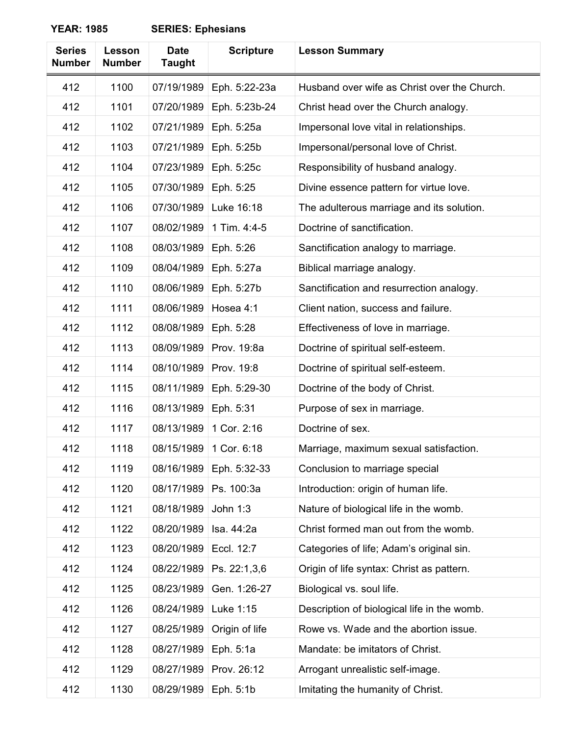| <b>Series</b><br><b>Number</b> | Lesson<br><b>Number</b> | <b>Date</b><br><b>Taught</b> | <b>Scripture</b> | <b>Lesson Summary</b>                        |
|--------------------------------|-------------------------|------------------------------|------------------|----------------------------------------------|
| 412                            | 1100                    | 07/19/1989                   | Eph. 5:22-23a    | Husband over wife as Christ over the Church. |
| 412                            | 1101                    | 07/20/1989                   | Eph. 5:23b-24    | Christ head over the Church analogy.         |
| 412                            | 1102                    | 07/21/1989                   | Eph. 5:25a       | Impersonal love vital in relationships.      |
| 412                            | 1103                    | 07/21/1989                   | Eph. 5:25b       | Impersonal/personal love of Christ.          |
| 412                            | 1104                    | 07/23/1989                   | Eph. 5:25c       | Responsibility of husband analogy.           |
| 412                            | 1105                    | 07/30/1989                   | Eph. 5:25        | Divine essence pattern for virtue love.      |
| 412                            | 1106                    | 07/30/1989                   | Luke 16:18       | The adulterous marriage and its solution.    |
| 412                            | 1107                    | 08/02/1989                   | 1 Tim. 4:4-5     | Doctrine of sanctification.                  |
| 412                            | 1108                    | 08/03/1989                   | Eph. 5:26        | Sanctification analogy to marriage.          |
| 412                            | 1109                    | 08/04/1989                   | Eph. 5:27a       | Biblical marriage analogy.                   |
| 412                            | 1110                    | 08/06/1989                   | Eph. 5:27b       | Sanctification and resurrection analogy.     |
| 412                            | 1111                    | 08/06/1989                   | Hosea 4:1        | Client nation, success and failure.          |
| 412                            | 1112                    | 08/08/1989                   | Eph. 5:28        | Effectiveness of love in marriage.           |
| 412                            | 1113                    | 08/09/1989                   | Prov. 19:8a      | Doctrine of spiritual self-esteem.           |
| 412                            | 1114                    | 08/10/1989                   | Prov. 19:8       | Doctrine of spiritual self-esteem.           |
| 412                            | 1115                    | 08/11/1989                   | Eph. 5:29-30     | Doctrine of the body of Christ.              |
| 412                            | 1116                    | 08/13/1989                   | Eph. 5:31        | Purpose of sex in marriage.                  |
| 412                            | 1117                    | 08/13/1989                   | 1 Cor. 2:16      | Doctrine of sex.                             |
| 412                            | 1118                    | 08/15/1989                   | 1 Cor. 6:18      | Marriage, maximum sexual satisfaction.       |
| 412                            | 1119                    | 08/16/1989                   | Eph. 5:32-33     | Conclusion to marriage special               |
| 412                            | 1120                    | 08/17/1989                   | Ps. 100:3a       | Introduction: origin of human life.          |
| 412                            | 1121                    | 08/18/1989                   | John 1:3         | Nature of biological life in the womb.       |
| 412                            | 1122                    | 08/20/1989                   | Isa. 44:2a       | Christ formed man out from the womb.         |
| 412                            | 1123                    | 08/20/1989                   | Eccl. 12:7       | Categories of life; Adam's original sin.     |
| 412                            | 1124                    | 08/22/1989                   | Ps. 22:1,3,6     | Origin of life syntax: Christ as pattern.    |
| 412                            | 1125                    | 08/23/1989                   | Gen. 1:26-27     | Biological vs. soul life.                    |
| 412                            | 1126                    | 08/24/1989                   | Luke 1:15        | Description of biological life in the womb.  |
| 412                            | 1127                    | 08/25/1989                   | Origin of life   | Rowe vs. Wade and the abortion issue.        |
| 412                            | 1128                    | 08/27/1989                   | Eph. 5:1a        | Mandate: be imitators of Christ.             |
| 412                            | 1129                    | 08/27/1989                   | Prov. 26:12      | Arrogant unrealistic self-image.             |
| 412                            | 1130                    | 08/29/1989                   | Eph. 5:1b        | Imitating the humanity of Christ.            |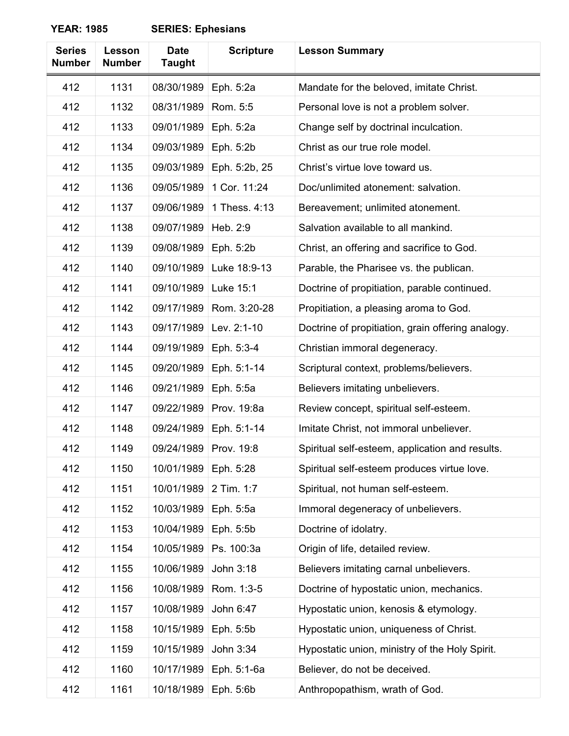| <b>Series</b><br><b>Number</b> | Lesson<br><b>Number</b> | <b>Date</b><br><b>Taught</b> | <b>Scripture</b> | <b>Lesson Summary</b>                             |
|--------------------------------|-------------------------|------------------------------|------------------|---------------------------------------------------|
| 412                            | 1131                    | 08/30/1989                   | Eph. 5:2a        | Mandate for the beloved, imitate Christ.          |
| 412                            | 1132                    | 08/31/1989                   | Rom. 5:5         | Personal love is not a problem solver.            |
| 412                            | 1133                    | 09/01/1989                   | Eph. 5:2a        | Change self by doctrinal inculcation.             |
| 412                            | 1134                    | 09/03/1989                   | Eph. 5:2b        | Christ as our true role model.                    |
| 412                            | 1135                    | 09/03/1989                   | Eph. 5:2b, 25    | Christ's virtue love toward us.                   |
| 412                            | 1136                    | 09/05/1989                   | 1 Cor. 11:24     | Doc/unlimited atonement: salvation.               |
| 412                            | 1137                    | 09/06/1989                   | 1 Thess. 4:13    | Bereavement; unlimited atonement.                 |
| 412                            | 1138                    | 09/07/1989                   | Heb. 2:9         | Salvation available to all mankind.               |
| 412                            | 1139                    | 09/08/1989                   | Eph. 5:2b        | Christ, an offering and sacrifice to God.         |
| 412                            | 1140                    | 09/10/1989                   | Luke 18:9-13     | Parable, the Pharisee vs. the publican.           |
| 412                            | 1141                    | 09/10/1989                   | Luke 15:1        | Doctrine of propitiation, parable continued.      |
| 412                            | 1142                    | 09/17/1989                   | Rom. 3:20-28     | Propitiation, a pleasing aroma to God.            |
| 412                            | 1143                    | 09/17/1989                   | Lev. 2:1-10      | Doctrine of propitiation, grain offering analogy. |
| 412                            | 1144                    | 09/19/1989                   | Eph. 5:3-4       | Christian immoral degeneracy.                     |
| 412                            | 1145                    | 09/20/1989                   | Eph. 5:1-14      | Scriptural context, problems/believers.           |
| 412                            | 1146                    | 09/21/1989                   | Eph. 5:5a        | Believers imitating unbelievers.                  |
| 412                            | 1147                    | 09/22/1989                   | Prov. 19:8a      | Review concept, spiritual self-esteem.            |
| 412                            | 1148                    | 09/24/1989                   | Eph. 5:1-14      | Imitate Christ, not immoral unbeliever.           |
| 412                            | 1149                    | 09/24/1989                   | Prov. 19:8       | Spiritual self-esteem, application and results.   |
| 412                            | 1150                    | 10/01/1989                   | Eph. 5:28        | Spiritual self-esteem produces virtue love.       |
| 412                            | 1151                    | 10/01/1989                   | 2 Tim. 1:7       | Spiritual, not human self-esteem.                 |
| 412                            | 1152                    | 10/03/1989                   | Eph. 5:5a        | Immoral degeneracy of unbelievers.                |
| 412                            | 1153                    | 10/04/1989                   | Eph. 5:5b        | Doctrine of idolatry.                             |
| 412                            | 1154                    | 10/05/1989                   | Ps. 100:3a       | Origin of life, detailed review.                  |
| 412                            | 1155                    | 10/06/1989                   | John 3:18        | Believers imitating carnal unbelievers.           |
| 412                            | 1156                    | 10/08/1989                   | Rom. 1:3-5       | Doctrine of hypostatic union, mechanics.          |
| 412                            | 1157                    | 10/08/1989                   | John 6:47        | Hypostatic union, kenosis & etymology.            |
| 412                            | 1158                    | 10/15/1989                   | Eph. 5:5b        | Hypostatic union, uniqueness of Christ.           |
| 412                            | 1159                    | 10/15/1989                   | John 3:34        | Hypostatic union, ministry of the Holy Spirit.    |
| 412                            | 1160                    | 10/17/1989                   | Eph. 5:1-6a      | Believer, do not be deceived.                     |
| 412                            | 1161                    | 10/18/1989                   | Eph. 5:6b        | Anthropopathism, wrath of God.                    |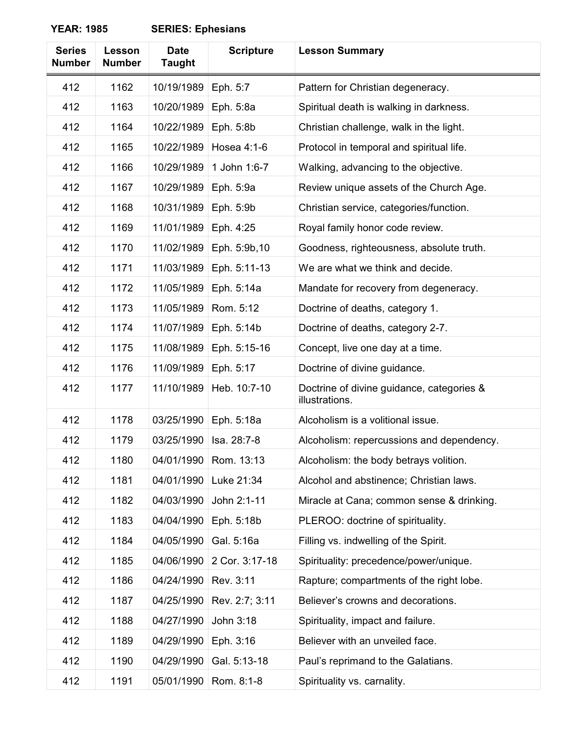| <b>Series</b><br><b>Number</b> | <b>Lesson</b><br><b>Number</b> | <b>Date</b><br><b>Taught</b> | <b>Scripture</b> | <b>Lesson Summary</b>                                       |
|--------------------------------|--------------------------------|------------------------------|------------------|-------------------------------------------------------------|
| 412                            | 1162                           | 10/19/1989                   | Eph. 5:7         | Pattern for Christian degeneracy.                           |
| 412                            | 1163                           | 10/20/1989                   | Eph. 5:8a        | Spiritual death is walking in darkness.                     |
| 412                            | 1164                           | 10/22/1989                   | Eph. 5:8b        | Christian challenge, walk in the light.                     |
| 412                            | 1165                           | 10/22/1989                   | Hosea 4:1-6      | Protocol in temporal and spiritual life.                    |
| 412                            | 1166                           | 10/29/1989                   | 1 John 1:6-7     | Walking, advancing to the objective.                        |
| 412                            | 1167                           | 10/29/1989                   | Eph. 5:9a        | Review unique assets of the Church Age.                     |
| 412                            | 1168                           | 10/31/1989                   | Eph. 5:9b        | Christian service, categories/function.                     |
| 412                            | 1169                           | 11/01/1989                   | Eph. 4:25        | Royal family honor code review.                             |
| 412                            | 1170                           | 11/02/1989                   | Eph. 5:9b, 10    | Goodness, righteousness, absolute truth.                    |
| 412                            | 1171                           | 11/03/1989                   | Eph. 5:11-13     | We are what we think and decide.                            |
| 412                            | 1172                           | 11/05/1989                   | Eph. 5:14a       | Mandate for recovery from degeneracy.                       |
| 412                            | 1173                           | 11/05/1989                   | Rom. 5:12        | Doctrine of deaths, category 1.                             |
| 412                            | 1174                           | 11/07/1989                   | Eph. 5:14b       | Doctrine of deaths, category 2-7.                           |
| 412                            | 1175                           | 11/08/1989                   | Eph. 5:15-16     | Concept, live one day at a time.                            |
| 412                            | 1176                           | 11/09/1989                   | Eph. 5:17        | Doctrine of divine guidance.                                |
| 412                            | 1177                           | 11/10/1989                   | Heb. 10:7-10     | Doctrine of divine guidance, categories &<br>illustrations. |
| 412                            | 1178                           | 03/25/1990                   | Eph. 5:18a       | Alcoholism is a volitional issue.                           |
| 412                            | 1179                           | 03/25/1990                   | Isa. 28:7-8      | Alcoholism: repercussions and dependency.                   |
| 412                            | 1180                           | 04/01/1990                   | Rom. 13:13       | Alcoholism: the body betrays volition.                      |
| 412                            | 1181                           | 04/01/1990                   | Luke 21:34       | Alcohol and abstinence; Christian laws.                     |
| 412                            | 1182                           | 04/03/1990                   | John 2:1-11      | Miracle at Cana; common sense & drinking.                   |
| 412                            | 1183                           | 04/04/1990                   | Eph. 5:18b       | PLEROO: doctrine of spirituality.                           |
| 412                            | 1184                           | 04/05/1990                   | Gal. 5:16a       | Filling vs. indwelling of the Spirit.                       |
| 412                            | 1185                           | 04/06/1990                   | 2 Cor. 3:17-18   | Spirituality: precedence/power/unique.                      |
| 412                            | 1186                           | 04/24/1990                   | Rev. 3:11        | Rapture; compartments of the right lobe.                    |
| 412                            | 1187                           | 04/25/1990                   | Rev. 2:7; 3:11   | Believer's crowns and decorations.                          |
| 412                            | 1188                           | 04/27/1990                   | John 3:18        | Spirituality, impact and failure.                           |
| 412                            | 1189                           | 04/29/1990                   | Eph. 3:16        | Believer with an unveiled face.                             |
| 412                            | 1190                           | 04/29/1990                   | Gal. 5:13-18     | Paul's reprimand to the Galatians.                          |
| 412                            | 1191                           | 05/01/1990                   | Rom. 8:1-8       | Spirituality vs. carnality.                                 |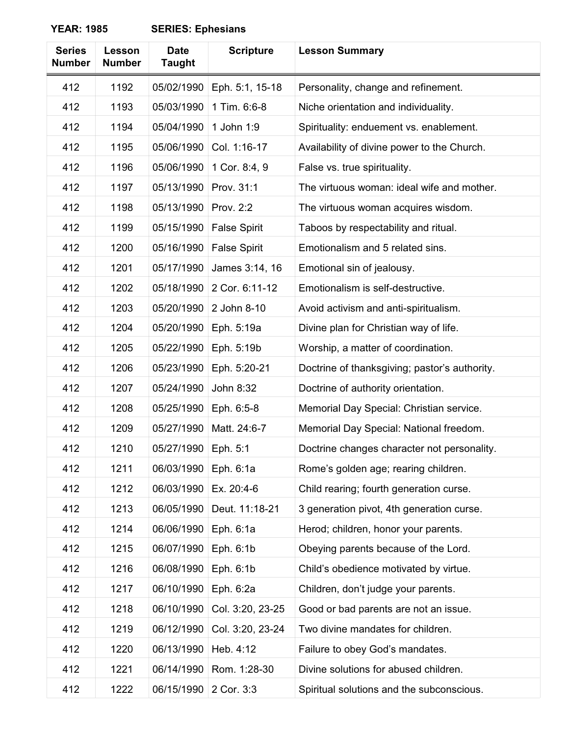| <b>Series</b><br><b>Number</b> | Lesson<br><b>Number</b> | <b>Date</b><br><b>Taught</b> | <b>Scripture</b>    | <b>Lesson Summary</b>                         |
|--------------------------------|-------------------------|------------------------------|---------------------|-----------------------------------------------|
| 412                            | 1192                    | 05/02/1990                   | Eph. 5:1, 15-18     | Personality, change and refinement.           |
| 412                            | 1193                    | 05/03/1990                   | 1 Tim. 6:6-8        | Niche orientation and individuality.          |
| 412                            | 1194                    | 05/04/1990                   | 1 John 1:9          | Spirituality: enduement vs. enablement.       |
| 412                            | 1195                    | 05/06/1990                   | Col. 1:16-17        | Availability of divine power to the Church.   |
| 412                            | 1196                    | 05/06/1990                   | 1 Cor. 8:4, 9       | False vs. true spirituality.                  |
| 412                            | 1197                    | 05/13/1990                   | Prov. 31:1          | The virtuous woman: ideal wife and mother.    |
| 412                            | 1198                    | 05/13/1990                   | Prov. 2:2           | The virtuous woman acquires wisdom.           |
| 412                            | 1199                    | 05/15/1990                   | <b>False Spirit</b> | Taboos by respectability and ritual.          |
| 412                            | 1200                    | 05/16/1990                   | <b>False Spirit</b> | Emotionalism and 5 related sins.              |
| 412                            | 1201                    | 05/17/1990                   | James 3:14, 16      | Emotional sin of jealousy.                    |
| 412                            | 1202                    | 05/18/1990                   | 2 Cor. 6:11-12      | Emotionalism is self-destructive.             |
| 412                            | 1203                    | 05/20/1990                   | 2 John 8-10         | Avoid activism and anti-spiritualism.         |
| 412                            | 1204                    | 05/20/1990                   | Eph. 5:19a          | Divine plan for Christian way of life.        |
| 412                            | 1205                    | 05/22/1990                   | Eph. 5:19b          | Worship, a matter of coordination.            |
| 412                            | 1206                    | 05/23/1990                   | Eph. 5:20-21        | Doctrine of thanksgiving; pastor's authority. |
| 412                            | 1207                    | 05/24/1990                   | John 8:32           | Doctrine of authority orientation.            |
| 412                            | 1208                    | 05/25/1990                   | Eph. 6:5-8          | Memorial Day Special: Christian service.      |
| 412                            | 1209                    | 05/27/1990                   | Matt. 24:6-7        | Memorial Day Special: National freedom.       |
| 412                            | 1210                    | 05/27/1990                   | Eph. 5:1            | Doctrine changes character not personality.   |
| 412                            | 1211                    | 06/03/1990                   | Eph. 6:1a           | Rome's golden age; rearing children.          |
| 412                            | 1212                    | 06/03/1990                   | Ex. 20:4-6          | Child rearing; fourth generation curse.       |
| 412                            | 1213                    | 06/05/1990                   | Deut. 11:18-21      | 3 generation pivot, 4th generation curse.     |
| 412                            | 1214                    | 06/06/1990                   | Eph. 6:1a           | Herod; children, honor your parents.          |
| 412                            | 1215                    | 06/07/1990                   | Eph. 6:1b           | Obeying parents because of the Lord.          |
| 412                            | 1216                    | 06/08/1990                   | Eph. 6:1b           | Child's obedience motivated by virtue.        |
| 412                            | 1217                    | 06/10/1990                   | Eph. 6:2a           | Children, don't judge your parents.           |
| 412                            | 1218                    | 06/10/1990                   | Col. 3:20, 23-25    | Good or bad parents are not an issue.         |
| 412                            | 1219                    | 06/12/1990                   | Col. 3:20, 23-24    | Two divine mandates for children.             |
| 412                            | 1220                    | 06/13/1990                   | Heb. 4:12           | Failure to obey God's mandates.               |
| 412                            | 1221                    | 06/14/1990                   | Rom. 1:28-30        | Divine solutions for abused children.         |
| 412                            | 1222                    | 06/15/1990                   | 2 Cor. 3:3          | Spiritual solutions and the subconscious.     |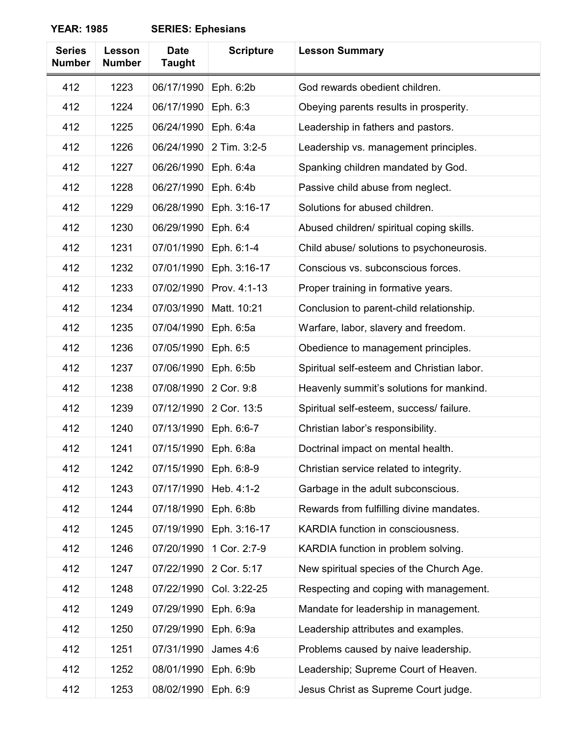| <b>Series</b><br><b>Number</b> | Lesson<br><b>Number</b> | <b>Date</b><br><b>Taught</b> | <b>Scripture</b> | <b>Lesson Summary</b>                      |
|--------------------------------|-------------------------|------------------------------|------------------|--------------------------------------------|
| 412                            | 1223                    | 06/17/1990                   | Eph. 6:2b        | God rewards obedient children.             |
| 412                            | 1224                    | 06/17/1990                   | Eph. 6:3         | Obeying parents results in prosperity.     |
| 412                            | 1225                    | 06/24/1990                   | Eph. 6:4a        | Leadership in fathers and pastors.         |
| 412                            | 1226                    | 06/24/1990                   | 2 Tim. 3:2-5     | Leadership vs. management principles.      |
| 412                            | 1227                    | 06/26/1990                   | Eph. 6:4a        | Spanking children mandated by God.         |
| 412                            | 1228                    | 06/27/1990                   | Eph. 6:4b        | Passive child abuse from neglect.          |
| 412                            | 1229                    | 06/28/1990                   | Eph. 3:16-17     | Solutions for abused children.             |
| 412                            | 1230                    | 06/29/1990                   | Eph. 6:4         | Abused children/ spiritual coping skills.  |
| 412                            | 1231                    | 07/01/1990                   | Eph. 6:1-4       | Child abuse/ solutions to psychoneurosis.  |
| 412                            | 1232                    | 07/01/1990                   | Eph. 3:16-17     | Conscious vs. subconscious forces.         |
| 412                            | 1233                    | 07/02/1990                   | Prov. 4:1-13     | Proper training in formative years.        |
| 412                            | 1234                    | 07/03/1990                   | Matt. 10:21      | Conclusion to parent-child relationship.   |
| 412                            | 1235                    | 07/04/1990                   | Eph. 6:5a        | Warfare, labor, slavery and freedom.       |
| 412                            | 1236                    | 07/05/1990                   | Eph. 6:5         | Obedience to management principles.        |
| 412                            | 1237                    | 07/06/1990                   | Eph. 6:5b        | Spiritual self-esteem and Christian labor. |
| 412                            | 1238                    | 07/08/1990                   | 2 Cor. 9:8       | Heavenly summit's solutions for mankind.   |
| 412                            | 1239                    | 07/12/1990                   | 2 Cor. 13:5      | Spiritual self-esteem, success/ failure.   |
| 412                            | 1240                    | 07/13/1990                   | Eph. 6:6-7       | Christian labor's responsibility.          |
| 412                            | 1241                    | 07/15/1990                   | Eph. 6:8a        | Doctrinal impact on mental health.         |
| 412                            | 1242                    | 07/15/1990                   | Eph. 6:8-9       | Christian service related to integrity.    |
| 412                            | 1243                    | 07/17/1990                   | Heb. 4:1-2       | Garbage in the adult subconscious.         |
| 412                            | 1244                    | 07/18/1990                   | Eph. 6:8b        | Rewards from fulfilling divine mandates.   |
| 412                            | 1245                    | 07/19/1990                   | Eph. 3:16-17     | KARDIA function in consciousness.          |
| 412                            | 1246                    | 07/20/1990                   | 1 Cor. 2:7-9     | KARDIA function in problem solving.        |
| 412                            | 1247                    | 07/22/1990                   | 2 Cor. 5:17      | New spiritual species of the Church Age.   |
| 412                            | 1248                    | 07/22/1990                   | Col. 3:22-25     | Respecting and coping with management.     |
| 412                            | 1249                    | 07/29/1990                   | Eph. 6:9a        | Mandate for leadership in management.      |
| 412                            | 1250                    | 07/29/1990                   | Eph. 6:9a        | Leadership attributes and examples.        |
| 412                            | 1251                    | 07/31/1990                   | James 4:6        | Problems caused by naive leadership.       |
| 412                            | 1252                    | 08/01/1990                   | Eph. 6:9b        | Leadership; Supreme Court of Heaven.       |
| 412                            | 1253                    | 08/02/1990                   | Eph. 6:9         | Jesus Christ as Supreme Court judge.       |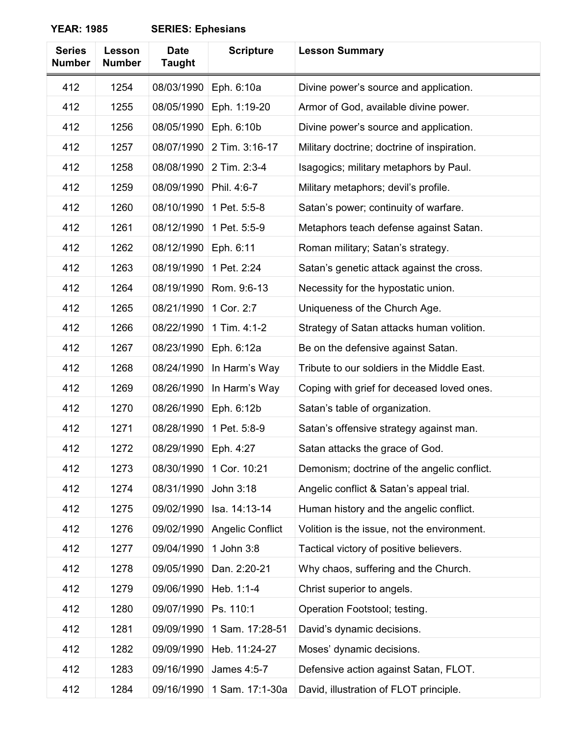| <b>Series</b><br><b>Number</b> | Lesson<br><b>Number</b> | <b>Date</b><br><b>Taught</b> | <b>Scripture</b>        | <b>Lesson Summary</b>                       |
|--------------------------------|-------------------------|------------------------------|-------------------------|---------------------------------------------|
| 412                            | 1254                    | 08/03/1990                   | Eph. 6:10a              | Divine power's source and application.      |
| 412                            | 1255                    | 08/05/1990                   | Eph. 1:19-20            | Armor of God, available divine power.       |
| 412                            | 1256                    | 08/05/1990                   | Eph. 6:10b              | Divine power's source and application.      |
| 412                            | 1257                    | 08/07/1990                   | 2 Tim. 3:16-17          | Military doctrine; doctrine of inspiration. |
| 412                            | 1258                    | 08/08/1990                   | 2 Tim. 2:3-4            | Isagogics; military metaphors by Paul.      |
| 412                            | 1259                    | 08/09/1990                   | Phil. 4:6-7             | Military metaphors; devil's profile.        |
| 412                            | 1260                    | 08/10/1990                   | 1 Pet. 5:5-8            | Satan's power; continuity of warfare.       |
| 412                            | 1261                    | 08/12/1990                   | 1 Pet. 5:5-9            | Metaphors teach defense against Satan.      |
| 412                            | 1262                    | 08/12/1990                   | Eph. 6:11               | Roman military; Satan's strategy.           |
| 412                            | 1263                    | 08/19/1990                   | 1 Pet. 2:24             | Satan's genetic attack against the cross.   |
| 412                            | 1264                    | 08/19/1990                   | Rom. 9:6-13             | Necessity for the hypostatic union.         |
| 412                            | 1265                    | 08/21/1990                   | 1 Cor. 2:7              | Uniqueness of the Church Age.               |
| 412                            | 1266                    | 08/22/1990                   | 1 Tim. 4:1-2            | Strategy of Satan attacks human volition.   |
| 412                            | 1267                    | 08/23/1990                   | Eph. 6:12a              | Be on the defensive against Satan.          |
| 412                            | 1268                    | 08/24/1990                   | In Harm's Way           | Tribute to our soldiers in the Middle East. |
| 412                            | 1269                    | 08/26/1990                   | In Harm's Way           | Coping with grief for deceased loved ones.  |
| 412                            | 1270                    | 08/26/1990                   | Eph. 6:12b              | Satan's table of organization.              |
| 412                            | 1271                    | 08/28/1990                   | 1 Pet. 5:8-9            | Satan's offensive strategy against man.     |
| 412                            | 1272                    | 08/29/1990                   | Eph. 4:27               | Satan attacks the grace of God.             |
| 412                            | 1273                    | 08/30/1990                   | 1 Cor. 10:21            | Demonism; doctrine of the angelic conflict. |
| 412                            | 1274                    | 08/31/1990                   | John 3:18               | Angelic conflict & Satan's appeal trial.    |
| 412                            | 1275                    | 09/02/1990                   | Isa. 14:13-14           | Human history and the angelic conflict.     |
| 412                            | 1276                    | 09/02/1990                   | <b>Angelic Conflict</b> | Volition is the issue, not the environment. |
| 412                            | 1277                    | 09/04/1990                   | 1 John 3:8              | Tactical victory of positive believers.     |
| 412                            | 1278                    | 09/05/1990                   | Dan. 2:20-21            | Why chaos, suffering and the Church.        |
| 412                            | 1279                    | 09/06/1990                   | Heb. 1:1-4              | Christ superior to angels.                  |
| 412                            | 1280                    | 09/07/1990                   | Ps. 110:1               | Operation Footstool; testing.               |
| 412                            | 1281                    | 09/09/1990                   | 1 Sam. 17:28-51         | David's dynamic decisions.                  |
| 412                            | 1282                    | 09/09/1990                   | Heb. 11:24-27           | Moses' dynamic decisions.                   |
| 412                            | 1283                    | 09/16/1990                   | James 4:5-7             | Defensive action against Satan, FLOT.       |
| 412                            | 1284                    | 09/16/1990                   | 1 Sam. 17:1-30a         | David, illustration of FLOT principle.      |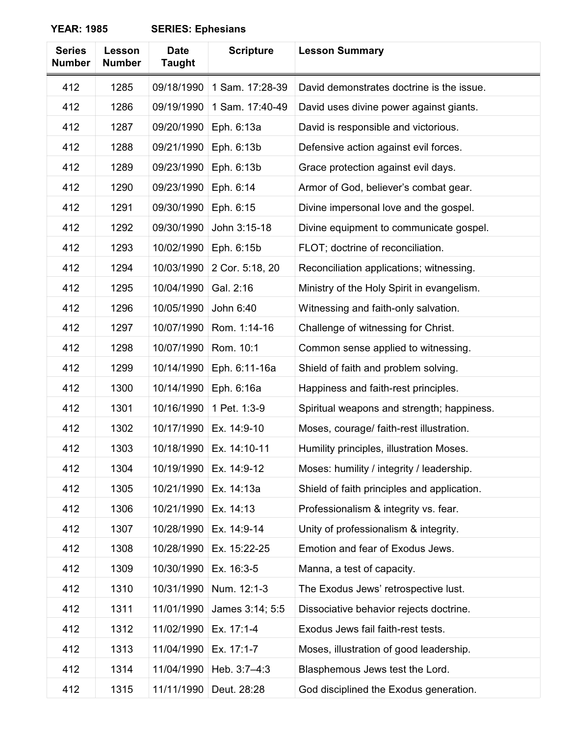| <b>Series</b><br><b>Number</b> | Lesson<br><b>Number</b> | <b>Date</b><br><b>Taught</b> | <b>Scripture</b> | <b>Lesson Summary</b>                       |
|--------------------------------|-------------------------|------------------------------|------------------|---------------------------------------------|
| 412                            | 1285                    | 09/18/1990                   | 1 Sam. 17:28-39  | David demonstrates doctrine is the issue.   |
| 412                            | 1286                    | 09/19/1990                   | 1 Sam. 17:40-49  | David uses divine power against giants.     |
| 412                            | 1287                    | 09/20/1990                   | Eph. 6:13a       | David is responsible and victorious.        |
| 412                            | 1288                    | 09/21/1990                   | Eph. 6:13b       | Defensive action against evil forces.       |
| 412                            | 1289                    | 09/23/1990                   | Eph. 6:13b       | Grace protection against evil days.         |
| 412                            | 1290                    | 09/23/1990                   | Eph. 6:14        | Armor of God, believer's combat gear.       |
| 412                            | 1291                    | 09/30/1990                   | Eph. 6:15        | Divine impersonal love and the gospel.      |
| 412                            | 1292                    | 09/30/1990                   | John 3:15-18     | Divine equipment to communicate gospel.     |
| 412                            | 1293                    | 10/02/1990                   | Eph. 6:15b       | FLOT; doctrine of reconciliation.           |
| 412                            | 1294                    | 10/03/1990                   | 2 Cor. 5:18, 20  | Reconciliation applications; witnessing.    |
| 412                            | 1295                    | 10/04/1990                   | Gal. 2:16        | Ministry of the Holy Spirit in evangelism.  |
| 412                            | 1296                    | 10/05/1990                   | John 6:40        | Witnessing and faith-only salvation.        |
| 412                            | 1297                    | 10/07/1990                   | Rom. 1:14-16     | Challenge of witnessing for Christ.         |
| 412                            | 1298                    | 10/07/1990                   | Rom. 10:1        | Common sense applied to witnessing.         |
| 412                            | 1299                    | 10/14/1990                   | Eph. 6:11-16a    | Shield of faith and problem solving.        |
| 412                            | 1300                    | 10/14/1990                   | Eph. 6:16a       | Happiness and faith-rest principles.        |
| 412                            | 1301                    | 10/16/1990                   | 1 Pet. 1:3-9     | Spiritual weapons and strength; happiness.  |
| 412                            | 1302                    | 10/17/1990                   | Ex. 14:9-10      | Moses, courage/ faith-rest illustration.    |
| 412                            | 1303                    | 10/18/1990                   | Ex. 14:10-11     | Humility principles, illustration Moses.    |
| 412                            | 1304                    | 10/19/1990                   | Ex. 14:9-12      | Moses: humility / integrity / leadership.   |
| 412                            | 1305                    | 10/21/1990                   | Ex. 14:13a       | Shield of faith principles and application. |
| 412                            | 1306                    | 10/21/1990                   | Ex. 14:13        | Professionalism & integrity vs. fear.       |
| 412                            | 1307                    | 10/28/1990                   | Ex. 14:9-14      | Unity of professionalism & integrity.       |
| 412                            | 1308                    | 10/28/1990                   | Ex. 15:22-25     | Emotion and fear of Exodus Jews.            |
| 412                            | 1309                    | 10/30/1990                   | Ex. 16:3-5       | Manna, a test of capacity.                  |
| 412                            | 1310                    | 10/31/1990                   | Num. 12:1-3      | The Exodus Jews' retrospective lust.        |
| 412                            | 1311                    | 11/01/1990                   | James 3:14; 5:5  | Dissociative behavior rejects doctrine.     |
| 412                            | 1312                    | 11/02/1990                   | Ex. 17:1-4       | Exodus Jews fail faith-rest tests.          |
| 412                            | 1313                    | 11/04/1990                   | Ex. 17:1-7       | Moses, illustration of good leadership.     |
| 412                            | 1314                    | 11/04/1990                   | Heb. 3:7-4:3     | Blasphemous Jews test the Lord.             |
| 412                            | 1315                    | 11/11/1990                   | Deut. 28:28      | God disciplined the Exodus generation.      |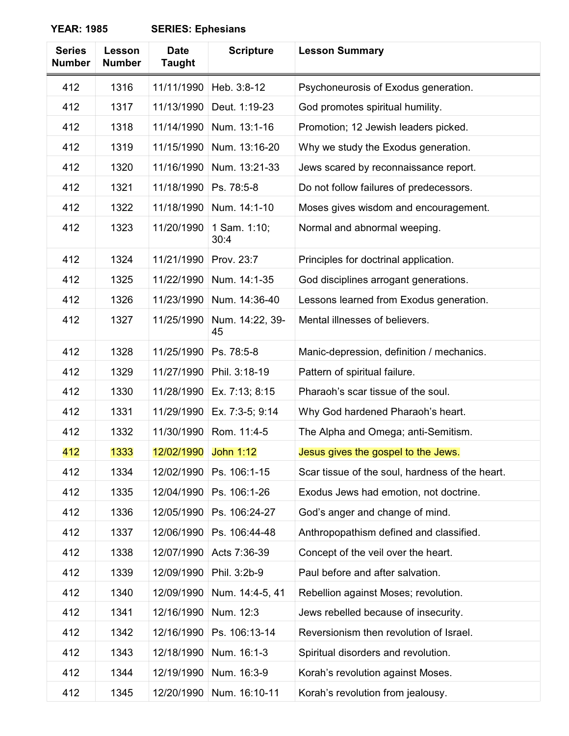| <b>Series</b><br><b>Number</b> | Lesson<br><b>Number</b> | <b>Date</b><br><b>Taught</b> | <b>Scripture</b>      | <b>Lesson Summary</b>                           |
|--------------------------------|-------------------------|------------------------------|-----------------------|-------------------------------------------------|
| 412                            | 1316                    | 11/11/1990                   | Heb. 3:8-12           | Psychoneurosis of Exodus generation.            |
| 412                            | 1317                    | 11/13/1990                   | Deut. 1:19-23         | God promotes spiritual humility.                |
| 412                            | 1318                    | 11/14/1990                   | Num. 13:1-16          | Promotion; 12 Jewish leaders picked.            |
| 412                            | 1319                    | 11/15/1990                   | Num. 13:16-20         | Why we study the Exodus generation.             |
| 412                            | 1320                    | 11/16/1990                   | Num. 13:21-33         | Jews scared by reconnaissance report.           |
| 412                            | 1321                    | 11/18/1990                   | Ps. 78:5-8            | Do not follow failures of predecessors.         |
| 412                            | 1322                    | 11/18/1990                   | Num. 14:1-10          | Moses gives wisdom and encouragement.           |
| 412                            | 1323                    | 11/20/1990                   | 1 Sam. 1:10;<br>30:4  | Normal and abnormal weeping.                    |
| 412                            | 1324                    | 11/21/1990                   | Prov. 23:7            | Principles for doctrinal application.           |
| 412                            | 1325                    | 11/22/1990                   | Num. 14:1-35          | God disciplines arrogant generations.           |
| 412                            | 1326                    | 11/23/1990                   | Num. 14:36-40         | Lessons learned from Exodus generation.         |
| 412                            | 1327                    | 11/25/1990                   | Num. 14:22, 39-<br>45 | Mental illnesses of believers.                  |
| 412                            | 1328                    | 11/25/1990                   | Ps. 78:5-8            | Manic-depression, definition / mechanics.       |
| 412                            | 1329                    | 11/27/1990                   | Phil. 3:18-19         | Pattern of spiritual failure.                   |
| 412                            | 1330                    | 11/28/1990                   | Ex. 7:13; 8:15        | Pharaoh's scar tissue of the soul.              |
| 412                            | 1331                    | 11/29/1990                   | Ex. 7:3-5; 9:14       | Why God hardened Pharaoh's heart.               |
| 412                            | 1332                    | 11/30/1990                   | Rom. 11:4-5           | The Alpha and Omega; anti-Semitism.             |
| 412                            | 1333                    | 12/02/1990                   | <b>John 1:12</b>      | Jesus gives the gospel to the Jews.             |
| 412                            | 1334                    | 12/02/1990                   | Ps. 106:1-15          | Scar tissue of the soul, hardness of the heart. |
| 412                            | 1335                    | 12/04/1990                   | Ps. 106:1-26          | Exodus Jews had emotion, not doctrine.          |
| 412                            | 1336                    | 12/05/1990                   | Ps. 106:24-27         | God's anger and change of mind.                 |
| 412                            | 1337                    | 12/06/1990                   | Ps. 106:44-48         | Anthropopathism defined and classified.         |
| 412                            | 1338                    | 12/07/1990                   | Acts 7:36-39          | Concept of the veil over the heart.             |
| 412                            | 1339                    | 12/09/1990                   | Phil. 3:2b-9          | Paul before and after salvation.                |
| 412                            | 1340                    | 12/09/1990                   | Num. 14:4-5, 41       | Rebellion against Moses; revolution.            |
| 412                            | 1341                    | 12/16/1990                   | Num. 12:3             | Jews rebelled because of insecurity.            |
| 412                            | 1342                    | 12/16/1990                   | Ps. 106:13-14         | Reversionism then revolution of Israel.         |
| 412                            | 1343                    | 12/18/1990                   | Num. 16:1-3           | Spiritual disorders and revolution.             |
| 412                            | 1344                    | 12/19/1990                   | Num. 16:3-9           | Korah's revolution against Moses.               |
| 412                            | 1345                    | 12/20/1990                   | Num. 16:10-11         | Korah's revolution from jealousy.               |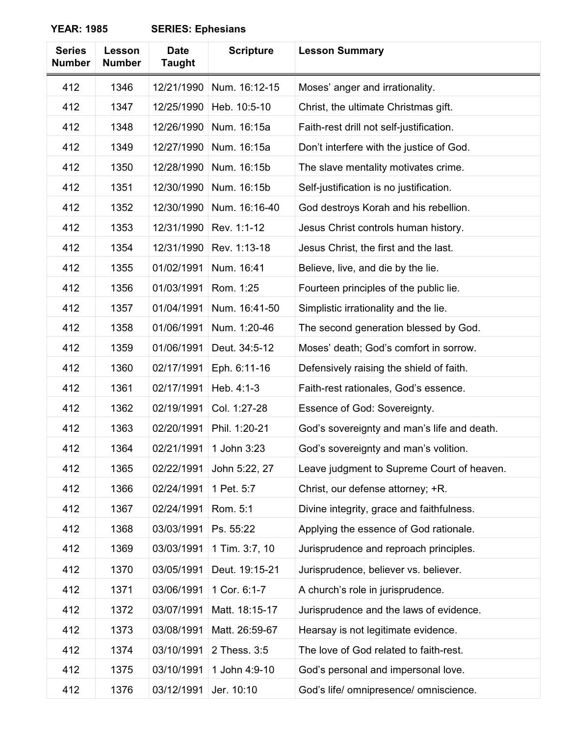| <b>Series</b><br><b>Number</b> | Lesson<br><b>Number</b> | <b>Date</b><br><b>Taught</b> | <b>Scripture</b> | <b>Lesson Summary</b>                       |
|--------------------------------|-------------------------|------------------------------|------------------|---------------------------------------------|
| 412                            | 1346                    | 12/21/1990                   | Num. 16:12-15    | Moses' anger and irrationality.             |
| 412                            | 1347                    | 12/25/1990                   | Heb. 10:5-10     | Christ, the ultimate Christmas gift.        |
| 412                            | 1348                    | 12/26/1990                   | Num. 16:15a      | Faith-rest drill not self-justification.    |
| 412                            | 1349                    | 12/27/1990                   | Num. 16:15a      | Don't interfere with the justice of God.    |
| 412                            | 1350                    | 12/28/1990                   | Num. 16:15b      | The slave mentality motivates crime.        |
| 412                            | 1351                    | 12/30/1990                   | Num. 16:15b      | Self-justification is no justification.     |
| 412                            | 1352                    | 12/30/1990                   | Num. 16:16-40    | God destroys Korah and his rebellion.       |
| 412                            | 1353                    | 12/31/1990                   | Rev. 1:1-12      | Jesus Christ controls human history.        |
| 412                            | 1354                    | 12/31/1990                   | Rev. 1:13-18     | Jesus Christ, the first and the last.       |
| 412                            | 1355                    | 01/02/1991                   | Num. 16:41       | Believe, live, and die by the lie.          |
| 412                            | 1356                    | 01/03/1991                   | Rom. 1:25        | Fourteen principles of the public lie.      |
| 412                            | 1357                    | 01/04/1991                   | Num. 16:41-50    | Simplistic irrationality and the lie.       |
| 412                            | 1358                    | 01/06/1991                   | Num. 1:20-46     | The second generation blessed by God.       |
| 412                            | 1359                    | 01/06/1991                   | Deut. 34:5-12    | Moses' death; God's comfort in sorrow.      |
| 412                            | 1360                    | 02/17/1991                   | Eph. 6:11-16     | Defensively raising the shield of faith.    |
| 412                            | 1361                    | 02/17/1991                   | Heb. 4:1-3       | Faith-rest rationales, God's essence.       |
| 412                            | 1362                    | 02/19/1991                   | Col. 1:27-28     | Essence of God: Sovereignty.                |
| 412                            | 1363                    | 02/20/1991                   | Phil. 1:20-21    | God's sovereignty and man's life and death. |
| 412                            | 1364                    | 02/21/1991                   | 1 John 3:23      | God's sovereignty and man's volition.       |
| 412                            | 1365                    | 02/22/1991                   | John 5:22, 27    | Leave judgment to Supreme Court of heaven.  |
| 412                            | 1366                    | 02/24/1991                   | 1 Pet. 5:7       | Christ, our defense attorney; +R.           |
| 412                            | 1367                    | 02/24/1991                   | Rom. 5:1         | Divine integrity, grace and faithfulness.   |
| 412                            | 1368                    | 03/03/1991                   | Ps. 55:22        | Applying the essence of God rationale.      |
| 412                            | 1369                    | 03/03/1991                   | 1 Tim. 3:7, 10   | Jurisprudence and reproach principles.      |
| 412                            | 1370                    | 03/05/1991                   | Deut. 19:15-21   | Jurisprudence, believer vs. believer.       |
| 412                            | 1371                    | 03/06/1991                   | 1 Cor. 6:1-7     | A church's role in jurisprudence.           |
| 412                            | 1372                    | 03/07/1991                   | Matt. 18:15-17   | Jurisprudence and the laws of evidence.     |
| 412                            | 1373                    | 03/08/1991                   | Matt. 26:59-67   | Hearsay is not legitimate evidence.         |
| 412                            | 1374                    | 03/10/1991                   | 2 Thess. 3:5     | The love of God related to faith-rest.      |
| 412                            | 1375                    | 03/10/1991                   | 1 John 4:9-10    | God's personal and impersonal love.         |
| 412                            | 1376                    | 03/12/1991                   | Jer. 10:10       | God's life/ omnipresence/ omniscience.      |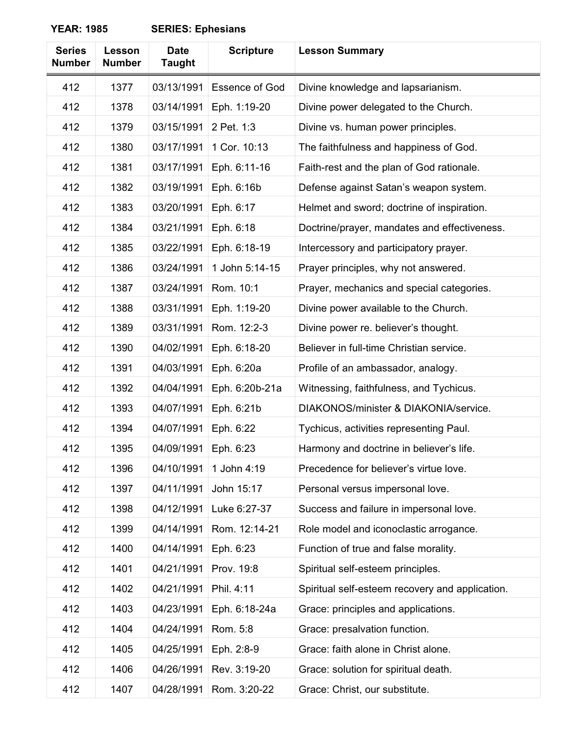| <b>Series</b><br><b>Number</b> | Lesson<br><b>Number</b> | <b>Date</b><br><b>Taught</b> | <b>Scripture</b>      | <b>Lesson Summary</b>                           |
|--------------------------------|-------------------------|------------------------------|-----------------------|-------------------------------------------------|
| 412                            | 1377                    | 03/13/1991                   | <b>Essence of God</b> | Divine knowledge and lapsarianism.              |
| 412                            | 1378                    | 03/14/1991                   | Eph. 1:19-20          | Divine power delegated to the Church.           |
| 412                            | 1379                    | 03/15/1991                   | 2 Pet. 1:3            | Divine vs. human power principles.              |
| 412                            | 1380                    | 03/17/1991                   | 1 Cor. 10:13          | The faithfulness and happiness of God.          |
| 412                            | 1381                    | 03/17/1991                   | Eph. 6:11-16          | Faith-rest and the plan of God rationale.       |
| 412                            | 1382                    | 03/19/1991                   | Eph. 6:16b            | Defense against Satan's weapon system.          |
| 412                            | 1383                    | 03/20/1991                   | Eph. 6:17             | Helmet and sword; doctrine of inspiration.      |
| 412                            | 1384                    | 03/21/1991                   | Eph. 6:18             | Doctrine/prayer, mandates and effectiveness.    |
| 412                            | 1385                    | 03/22/1991                   | Eph. 6:18-19          | Intercessory and participatory prayer.          |
| 412                            | 1386                    | 03/24/1991                   | 1 John 5:14-15        | Prayer principles, why not answered.            |
| 412                            | 1387                    | 03/24/1991                   | Rom. 10:1             | Prayer, mechanics and special categories.       |
| 412                            | 1388                    | 03/31/1991                   | Eph. 1:19-20          | Divine power available to the Church.           |
| 412                            | 1389                    | 03/31/1991                   | Rom. 12:2-3           | Divine power re. believer's thought.            |
| 412                            | 1390                    | 04/02/1991                   | Eph. 6:18-20          | Believer in full-time Christian service.        |
| 412                            | 1391                    | 04/03/1991                   | Eph. 6:20a            | Profile of an ambassador, analogy.              |
| 412                            | 1392                    | 04/04/1991                   | Eph. 6:20b-21a        | Witnessing, faithfulness, and Tychicus.         |
| 412                            | 1393                    | 04/07/1991                   | Eph. 6:21b            | DIAKONOS/minister & DIAKONIA/service.           |
| 412                            | 1394                    | 04/07/1991                   | Eph. 6:22             | Tychicus, activities representing Paul.         |
| 412                            | 1395                    | 04/09/1991                   | Eph. 6:23             | Harmony and doctrine in believer's life.        |
| 412                            | 1396                    | 04/10/1991                   | 1 John 4:19           | Precedence for believer's virtue love.          |
| 412                            | 1397                    | 04/11/1991                   | John 15:17            | Personal versus impersonal love.                |
| 412                            | 1398                    | 04/12/1991                   | Luke 6:27-37          | Success and failure in impersonal love.         |
| 412                            | 1399                    | 04/14/1991                   | Rom. 12:14-21         | Role model and iconoclastic arrogance.          |
| 412                            | 1400                    | 04/14/1991                   | Eph. 6:23             | Function of true and false morality.            |
| 412                            | 1401                    | 04/21/1991                   | Prov. 19:8            | Spiritual self-esteem principles.               |
| 412                            | 1402                    | 04/21/1991                   | Phil. 4:11            | Spiritual self-esteem recovery and application. |
| 412                            | 1403                    | 04/23/1991                   | Eph. 6:18-24a         | Grace: principles and applications.             |
| 412                            | 1404                    | 04/24/1991                   | Rom. 5:8              | Grace: presalvation function.                   |
| 412                            | 1405                    | 04/25/1991                   | Eph. 2:8-9            | Grace: faith alone in Christ alone.             |
| 412                            | 1406                    | 04/26/1991                   | Rev. 3:19-20          | Grace: solution for spiritual death.            |
| 412                            | 1407                    | 04/28/1991                   | Rom. 3:20-22          | Grace: Christ, our substitute.                  |